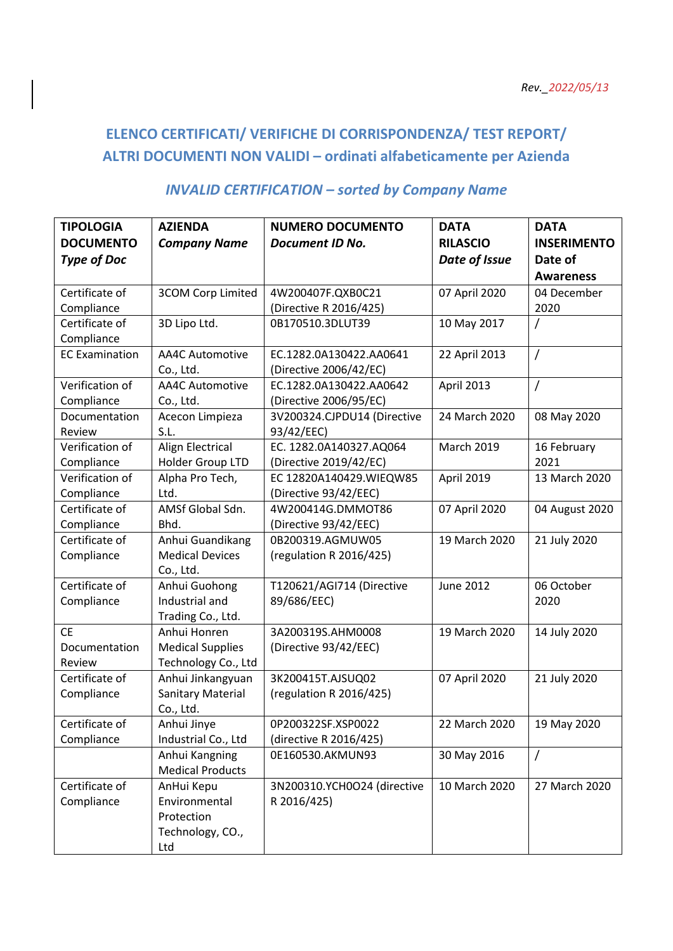## **ELENCO CERTIFICATI/ VERIFICHE DI CORRISPONDENZA/ TEST REPORT/ ALTRI DOCUMENTI NON VALIDI – ordinati alfabeticamente per Azienda**

## *INVALID CERTIFICATION – sorted by Company Name*

| <b>TIPOLOGIA</b>          | <b>AZIENDA</b>                      | <b>NUMERO DOCUMENTO</b>                           | <b>DATA</b>       | <b>DATA</b>         |
|---------------------------|-------------------------------------|---------------------------------------------------|-------------------|---------------------|
| <b>DOCUMENTO</b>          | <b>Company Name</b>                 | <b>Document ID No.</b>                            | <b>RILASCIO</b>   | <b>INSERIMENTO</b>  |
| <b>Type of Doc</b>        |                                     |                                                   | Date of Issue     | Date of             |
|                           |                                     |                                                   |                   | <b>Awareness</b>    |
| Certificate of            | <b>3COM Corp Limited</b>            | 4W200407F.QXB0C21                                 | 07 April 2020     | 04 December         |
| Compliance                |                                     |                                                   |                   | 2020                |
| Certificate of            |                                     | (Directive R 2016/425)<br>0B170510.3DLUT39        |                   |                     |
|                           | 3D Lipo Ltd.                        |                                                   | 10 May 2017       | 7                   |
| Compliance                |                                     |                                                   |                   |                     |
| <b>EC Examination</b>     | <b>AA4C Automotive</b>              | EC.1282.0A130422.AA0641<br>(Directive 2006/42/EC) | 22 April 2013     | $\overline{1}$      |
| Verification of           | Co., Ltd.<br><b>AA4C Automotive</b> | EC.1282.0A130422.AA0642                           | April 2013        | $\prime$            |
|                           |                                     |                                                   |                   |                     |
| Compliance                | Co., Ltd.                           | (Directive 2006/95/EC)                            | 24 March 2020     |                     |
| Documentation             | Acecon Limpieza<br>S.L.             | 3V200324.CJPDU14 (Directive                       |                   | 08 May 2020         |
| Review<br>Verification of |                                     | 93/42/EEC)<br>EC. 1282.0A140327.AQ064             | <b>March 2019</b> |                     |
|                           | Align Electrical                    |                                                   |                   | 16 February<br>2021 |
| Compliance                | Holder Group LTD                    | (Directive 2019/42/EC)                            |                   |                     |
| Verification of           | Alpha Pro Tech,                     | EC 12820A140429.WIEQW85                           | April 2019        | 13 March 2020       |
| Compliance                | Ltd.                                | (Directive 93/42/EEC)                             |                   |                     |
| Certificate of            | AMSf Global Sdn.                    | 4W200414G.DMMOT86                                 | 07 April 2020     | 04 August 2020      |
| Compliance                | Bhd.                                | (Directive 93/42/EEC)                             |                   |                     |
| Certificate of            | Anhui Guandikang                    | 0B200319.AGMUW05                                  | 19 March 2020     | 21 July 2020        |
| Compliance                | <b>Medical Devices</b>              | (regulation R 2016/425)                           |                   |                     |
|                           | Co., Ltd.                           |                                                   |                   |                     |
| Certificate of            | Anhui Guohong                       | T120621/AGI714 (Directive                         | <b>June 2012</b>  | 06 October          |
| Compliance                | Industrial and                      | 89/686/EEC)                                       |                   | 2020                |
|                           | Trading Co., Ltd.                   |                                                   |                   |                     |
| <b>CE</b>                 | Anhui Honren                        | 3A200319S.AHM0008                                 | 19 March 2020     | 14 July 2020        |
| Documentation             | <b>Medical Supplies</b>             | (Directive 93/42/EEC)                             |                   |                     |
| Review                    | Technology Co., Ltd                 |                                                   |                   |                     |
| Certificate of            | Anhui Jinkangyuan                   | 3K200415T.AJSUQ02                                 | 07 April 2020     | 21 July 2020        |
| Compliance                | <b>Sanitary Material</b>            | (regulation R 2016/425)                           |                   |                     |
|                           | Co., Ltd.                           |                                                   |                   |                     |
| Certificate of            | Anhui Jinye                         | 0P200322SF.XSP0022                                | 22 March 2020     | 19 May 2020         |
| Compliance                | Industrial Co., Ltd                 | (directive R 2016/425)                            |                   |                     |
|                           | Anhui Kangning                      | 0E160530.AKMUN93                                  | 30 May 2016       | $\prime$            |
|                           | <b>Medical Products</b>             |                                                   |                   |                     |
| Certificate of            | AnHui Kepu                          | 3N200310.YCH0O24 (directive                       | 10 March 2020     | 27 March 2020       |
| Compliance                | Environmental                       | R 2016/425)                                       |                   |                     |
|                           | Protection                          |                                                   |                   |                     |
|                           | Technology, CO.,                    |                                                   |                   |                     |
|                           | Ltd                                 |                                                   |                   |                     |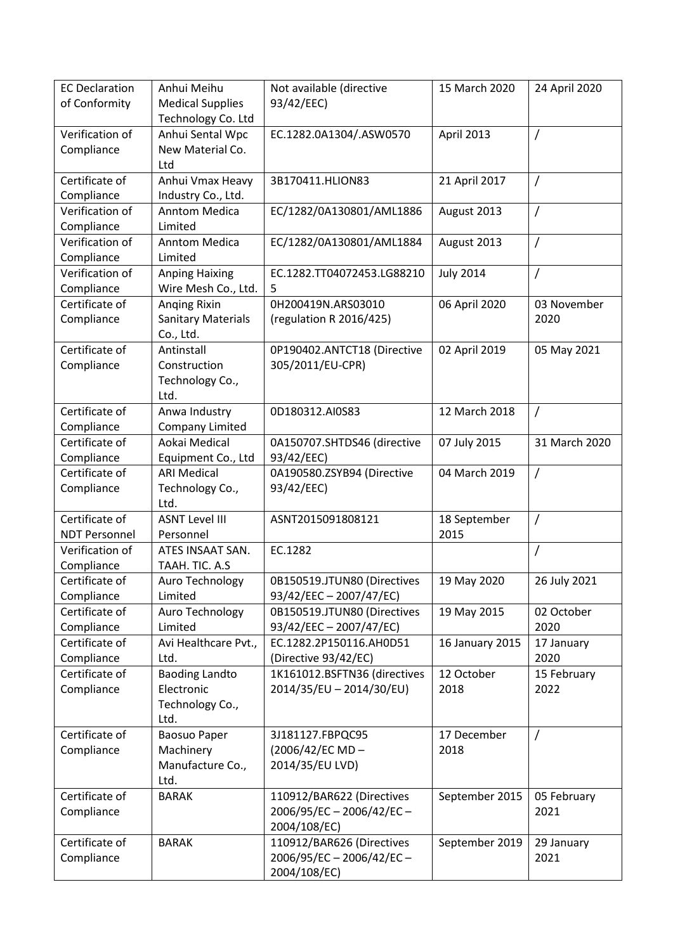| <b>EC Declaration</b><br>of Conformity | Anhui Meihu<br><b>Medical Supplies</b><br>Technology Co. Ltd | Not available (directive<br>93/42/EEC)                 | 15 March 2020       | 24 April 2020      |
|----------------------------------------|--------------------------------------------------------------|--------------------------------------------------------|---------------------|--------------------|
| Verification of<br>Compliance          | Anhui Sental Wpc<br>New Material Co.<br>Ltd                  | EC.1282.0A1304/.ASW0570                                | April 2013          | 7                  |
| Certificate of<br>Compliance           | Anhui Vmax Heavy<br>Industry Co., Ltd.                       | 3B170411.HLION83                                       | 21 April 2017       | $\sqrt{2}$         |
| Verification of<br>Compliance          | <b>Anntom Medica</b><br>Limited                              | EC/1282/0A130801/AML1886                               | August 2013         | $\overline{1}$     |
| Verification of<br>Compliance          | <b>Anntom Medica</b><br>Limited                              | EC/1282/0A130801/AML1884                               | August 2013         | $\overline{1}$     |
| Verification of                        | <b>Anping Haixing</b>                                        | EC.1282.TT04072453.LG88210                             | <b>July 2014</b>    | $\prime$           |
| Compliance                             | Wire Mesh Co., Ltd.                                          | 5                                                      |                     |                    |
| Certificate of                         | <b>Anging Rixin</b>                                          | 0H200419N.ARS03010                                     | 06 April 2020       | 03 November        |
| Compliance                             | <b>Sanitary Materials</b><br>Co., Ltd.                       | (regulation R 2016/425)                                |                     | 2020               |
| Certificate of<br>Compliance           | Antinstall<br>Construction<br>Technology Co.,<br>Ltd.        | 0P190402.ANTCT18 (Directive<br>305/2011/EU-CPR)        | 02 April 2019       | 05 May 2021        |
| Certificate of                         | Anwa Industry                                                | 0D180312.AI0S83                                        | 12 March 2018       | $\prime$           |
| Compliance                             | <b>Company Limited</b>                                       |                                                        |                     |                    |
| Certificate of                         | Aokai Medical                                                | 0A150707.SHTDS46 (directive                            | 07 July 2015        | 31 March 2020      |
| Compliance                             | Equipment Co., Ltd                                           | 93/42/EEC)                                             |                     |                    |
| Certificate of                         | <b>ARI Medical</b>                                           | 0A190580.ZSYB94 (Directive                             | 04 March 2019       | $\prime$           |
| Compliance                             | Technology Co.,<br>Ltd.                                      | 93/42/EEC)                                             |                     |                    |
| Certificate of                         | <b>ASNT Level III</b>                                        | ASNT2015091808121                                      | 18 September        | $\overline{1}$     |
| <b>NDT Personnel</b>                   | Personnel                                                    |                                                        | 2015                |                    |
| Verification of                        | ATES INSAAT SAN.                                             | EC.1282                                                |                     | 7                  |
| Compliance                             | TAAH. TIC. A.S                                               |                                                        |                     |                    |
| Certificate of                         | Auro Technology                                              | 0B150519.JTUN80 (Directives                            | 19 May 2020         | 26 July 2021       |
| Compliance                             | Limited                                                      | 93/42/EEC - 2007/47/EC)                                |                     |                    |
| Certificate of                         | Auro Technology                                              | 0B150519.JTUN80 (Directives<br>93/42/EEC - 2007/47/EC) | 19 May 2015         | 02 October         |
| Compliance<br>Certificate of           | Limited<br>Avi Healthcare Pvt.,                              | EC.1282.2P150116.AH0D51                                | 16 January 2015     | 2020               |
| Compliance                             | Ltd.                                                         | (Directive 93/42/EC)                                   |                     | 17 January<br>2020 |
| Certificate of                         | <b>Baoding Landto</b>                                        | 1K161012.BSFTN36 (directives                           | 12 October          | 15 February        |
| Compliance                             | Electronic<br>Technology Co.,<br>Ltd.                        | 2014/35/EU - 2014/30/EU)                               | 2018                | 2022               |
| Certificate of<br>Compliance           | <b>Baosuo Paper</b><br>Machinery<br>Manufacture Co.,<br>Ltd. | 3J181127.FBPQC95<br>(2006/42/EC MD-<br>2014/35/EU LVD) | 17 December<br>2018 | $\overline{1}$     |
| Certificate of                         | <b>BARAK</b>                                                 | 110912/BAR622 (Directives                              | September 2015      | 05 February        |
| Compliance                             |                                                              | $2006/95/EC - 2006/42/EC -$<br>2004/108/EC)            |                     | 2021               |
| Certificate of                         | <b>BARAK</b>                                                 | 110912/BAR626 (Directives                              | September 2019      | 29 January         |
| Compliance                             |                                                              | $2006/95/EC - 2006/42/EC -$<br>2004/108/EC)            |                     | 2021               |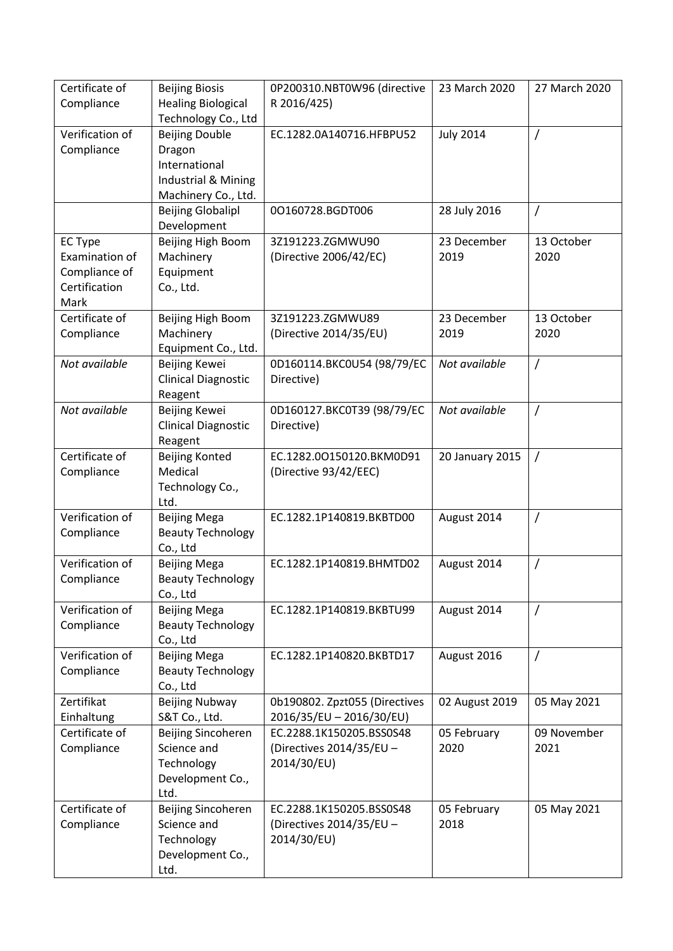| Certificate of<br>Compliance                                               | <b>Beijing Biosis</b><br><b>Healing Biological</b>                                             | 0P200310.NBT0W96 (directive<br>R 2016/425)                          | 23 March 2020       | 27 March 2020       |
|----------------------------------------------------------------------------|------------------------------------------------------------------------------------------------|---------------------------------------------------------------------|---------------------|---------------------|
|                                                                            | Technology Co., Ltd                                                                            |                                                                     |                     |                     |
| Verification of<br>Compliance                                              | <b>Beijing Double</b><br>Dragon<br>International<br>Industrial & Mining<br>Machinery Co., Ltd. | EC.1282.0A140716.HFBPU52                                            | <b>July 2014</b>    | $\prime$            |
|                                                                            | <b>Beijing Globalipl</b><br>Development                                                        | 00160728.BGDT006                                                    | 28 July 2016        | $\prime$            |
| <b>EC Type</b><br>Examination of<br>Compliance of<br>Certification<br>Mark | Beijing High Boom<br>Machinery<br>Equipment<br>Co., Ltd.                                       | 3Z191223.ZGMWU90<br>(Directive 2006/42/EC)                          | 23 December<br>2019 | 13 October<br>2020  |
| Certificate of<br>Compliance                                               | Beijing High Boom<br>Machinery<br>Equipment Co., Ltd.                                          | 3Z191223.ZGMWU89<br>(Directive 2014/35/EU)                          | 23 December<br>2019 | 13 October<br>2020  |
| Not available                                                              | Beijing Kewei<br><b>Clinical Diagnostic</b><br>Reagent                                         | 0D160114.BKC0U54 (98/79/EC<br>Directive)                            | Not available       | $\prime$            |
| Not available                                                              | Beijing Kewei<br><b>Clinical Diagnostic</b><br>Reagent                                         | 0D160127.BKC0T39 (98/79/EC<br>Directive)                            | Not available       | $\overline{1}$      |
| Certificate of<br>Compliance                                               | <b>Beijing Konted</b><br>Medical<br>Technology Co.,<br>Ltd.                                    | EC.1282.00150120.BKM0D91<br>(Directive 93/42/EEC)                   | 20 January 2015     | $\sqrt{ }$          |
| Verification of<br>Compliance                                              | <b>Beijing Mega</b><br><b>Beauty Technology</b><br>Co., Ltd                                    | EC.1282.1P140819.BKBTD00                                            | August 2014         | $\prime$            |
| Verification of<br>Compliance                                              | <b>Beijing Mega</b><br><b>Beauty Technology</b><br>Co., Ltd                                    | EC.1282.1P140819.BHMTD02                                            | August 2014         | $\prime$            |
| Verification of<br>Compliance                                              | <b>Beijing Mega</b><br><b>Beauty Technology</b><br>Co., Ltd                                    | EC.1282.1P140819.BKBTU99                                            | August 2014         | $\prime$            |
| Verification of<br>Compliance                                              | <b>Beijing Mega</b><br><b>Beauty Technology</b><br>Co., Ltd                                    | EC.1282.1P140820.BKBTD17                                            | August 2016         | $\prime$            |
| Zertifikat<br>Einhaltung                                                   | <b>Beijing Nubway</b><br>S&T Co., Ltd.                                                         | 0b190802. Zpzt055 (Directives<br>2016/35/EU - 2016/30/EU)           | 02 August 2019      | 05 May 2021         |
| Certificate of<br>Compliance                                               | Beijing Sincoheren<br>Science and<br>Technology<br>Development Co.,<br>Ltd.                    | EC.2288.1K150205.BSS0S48<br>(Directives 2014/35/EU -<br>2014/30/EU) | 05 February<br>2020 | 09 November<br>2021 |
| Certificate of<br>Compliance                                               | Beijing Sincoheren<br>Science and<br>Technology<br>Development Co.,<br>Ltd.                    | EC.2288.1K150205.BSS0S48<br>(Directives 2014/35/EU -<br>2014/30/EU) | 05 February<br>2018 | 05 May 2021         |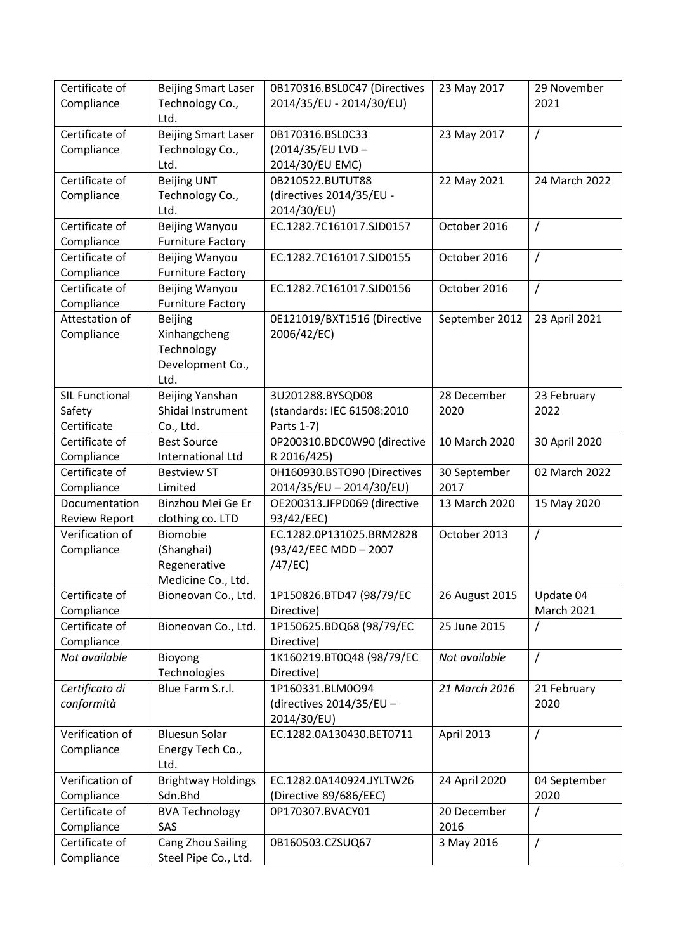| Certificate of<br>Compliance                   | <b>Beijing Smart Laser</b><br>Technology Co.,                            | 0B170316.BSL0C47 (Directives<br>2014/35/EU - 2014/30/EU)        | 23 May 2017          | 29 November<br>2021            |
|------------------------------------------------|--------------------------------------------------------------------------|-----------------------------------------------------------------|----------------------|--------------------------------|
| Certificate of<br>Compliance                   | Ltd.<br><b>Beijing Smart Laser</b><br>Technology Co.,<br>Ltd.            | 0B170316.BSL0C33<br>(2014/35/EU LVD-<br>2014/30/EU EMC)         | 23 May 2017          | $\prime$                       |
| Certificate of<br>Compliance                   | <b>Beijing UNT</b><br>Technology Co.,<br>Ltd.                            | 0B210522.BUTUT88<br>(directives 2014/35/EU -<br>2014/30/EU)     | 22 May 2021          | 24 March 2022                  |
| Certificate of<br>Compliance                   | Beijing Wanyou<br><b>Furniture Factory</b>                               | EC.1282.7C161017.SJD0157                                        | October 2016         | $\prime$                       |
| Certificate of<br>Compliance                   | Beijing Wanyou<br><b>Furniture Factory</b>                               | EC.1282.7C161017.SJD0155                                        | October 2016         | 7                              |
| Certificate of<br>Compliance                   | Beijing Wanyou<br><b>Furniture Factory</b>                               | EC.1282.7C161017.SJD0156                                        | October 2016         | $\overline{1}$                 |
| Attestation of<br>Compliance                   | <b>Beijing</b><br>Xinhangcheng<br>Technology<br>Development Co.,<br>Ltd. | 0E121019/BXT1516 (Directive<br>2006/42/EC)                      | September 2012       | 23 April 2021                  |
| <b>SIL Functional</b><br>Safety<br>Certificate | Beijing Yanshan<br>Shidai Instrument<br>Co., Ltd.                        | 3U201288.BYSQD08<br>(standards: IEC 61508:2010<br>Parts 1-7)    | 28 December<br>2020  | 23 February<br>2022            |
| Certificate of<br>Compliance                   | <b>Best Source</b><br>International Ltd                                  | 0P200310.BDC0W90 (directive<br>R 2016/425)                      | 10 March 2020        | 30 April 2020                  |
| Certificate of<br>Compliance                   | <b>Bestview ST</b><br>Limited                                            | 0H160930.BSTO90 (Directives<br>2014/35/EU - 2014/30/EU)         | 30 September<br>2017 | 02 March 2022                  |
| Documentation<br><b>Review Report</b>          | Binzhou Mei Ge Er<br>clothing co. LTD                                    | OE200313.JFPD069 (directive<br>93/42/EEC)                       | 13 March 2020        | 15 May 2020                    |
| Verification of<br>Compliance                  | Biomobie<br>(Shanghai)<br>Regenerative<br>Medicine Co., Ltd.             | EC.1282.0P131025.BRM2828<br>(93/42/EEC MDD - 2007<br>$/47$ /EC) | October 2013         | $\prime$                       |
| Certificate of<br>Compliance                   | Bioneovan Co., Ltd.                                                      | 1P150826.BTD47 (98/79/EC<br>Directive)                          | 26 August 2015       | Update 04<br><b>March 2021</b> |
| Certificate of<br>Compliance                   | Bioneovan Co., Ltd.                                                      | 1P150625.BDQ68 (98/79/EC<br>Directive)                          | 25 June 2015         | 7                              |
| Not available                                  | Bioyong<br>Technologies                                                  | 1K160219.BT0Q48 (98/79/EC<br>Directive)                         | Not available        | $\prime$                       |
| Certificato di<br>conformità                   | Blue Farm S.r.l.                                                         | 1P160331.BLM0O94<br>(directives 2014/35/EU -<br>2014/30/EU)     | 21 March 2016        | 21 February<br>2020            |
| Verification of<br>Compliance                  | <b>Bluesun Solar</b><br>Energy Tech Co.,<br>Ltd.                         | EC.1282.0A130430.BET0711                                        | April 2013           | $\prime$                       |
| Verification of<br>Compliance                  | <b>Brightway Holdings</b><br>Sdn.Bhd                                     | EC.1282.0A140924.JYLTW26<br>(Directive 89/686/EEC)              | 24 April 2020        | 04 September<br>2020           |
| Certificate of<br>Compliance                   | <b>BVA Technology</b><br>SAS                                             | 0P170307.BVACY01                                                | 20 December<br>2016  |                                |
| Certificate of<br>Compliance                   | Cang Zhou Sailing<br>Steel Pipe Co., Ltd.                                | 0B160503.CZSUQ67                                                | 3 May 2016           | $\prime$                       |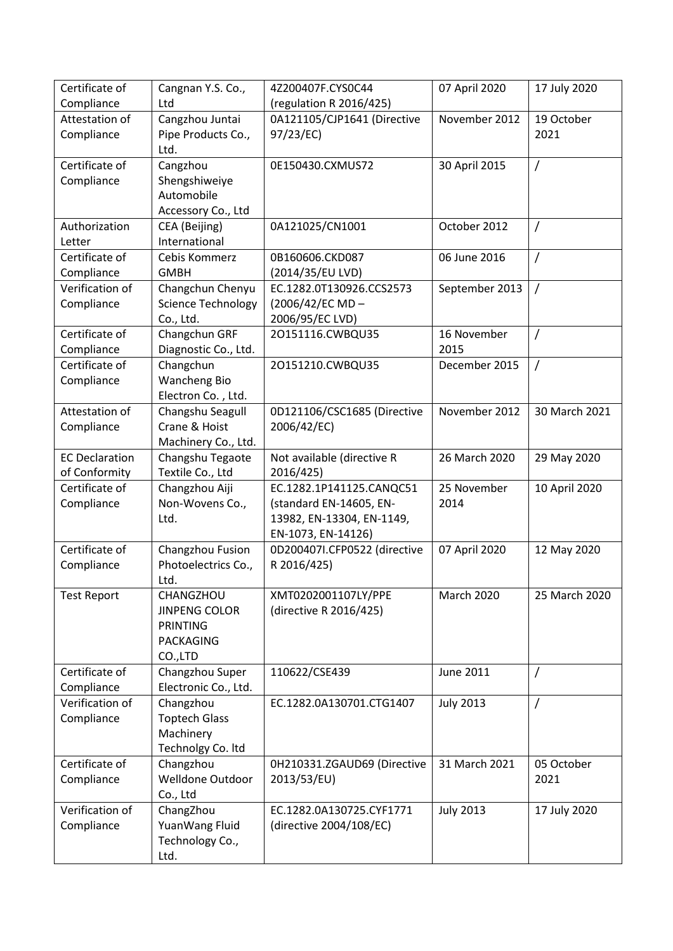| Certificate of        | Cangnan Y.S. Co.,         | 4Z200407F.CYS0C44                               | 07 April 2020     | 17 July 2020   |
|-----------------------|---------------------------|-------------------------------------------------|-------------------|----------------|
| Compliance            | Ltd                       | (regulation R 2016/425)                         |                   |                |
| Attestation of        | Cangzhou Juntai           | 0A121105/CJP1641 (Directive                     | November 2012     | 19 October     |
| Compliance            | Pipe Products Co.,        | 97/23/EC)                                       |                   | 2021           |
|                       | Ltd.                      |                                                 |                   |                |
| Certificate of        | Cangzhou                  | 0E150430.CXMUS72                                | 30 April 2015     | $\overline{1}$ |
| Compliance            | Shengshiweiye             |                                                 |                   |                |
|                       | Automobile                |                                                 |                   |                |
|                       | Accessory Co., Ltd        |                                                 |                   |                |
| Authorization         | CEA (Beijing)             | 0A121025/CN1001                                 | October 2012      | $\prime$       |
| Letter                | International             |                                                 |                   |                |
| Certificate of        | Cebis Kommerz             | 0B160606.CKD087                                 | 06 June 2016      | $\prime$       |
| Compliance            | <b>GMBH</b>               | (2014/35/EU LVD)                                |                   |                |
| Verification of       | Changchun Chenyu          | EC.1282.0T130926.CCS2573                        | September 2013    | $\prime$       |
| Compliance            | <b>Science Technology</b> | (2006/42/EC MD-                                 |                   |                |
|                       | Co., Ltd.                 | 2006/95/EC LVD)                                 |                   |                |
| Certificate of        | Changchun GRF             | 20151116.CWBQU35                                | 16 November       | $\prime$       |
| Compliance            | Diagnostic Co., Ltd.      |                                                 | 2015              |                |
| Certificate of        | Changchun                 | 20151210.CWBQU35                                | December 2015     | $\prime$       |
| Compliance            | <b>Wancheng Bio</b>       |                                                 |                   |                |
|                       | Electron Co., Ltd.        |                                                 |                   |                |
| Attestation of        | Changshu Seagull          | 0D121106/CSC1685 (Directive                     | November 2012     | 30 March 2021  |
| Compliance            | Crane & Hoist             | 2006/42/EC)                                     |                   |                |
|                       | Machinery Co., Ltd.       |                                                 |                   |                |
| <b>EC Declaration</b> |                           | Not available (directive R                      | 26 March 2020     |                |
|                       | Changshu Tegaote          |                                                 |                   | 29 May 2020    |
| of Conformity         | Textile Co., Ltd          | 2016/425)                                       |                   |                |
| Certificate of        | Changzhou Aiji            | EC.1282.1P141125.CANQC51                        | 25 November       | 10 April 2020  |
| Compliance            | Non-Wovens Co.,           | (standard EN-14605, EN-                         | 2014              |                |
|                       | Ltd.                      | 13982, EN-13304, EN-1149,<br>EN-1073, EN-14126) |                   |                |
| Certificate of        |                           |                                                 |                   |                |
|                       | Changzhou Fusion          | 0D200407I.CFP0522 (directive                    | 07 April 2020     | 12 May 2020    |
| Compliance            | Photoelectrics Co.,       | R 2016/425)                                     |                   |                |
|                       | Ltd.                      |                                                 |                   |                |
| <b>Test Report</b>    | CHANGZHOU                 | XMT0202001107LY/PPE                             | <b>March 2020</b> | 25 March 2020  |
|                       | <b>JINPENG COLOR</b>      | (directive R 2016/425)                          |                   |                |
|                       | <b>PRINTING</b>           |                                                 |                   |                |
|                       | PACKAGING                 |                                                 |                   |                |
|                       | CO.,LTD                   |                                                 |                   |                |
| Certificate of        | Changzhou Super           | 110622/CSE439                                   | June 2011         | $\prime$       |
| Compliance            | Electronic Co., Ltd.      |                                                 |                   |                |
| Verification of       | Changzhou                 | EC.1282.0A130701.CTG1407                        | <b>July 2013</b>  | $\prime$       |
| Compliance            | <b>Toptech Glass</b>      |                                                 |                   |                |
|                       | Machinery                 |                                                 |                   |                |
|                       | Technolgy Co. Itd         |                                                 |                   |                |
| Certificate of        | Changzhou                 | 0H210331.ZGAUD69 (Directive                     | 31 March 2021     | 05 October     |
| Compliance            | Welldone Outdoor          | 2013/53/EU)                                     |                   | 2021           |
|                       | Co., Ltd                  |                                                 |                   |                |
| Verification of       | ChangZhou                 | EC.1282.0A130725.CYF1771                        | <b>July 2013</b>  | 17 July 2020   |
| Compliance            | YuanWang Fluid            | (directive 2004/108/EC)                         |                   |                |
|                       | Technology Co.,           |                                                 |                   |                |
|                       | Ltd.                      |                                                 |                   |                |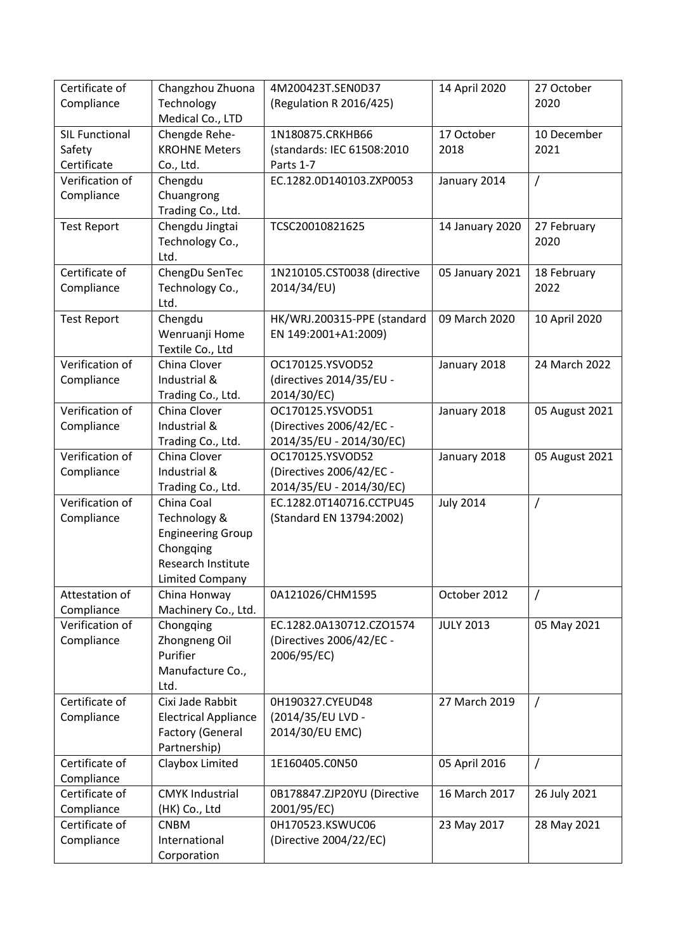| Certificate of        | Changzhou Zhuona                  | 4M200423T.SEN0D37                                    | 14 April 2020    | 27 October     |
|-----------------------|-----------------------------------|------------------------------------------------------|------------------|----------------|
| Compliance            | Technology                        | (Regulation R 2016/425)                              |                  | 2020           |
|                       | Medical Co., LTD                  |                                                      |                  |                |
| <b>SIL Functional</b> | Chengde Rehe-                     | 1N180875.CRKHB66                                     | 17 October       | 10 December    |
| Safety                | <b>KROHNE Meters</b>              | (standards: IEC 61508:2010                           | 2018             | 2021           |
| Certificate           | Co., Ltd.                         | Parts 1-7                                            |                  |                |
| Verification of       | Chengdu                           | EC.1282.0D140103.ZXP0053                             | January 2014     | $\overline{1}$ |
| Compliance            | Chuangrong                        |                                                      |                  |                |
|                       | Trading Co., Ltd.                 |                                                      |                  |                |
| <b>Test Report</b>    | Chengdu Jingtai                   | TCSC20010821625                                      | 14 January 2020  | 27 February    |
|                       | Technology Co.,                   |                                                      |                  | 2020           |
|                       | Ltd.                              |                                                      |                  |                |
| Certificate of        | ChengDu SenTec                    | 1N210105.CST0038 (directive                          | 05 January 2021  | 18 February    |
| Compliance            | Technology Co.,                   | 2014/34/EU)                                          |                  | 2022           |
|                       | Ltd.                              |                                                      |                  |                |
| <b>Test Report</b>    | Chengdu                           | HK/WRJ.200315-PPE (standard                          | 09 March 2020    | 10 April 2020  |
|                       | Wenruanji Home                    | EN 149:2001+A1:2009)                                 |                  |                |
|                       | Textile Co., Ltd                  |                                                      |                  |                |
| Verification of       | China Clover                      | OC170125.YSVOD52                                     | January 2018     | 24 March 2022  |
| Compliance            | Industrial &                      | (directives 2014/35/EU -                             |                  |                |
| Verification of       | Trading Co., Ltd.<br>China Clover | 2014/30/EC)                                          |                  |                |
|                       |                                   | OC170125.YSVOD51                                     | January 2018     | 05 August 2021 |
| Compliance            | Industrial &<br>Trading Co., Ltd. | (Directives 2006/42/EC -<br>2014/35/EU - 2014/30/EC) |                  |                |
| Verification of       | China Clover                      | OC170125.YSVOD52                                     | January 2018     | 05 August 2021 |
| Compliance            | Industrial &                      | (Directives 2006/42/EC -                             |                  |                |
|                       | Trading Co., Ltd.                 | 2014/35/EU - 2014/30/EC)                             |                  |                |
| Verification of       | China Coal                        | EC.1282.0T140716.CCTPU45                             | <b>July 2014</b> | $\prime$       |
| Compliance            | Technology &                      | (Standard EN 13794:2002)                             |                  |                |
|                       | <b>Engineering Group</b>          |                                                      |                  |                |
|                       | Chongqing                         |                                                      |                  |                |
|                       | Research Institute                |                                                      |                  |                |
|                       | <b>Limited Company</b>            |                                                      |                  |                |
| Attestation of        | China Honway                      | 0A121026/CHM1595                                     | October 2012     | $\prime$       |
| Compliance            | Machinery Co., Ltd.               |                                                      |                  |                |
| Verification of       | Chongqing                         | EC.1282.0A130712.CZO1574                             | <b>JULY 2013</b> | 05 May 2021    |
| Compliance            | Zhongneng Oil                     | (Directives 2006/42/EC -                             |                  |                |
|                       | Purifier                          | 2006/95/EC)                                          |                  |                |
|                       | Manufacture Co.,                  |                                                      |                  |                |
|                       | Ltd.                              |                                                      |                  |                |
| Certificate of        | Cixi Jade Rabbit                  | 0H190327.CYEUD48                                     | 27 March 2019    | $\prime$       |
| Compliance            | <b>Electrical Appliance</b>       | (2014/35/EU LVD -                                    |                  |                |
|                       | <b>Factory (General</b>           | 2014/30/EU EMC)                                      |                  |                |
|                       | Partnership)                      |                                                      |                  |                |
| Certificate of        | Claybox Limited                   | 1E160405.CON50                                       | 05 April 2016    | $\overline{1}$ |
| Compliance            |                                   |                                                      |                  |                |
| Certificate of        | <b>CMYK Industrial</b>            | 0B178847.ZJP20YU (Directive                          | 16 March 2017    | 26 July 2021   |
| Compliance            | (HK) Co., Ltd                     | 2001/95/EC)                                          |                  |                |
| Certificate of        | <b>CNBM</b>                       | 0H170523.KSWUC06                                     | 23 May 2017      | 28 May 2021    |
| Compliance            | International                     | (Directive 2004/22/EC)                               |                  |                |
|                       | Corporation                       |                                                      |                  |                |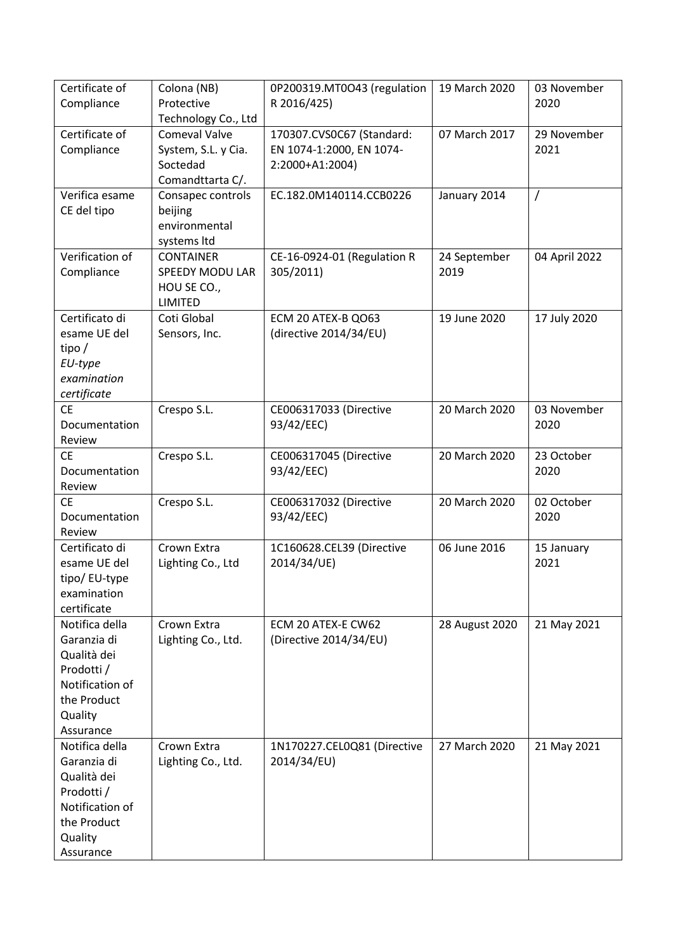| Certificate of                | Colona (NB)                     | 0P200319.MT0O43 (regulation              | 19 March 2020        | 03 November   |
|-------------------------------|---------------------------------|------------------------------------------|----------------------|---------------|
| Compliance                    | Protective                      | R 2016/425)                              |                      | 2020          |
|                               | Technology Co., Ltd             |                                          |                      |               |
| Certificate of                | <b>Comeval Valve</b>            | 170307.CVS0C67 (Standard:                | 07 March 2017        | 29 November   |
| Compliance                    | System, S.L. y Cia.             | EN 1074-1:2000, EN 1074-                 |                      | 2021          |
|                               | Soctedad                        | 2:2000+A1:2004)                          |                      |               |
|                               | Comandttarta C/.                |                                          |                      |               |
| Verifica esame                | Consapec controls               | EC.182.0M140114.CCB0226                  | January 2014         | $\prime$      |
| CE del tipo                   | beijing                         |                                          |                      |               |
|                               | environmental                   |                                          |                      |               |
| Verification of               | systems Itd<br><b>CONTAINER</b> |                                          |                      | 04 April 2022 |
| Compliance                    | SPEEDY MODU LAR                 | CE-16-0924-01 (Regulation R<br>305/2011) | 24 September<br>2019 |               |
|                               | HOU SE CO.,                     |                                          |                      |               |
|                               | LIMITED                         |                                          |                      |               |
| Certificato di                | Coti Global                     | ECM 20 ATEX-B QO63                       | 19 June 2020         | 17 July 2020  |
| esame UE del                  | Sensors, Inc.                   | (directive 2014/34/EU)                   |                      |               |
| tipo/                         |                                 |                                          |                      |               |
| EU-type                       |                                 |                                          |                      |               |
| examination                   |                                 |                                          |                      |               |
| certificate                   |                                 |                                          |                      |               |
| <b>CE</b>                     | Crespo S.L.                     | CE006317033 (Directive                   | 20 March 2020        | 03 November   |
| Documentation                 |                                 | 93/42/EEC)                               |                      | 2020          |
| Review                        |                                 |                                          |                      |               |
| <b>CE</b>                     | Crespo S.L.                     | CE006317045 (Directive                   | 20 March 2020        | 23 October    |
| Documentation                 |                                 | 93/42/EEC)                               |                      | 2020          |
| Review                        |                                 |                                          |                      |               |
| <b>CE</b>                     | Crespo S.L.                     | CE006317032 (Directive                   | 20 March 2020        | 02 October    |
| Documentation                 |                                 | 93/42/EEC)                               |                      | 2020          |
| Review                        |                                 |                                          |                      |               |
| Certificato di                | Crown Extra                     | 1C160628.CEL39 (Directive                | 06 June 2016         | 15 January    |
| esame UE del                  | Lighting Co., Ltd               | 2014/34/UE)                              |                      | 2021          |
| tipo/ EU-type                 |                                 |                                          |                      |               |
| examination                   |                                 |                                          |                      |               |
| certificate<br>Notifica della | Crown Extra                     | ECM 20 ATEX-E CW62                       |                      |               |
| Garanzia di                   | Lighting Co., Ltd.              | (Directive 2014/34/EU)                   | 28 August 2020       | 21 May 2021   |
| Qualità dei                   |                                 |                                          |                      |               |
| Prodotti /                    |                                 |                                          |                      |               |
| Notification of               |                                 |                                          |                      |               |
| the Product                   |                                 |                                          |                      |               |
| Quality                       |                                 |                                          |                      |               |
| Assurance                     |                                 |                                          |                      |               |
| Notifica della                | Crown Extra                     | 1N170227.CEL0Q81 (Directive              | 27 March 2020        | 21 May 2021   |
| Garanzia di                   | Lighting Co., Ltd.              | 2014/34/EU)                              |                      |               |
| Qualità dei                   |                                 |                                          |                      |               |
| Prodotti /                    |                                 |                                          |                      |               |
| Notification of               |                                 |                                          |                      |               |
| the Product                   |                                 |                                          |                      |               |
| Quality                       |                                 |                                          |                      |               |
| Assurance                     |                                 |                                          |                      |               |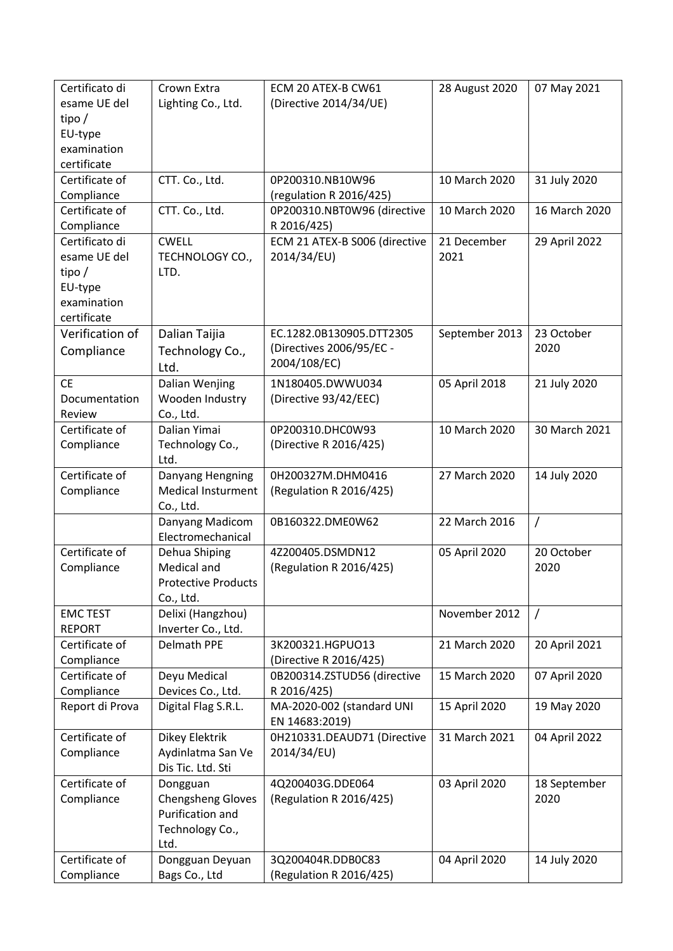| Certificato di<br>esame UE del<br>tipo/<br>EU-type<br>examination<br>certificate | Crown Extra<br>Lighting Co., Ltd.                                                   | ECM 20 ATEX-B CW61<br>(Directive 2014/34/UE)                         | 28 August 2020      | 07 May 2021          |
|----------------------------------------------------------------------------------|-------------------------------------------------------------------------------------|----------------------------------------------------------------------|---------------------|----------------------|
| Certificate of<br>Compliance                                                     | CTT. Co., Ltd.                                                                      | 0P200310.NB10W96<br>(regulation R 2016/425)                          | 10 March 2020       | 31 July 2020         |
| Certificate of<br>Compliance                                                     | CTT. Co., Ltd.                                                                      | 0P200310.NBT0W96 (directive<br>R 2016/425)                           | 10 March 2020       | 16 March 2020        |
| Certificato di<br>esame UE del<br>tipo/<br>EU-type<br>examination<br>certificate | <b>CWELL</b><br>TECHNOLOGY CO.,<br>LTD.                                             | ECM 21 ATEX-B S006 (directive<br>2014/34/EU)                         | 21 December<br>2021 | 29 April 2022        |
| Verification of<br>Compliance                                                    | Dalian Taijia<br>Technology Co.,<br>Ltd.                                            | EC.1282.0B130905.DTT2305<br>(Directives 2006/95/EC -<br>2004/108/EC) | September 2013      | 23 October<br>2020   |
| <b>CE</b><br>Documentation<br>Review                                             | Dalian Wenjing<br>Wooden Industry<br>Co., Ltd.                                      | 1N180405.DWWU034<br>(Directive 93/42/EEC)                            | 05 April 2018       | 21 July 2020         |
| Certificate of<br>Compliance                                                     | Dalian Yimai<br>Technology Co.,<br>Ltd.                                             | 0P200310.DHC0W93<br>(Directive R 2016/425)                           | 10 March 2020       | 30 March 2021        |
| Certificate of<br>Compliance                                                     | Danyang Hengning<br><b>Medical Insturment</b><br>Co., Ltd.                          | 0H200327M.DHM0416<br>(Regulation R 2016/425)                         | 27 March 2020       | 14 July 2020         |
|                                                                                  | Danyang Madicom<br>Electromechanical                                                | 0B160322.DME0W62                                                     | 22 March 2016       | $\prime$             |
| Certificate of<br>Compliance                                                     | Dehua Shiping<br>Medical and<br><b>Protective Products</b><br>Co., Ltd.             | 4Z200405.DSMDN12<br>(Regulation R 2016/425)                          | 05 April 2020       | 20 October<br>2020   |
| <b>EMC TEST</b><br><b>REPORT</b>                                                 | Delixi (Hangzhou)<br>Inverter Co., Ltd.                                             |                                                                      | November 2012       | $\prime$             |
| Certificate of<br>Compliance                                                     | <b>Delmath PPE</b>                                                                  | 3K200321.HGPUO13<br>(Directive R 2016/425)                           | 21 March 2020       | 20 April 2021        |
| Certificate of<br>Compliance                                                     | Deyu Medical<br>Devices Co., Ltd.                                                   | 0B200314.ZSTUD56 (directive<br>R 2016/425)                           | 15 March 2020       | 07 April 2020        |
| Report di Prova                                                                  | Digital Flag S.R.L.                                                                 | MA-2020-002 (standard UNI<br>EN 14683:2019)                          | 15 April 2020       | 19 May 2020          |
| Certificate of<br>Compliance                                                     | Dikey Elektrik<br>Aydinlatma San Ve<br>Dis Tic. Ltd. Sti                            | 0H210331.DEAUD71 (Directive<br>2014/34/EU)                           | 31 March 2021       | 04 April 2022        |
| Certificate of<br>Compliance                                                     | Dongguan<br><b>Chengsheng Gloves</b><br>Purification and<br>Technology Co.,<br>Ltd. | 4Q200403G.DDE064<br>(Regulation R 2016/425)                          | 03 April 2020       | 18 September<br>2020 |
| Certificate of<br>Compliance                                                     | Dongguan Deyuan<br>Bags Co., Ltd                                                    | 3Q200404R.DDB0C83<br>(Regulation R 2016/425)                         | 04 April 2020       | 14 July 2020         |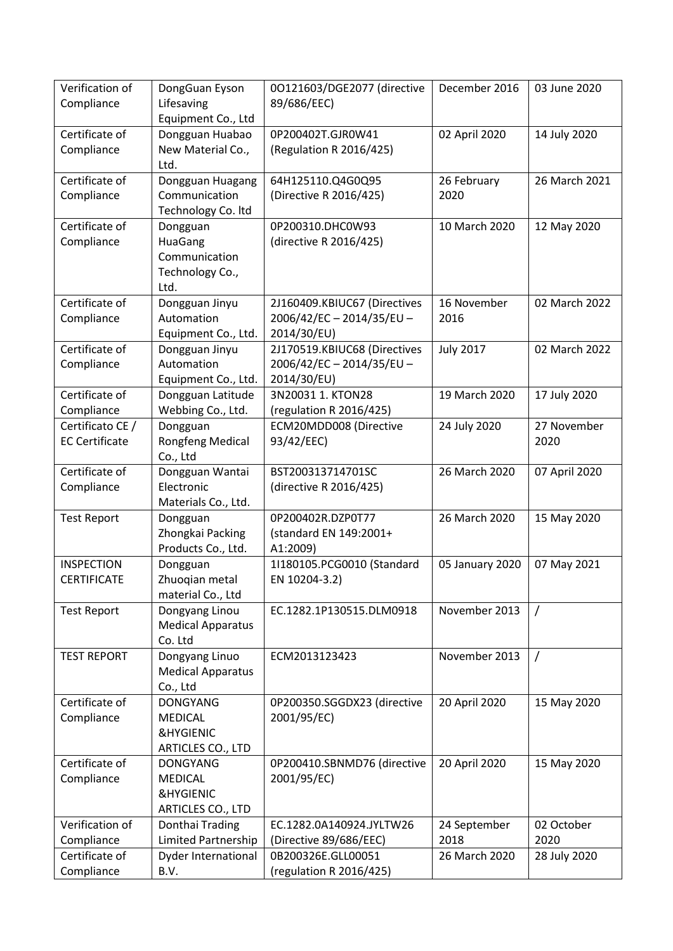| Verification of<br>Compliance | DongGuan Eyson<br>Lifesaving               | 00121603/DGE2077 (directive<br>89/686/EEC) | December 2016       | 03 June 2020  |
|-------------------------------|--------------------------------------------|--------------------------------------------|---------------------|---------------|
|                               | Equipment Co., Ltd                         |                                            |                     |               |
| Certificate of                | Dongguan Huabao                            | 0P200402T.GJR0W41                          | 02 April 2020       | 14 July 2020  |
| Compliance                    | New Material Co.,                          | (Regulation R 2016/425)                    |                     |               |
| Certificate of                | Ltd.<br>Dongguan Huagang                   | 64H125110.Q4G0Q95                          | 26 February         | 26 March 2021 |
| Compliance                    | Communication                              | (Directive R 2016/425)                     | 2020                |               |
|                               | Technology Co. Itd                         |                                            |                     |               |
| Certificate of                | Dongguan                                   | 0P200310.DHC0W93                           | 10 March 2020       | 12 May 2020   |
| Compliance                    | HuaGang                                    | (directive R 2016/425)                     |                     |               |
|                               | Communication                              |                                            |                     |               |
|                               | Technology Co.,                            |                                            |                     |               |
|                               | Ltd.                                       |                                            |                     |               |
| Certificate of                | Dongguan Jinyu<br>Automation               | 2J160409.KBIUC67 (Directives               | 16 November<br>2016 | 02 March 2022 |
| Compliance                    | Equipment Co., Ltd.                        | 2006/42/EC-2014/35/EU-<br>2014/30/EU)      |                     |               |
| Certificate of                | Dongguan Jinyu                             | 2J170519.KBIUC68 (Directives               | <b>July 2017</b>    | 02 March 2022 |
| Compliance                    | Automation                                 | 2006/42/EC-2014/35/EU-                     |                     |               |
|                               | Equipment Co., Ltd.                        | 2014/30/EU)                                |                     |               |
| Certificate of                | Dongguan Latitude                          | 3N20031 1. KTON28                          | 19 March 2020       | 17 July 2020  |
| Compliance                    | Webbing Co., Ltd.                          | (regulation R 2016/425)                    |                     |               |
| Certificato CE /              | Dongguan                                   | ECM20MDD008 (Directive                     | 24 July 2020        | 27 November   |
| <b>EC Certificate</b>         | <b>Rongfeng Medical</b>                    | 93/42/EEC)                                 |                     | 2020          |
|                               | Co., Ltd                                   |                                            |                     |               |
| Certificate of                | Dongguan Wantai                            | BST200313714701SC                          | 26 March 2020       | 07 April 2020 |
| Compliance                    | Electronic<br>Materials Co., Ltd.          | (directive R 2016/425)                     |                     |               |
| <b>Test Report</b>            | Dongguan                                   | 0P200402R.DZP0T77                          | 26 March 2020       | 15 May 2020   |
|                               | Zhongkai Packing                           | (standard EN 149:2001+                     |                     |               |
|                               | Products Co., Ltd.                         | A1:2009)                                   |                     |               |
| <b>INSPECTION</b>             | Dongguan                                   | 1I180105.PCG0010 (Standard                 | 05 January 2020     | 07 May 2021   |
| <b>CERTIFICATE</b>            | Zhuoqian metal                             | EN 10204-3.2)                              |                     |               |
|                               | material Co., Ltd                          |                                            |                     |               |
| <b>Test Report</b>            | Dongyang Linou                             | EC.1282.1P130515.DLM0918                   | November 2013       | $\sqrt{ }$    |
|                               | <b>Medical Apparatus</b>                   |                                            |                     |               |
|                               | Co. Ltd                                    |                                            |                     |               |
| <b>TEST REPORT</b>            | Dongyang Linuo<br><b>Medical Apparatus</b> | ECM2013123423                              | November 2013       | $\prime$      |
|                               | Co., Ltd                                   |                                            |                     |               |
| Certificate of                | <b>DONGYANG</b>                            | 0P200350.SGGDX23 (directive                | 20 April 2020       | 15 May 2020   |
| Compliance                    | <b>MEDICAL</b>                             | 2001/95/EC)                                |                     |               |
|                               | <b>&amp;HYGIENIC</b>                       |                                            |                     |               |
|                               | ARTICLES CO., LTD                          |                                            |                     |               |
| Certificate of                | <b>DONGYANG</b>                            | 0P200410.SBNMD76 (directive                | 20 April 2020       | 15 May 2020   |
| Compliance                    | <b>MEDICAL</b>                             | 2001/95/EC)                                |                     |               |
|                               | <b>&amp;HYGIENIC</b>                       |                                            |                     |               |
|                               | ARTICLES CO., LTD                          |                                            |                     |               |
| Verification of               | Donthai Trading                            | EC.1282.0A140924.JYLTW26                   | 24 September        | 02 October    |
| Compliance                    | Limited Partnership                        | (Directive 89/686/EEC)                     | 2018                | 2020          |
| Certificate of                | <b>Dyder International</b>                 | 0B200326E.GLL00051                         | 26 March 2020       | 28 July 2020  |
| Compliance                    | B.V.                                       | (regulation R 2016/425)                    |                     |               |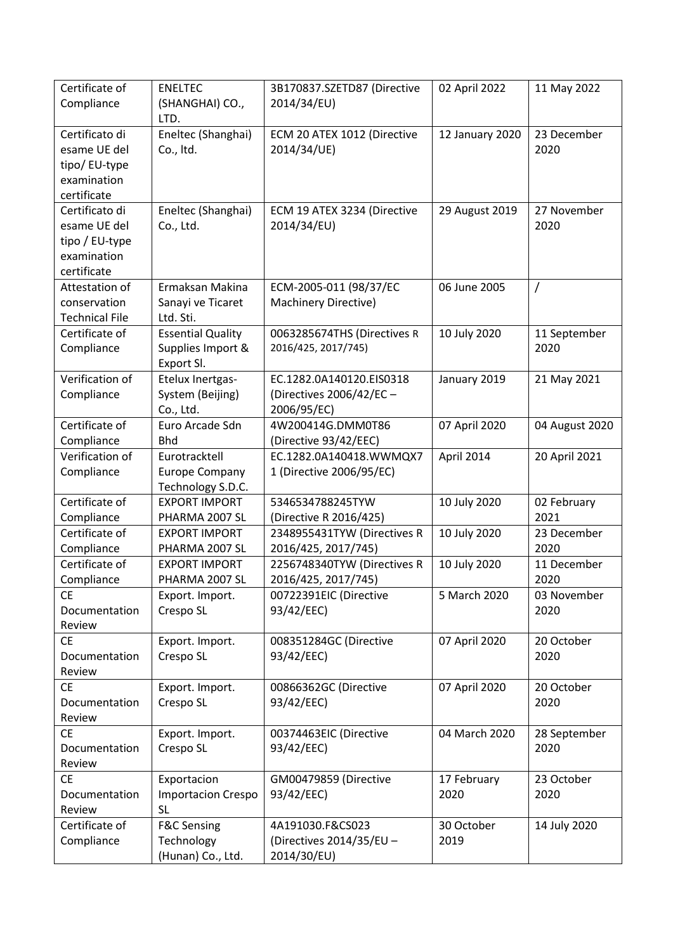| Certificate of<br>Compliance                                                   | <b>ENELTEC</b><br>(SHANGHAI) CO.,<br>LTD.                   | 3B170837.SZETD87 (Directive<br>2014/34/EU)                          | 02 April 2022       | 11 May 2022          |
|--------------------------------------------------------------------------------|-------------------------------------------------------------|---------------------------------------------------------------------|---------------------|----------------------|
| Certificato di<br>esame UE del<br>tipo/ EU-type<br>examination<br>certificate  | Eneltec (Shanghai)<br>Co., Itd.                             | ECM 20 ATEX 1012 (Directive<br>2014/34/UE)                          | 12 January 2020     | 23 December<br>2020  |
| Certificato di<br>esame UE del<br>tipo / EU-type<br>examination<br>certificate | Eneltec (Shanghai)<br>Co., Ltd.                             | ECM 19 ATEX 3234 (Directive<br>2014/34/EU)                          | 29 August 2019      | 27 November<br>2020  |
| Attestation of<br>conservation<br><b>Technical File</b>                        | Ermaksan Makina<br>Sanayi ve Ticaret<br>Ltd. Sti.           | ECM-2005-011 (98/37/EC<br><b>Machinery Directive)</b>               | 06 June 2005        | $\overline{1}$       |
| Certificate of<br>Compliance                                                   | <b>Essential Quality</b><br>Supplies Import &<br>Export SI. | 0063285674THS (Directives R<br>2016/425, 2017/745)                  | 10 July 2020        | 11 September<br>2020 |
| Verification of<br>Compliance                                                  | Etelux Inertgas-<br>System (Beijing)<br>Co., Ltd.           | EC.1282.0A140120.EIS0318<br>(Directives 2006/42/EC -<br>2006/95/EC) | January 2019        | 21 May 2021          |
| Certificate of<br>Compliance                                                   | Euro Arcade Sdn<br><b>Bhd</b>                               | 4W200414G.DMM0T86<br>(Directive 93/42/EEC)                          | 07 April 2020       | 04 August 2020       |
| Verification of<br>Compliance                                                  | Eurotracktell<br><b>Europe Company</b><br>Technology S.D.C. | EC.1282.0A140418.WWMQX7<br>1 (Directive 2006/95/EC)                 | April 2014          | 20 April 2021        |
| Certificate of<br>Compliance                                                   | <b>EXPORT IMPORT</b><br>PHARMA 2007 SL                      | 5346534788245TYW<br>(Directive R 2016/425)                          | 10 July 2020        | 02 February<br>2021  |
| Certificate of<br>Compliance                                                   | <b>EXPORT IMPORT</b><br>PHARMA 2007 SL                      | 2348955431TYW (Directives R<br>2016/425, 2017/745)                  | 10 July 2020        | 23 December<br>2020  |
| Certificate of<br>Compliance                                                   | <b>EXPORT IMPORT</b><br>PHARMA 2007 SL                      | 2256748340TYW (Directives R<br>2016/425, 2017/745)                  | 10 July 2020        | 11 December<br>2020  |
| <b>CE</b><br>Documentation<br>Review                                           | Export. Import.<br>Crespo SL                                | 00722391EIC (Directive<br>93/42/EEC)                                | 5 March 2020        | 03 November<br>2020  |
| <b>CE</b><br>Documentation<br>Review                                           | Export. Import.<br>Crespo SL                                | 008351284GC (Directive<br>93/42/EEC)                                | 07 April 2020       | 20 October<br>2020   |
| <b>CE</b><br>Documentation<br>Review                                           | Export. Import.<br>Crespo SL                                | 00866362GC (Directive<br>93/42/EEC)                                 | 07 April 2020       | 20 October<br>2020   |
| <b>CE</b><br>Documentation<br>Review                                           | Export. Import.<br>Crespo SL                                | 00374463EIC (Directive<br>93/42/EEC)                                | 04 March 2020       | 28 September<br>2020 |
| <b>CE</b><br>Documentation<br>Review                                           | Exportacion<br><b>Importacion Crespo</b><br><b>SL</b>       | GM00479859 (Directive<br>93/42/EEC)                                 | 17 February<br>2020 | 23 October<br>2020   |
| Certificate of<br>Compliance                                                   | <b>F&amp;C Sensing</b><br>Technology<br>(Hunan) Co., Ltd.   | 4A191030.F&CS023<br>(Directives 2014/35/EU -<br>2014/30/EU)         | 30 October<br>2019  | 14 July 2020         |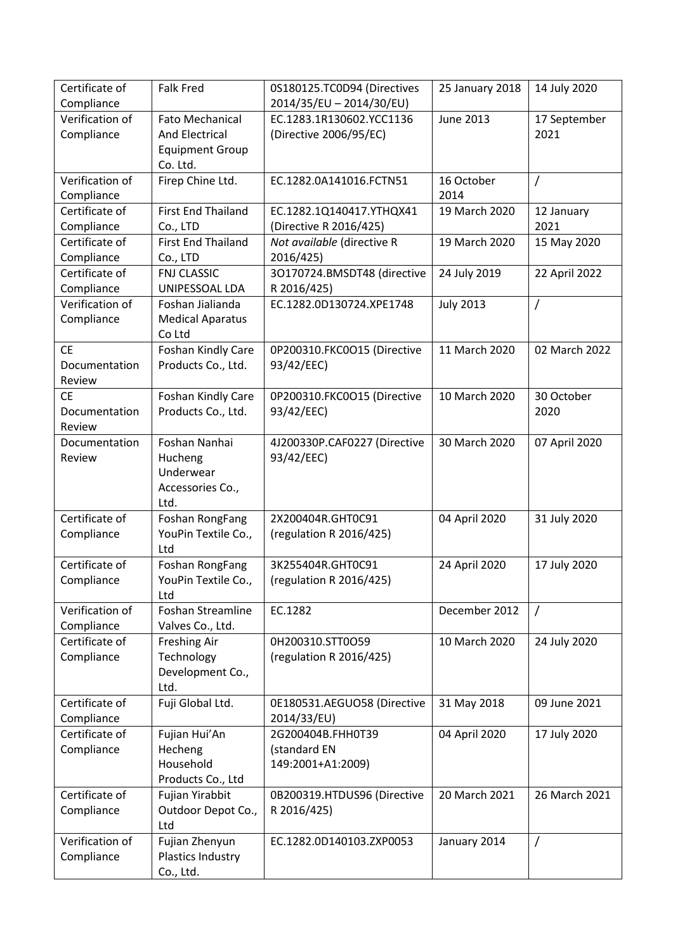| Certificate of                | <b>Falk Fred</b>                  | 0S180125.TC0D94 (Directives             | 25 January 2018  | 14 July 2020   |
|-------------------------------|-----------------------------------|-----------------------------------------|------------------|----------------|
| Compliance                    |                                   | 2014/35/EU - 2014/30/EU)                |                  |                |
| Verification of               | <b>Fato Mechanical</b>            | EC.1283.1R130602.YCC1136                | <b>June 2013</b> | 17 September   |
| Compliance                    | <b>And Electrical</b>             | (Directive 2006/95/EC)                  |                  | 2021           |
|                               | <b>Equipment Group</b>            |                                         |                  |                |
|                               | Co. Ltd.                          |                                         |                  |                |
| Verification of               | Firep Chine Ltd.                  | EC.1282.0A141016.FCTN51                 | 16 October       | $\overline{1}$ |
| Compliance                    |                                   |                                         | 2014             |                |
| Certificate of                | <b>First End Thailand</b>         | EC.1282.1Q140417.YTHQX41                | 19 March 2020    | 12 January     |
| Compliance                    | Co., LTD                          | (Directive R 2016/425)                  |                  | 2021           |
| Certificate of                | <b>First End Thailand</b>         | Not available (directive R              | 19 March 2020    | 15 May 2020    |
| Compliance                    | Co., LTD                          | 2016/425)                               |                  |                |
| Certificate of                | <b>FNJ CLASSIC</b>                | 3O170724.BMSDT48 (directive             | 24 July 2019     | 22 April 2022  |
| Compliance<br>Verification of | UNIPESSOAL LDA                    | R 2016/425)<br>EC.1282.0D130724.XPE1748 |                  |                |
|                               | Foshan Jialianda                  |                                         | <b>July 2013</b> | /              |
| Compliance                    | <b>Medical Aparatus</b><br>Co Ltd |                                         |                  |                |
| <b>CE</b>                     | Foshan Kindly Care                | 0P200310.FKC0O15 (Directive             | 11 March 2020    | 02 March 2022  |
| Documentation                 | Products Co., Ltd.                | 93/42/EEC)                              |                  |                |
| Review                        |                                   |                                         |                  |                |
| <b>CE</b>                     | Foshan Kindly Care                | 0P200310.FKC0O15 (Directive             | 10 March 2020    | 30 October     |
| Documentation                 | Products Co., Ltd.                | 93/42/EEC)                              |                  | 2020           |
| Review                        |                                   |                                         |                  |                |
| Documentation                 | Foshan Nanhai                     | 4J200330P.CAF0227 (Directive            | 30 March 2020    | 07 April 2020  |
| Review                        | Hucheng                           | 93/42/EEC)                              |                  |                |
|                               | Underwear                         |                                         |                  |                |
|                               | Accessories Co.,                  |                                         |                  |                |
|                               | Ltd.                              |                                         |                  |                |
| Certificate of                | Foshan RongFang                   | 2X200404R.GHT0C91                       | 04 April 2020    | 31 July 2020   |
| Compliance                    | YouPin Textile Co.,               | (regulation R 2016/425)                 |                  |                |
|                               | Ltd                               |                                         |                  |                |
| Certificate of                | Foshan RongFang                   | 3K255404R.GHT0C91                       | 24 April 2020    | 17 July 2020   |
| Compliance                    | YouPin Textile Co.,               | (regulation R 2016/425)                 |                  |                |
|                               | Ltd                               |                                         |                  |                |
| Verification of               | <b>Foshan Streamline</b>          | EC.1282                                 | December 2012    | $\prime$       |
| Compliance<br>Certificate of  | Valves Co., Ltd.                  |                                         |                  |                |
|                               | <b>Freshing Air</b>               | 0H200310.STT0O59                        | 10 March 2020    | 24 July 2020   |
| Compliance                    | Technology<br>Development Co.,    | (regulation R 2016/425)                 |                  |                |
|                               | Ltd.                              |                                         |                  |                |
| Certificate of                | Fuji Global Ltd.                  | 0E180531.AEGUO58 (Directive             | 31 May 2018      | 09 June 2021   |
| Compliance                    |                                   | 2014/33/EU)                             |                  |                |
| Certificate of                | Fujian Hui'An                     | 2G200404B.FHH0T39                       | 04 April 2020    | 17 July 2020   |
| Compliance                    | Hecheng                           | (standard EN                            |                  |                |
|                               | Household                         | 149:2001+A1:2009)                       |                  |                |
|                               | Products Co., Ltd                 |                                         |                  |                |
| Certificate of                | Fujian Yirabbit                   | 0B200319.HTDUS96 (Directive             | 20 March 2021    | 26 March 2021  |
| Compliance                    | Outdoor Depot Co.,                | R 2016/425)                             |                  |                |
|                               | Ltd                               |                                         |                  |                |
| Verification of               | Fujian Zhenyun                    | EC.1282.0D140103.ZXP0053                | January 2014     | $\prime$       |
| Compliance                    | Plastics Industry                 |                                         |                  |                |
|                               | Co., Ltd.                         |                                         |                  |                |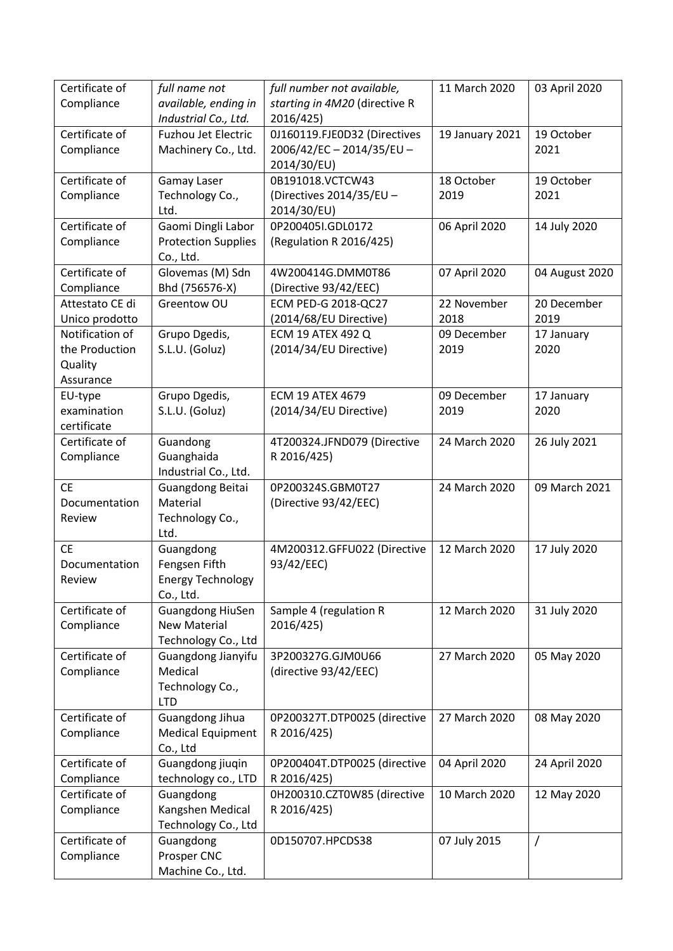| Certificate of<br>Compliance                              | full name not<br>available, ending in<br>Industrial Co., Ltd.         | full number not available,<br>starting in 4M20 (directive R<br>2016/425) | 11 March 2020       | 03 April 2020       |
|-----------------------------------------------------------|-----------------------------------------------------------------------|--------------------------------------------------------------------------|---------------------|---------------------|
| Certificate of<br>Compliance                              | <b>Fuzhou Jet Electric</b><br>Machinery Co., Ltd.                     | 0J160119.FJE0D32 (Directives<br>2006/42/EC-2014/35/EU-<br>2014/30/EU)    | 19 January 2021     | 19 October<br>2021  |
| Certificate of<br>Compliance                              | Gamay Laser<br>Technology Co.,<br>Ltd.                                | 0B191018.VCTCW43<br>(Directives 2014/35/EU -<br>2014/30/EU)              | 18 October<br>2019  | 19 October<br>2021  |
| Certificate of<br>Compliance                              | Gaomi Dingli Labor<br><b>Protection Supplies</b><br>Co., Ltd.         | 0P200405I.GDL0172<br>(Regulation R 2016/425)                             | 06 April 2020       | 14 July 2020        |
| Certificate of<br>Compliance                              | Glovemas (M) Sdn<br>Bhd (756576-X)                                    | 4W200414G.DMM0T86<br>(Directive 93/42/EEC)                               | 07 April 2020       | 04 August 2020      |
| Attestato CE di<br>Unico prodotto                         | Greentow OU                                                           | ECM PED-G 2018-QC27<br>(2014/68/EU Directive)                            | 22 November<br>2018 | 20 December<br>2019 |
| Notification of<br>the Production<br>Quality<br>Assurance | Grupo Dgedis,<br>S.L.U. (Goluz)                                       | <b>ECM 19 ATEX 492 Q</b><br>(2014/34/EU Directive)                       | 09 December<br>2019 | 17 January<br>2020  |
| EU-type<br>examination<br>certificate                     | Grupo Dgedis,<br>S.L.U. (Goluz)                                       | <b>ECM 19 ATEX 4679</b><br>(2014/34/EU Directive)                        | 09 December<br>2019 | 17 January<br>2020  |
| Certificate of<br>Compliance                              | Guandong<br>Guanghaida<br>Industrial Co., Ltd.                        | 4T200324.JFND079 (Directive<br>R 2016/425)                               | 24 March 2020       | 26 July 2021        |
| <b>CE</b><br>Documentation<br>Review                      | Guangdong Beitai<br>Material<br>Technology Co.,<br>Ltd.               | 0P200324S.GBM0T27<br>(Directive 93/42/EEC)                               | 24 March 2020       | 09 March 2021       |
| <b>CE</b><br>Documentation<br>Review                      | Guangdong<br>Fengsen Fifth<br><b>Energy Technology</b><br>Co., Ltd.   | 4M200312.GFFU022 (Directive<br>93/42/EEC)                                | 12 March 2020       | 17 July 2020        |
| Certificate of<br>Compliance                              | <b>Guangdong HiuSen</b><br><b>New Material</b><br>Technology Co., Ltd | Sample 4 (regulation R<br>2016/425)                                      | 12 March 2020       | 31 July 2020        |
| Certificate of<br>Compliance                              | Guangdong Jianyifu<br>Medical<br>Technology Co.,<br><b>LTD</b>        | 3P200327G.GJM0U66<br>(directive 93/42/EEC)                               | 27 March 2020       | 05 May 2020         |
| Certificate of<br>Compliance                              | Guangdong Jihua<br><b>Medical Equipment</b><br>Co., Ltd               | 0P200327T.DTP0025 (directive<br>R 2016/425)                              | 27 March 2020       | 08 May 2020         |
| Certificate of<br>Compliance                              | Guangdong jiuqin<br>technology co., LTD                               | 0P200404T.DTP0025 (directive<br>R 2016/425)                              | 04 April 2020       | 24 April 2020       |
| Certificate of<br>Compliance                              | Guangdong<br>Kangshen Medical<br>Technology Co., Ltd                  | 0H200310.CZT0W85 (directive<br>R 2016/425)                               | 10 March 2020       | 12 May 2020         |
| Certificate of<br>Compliance                              | Guangdong<br>Prosper CNC<br>Machine Co., Ltd.                         | 0D150707.HPCDS38                                                         | 07 July 2015        | $\prime$            |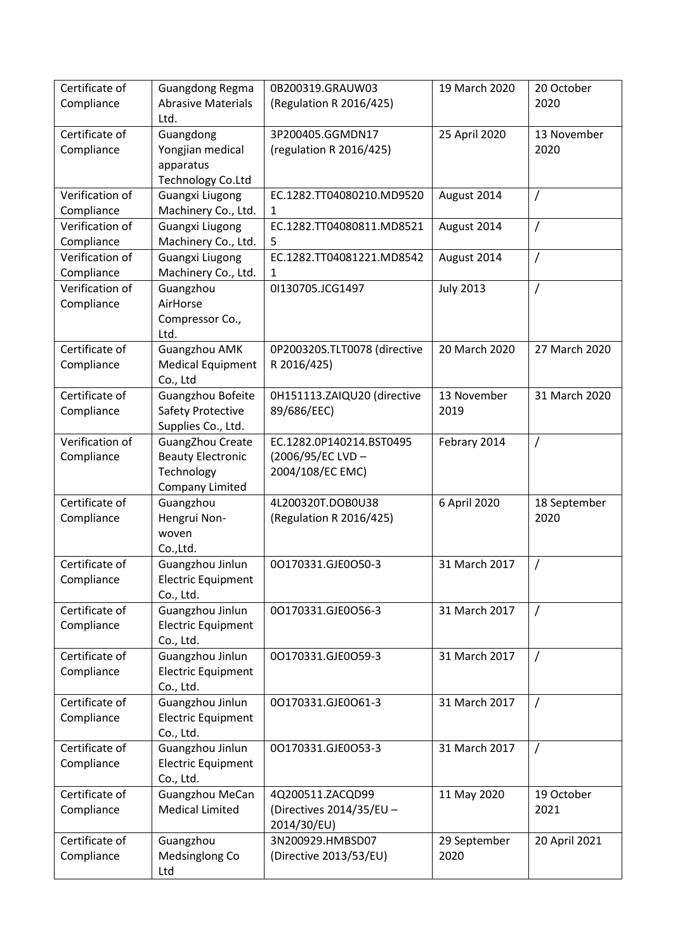| Certificate of<br>Compliance  | Guangdong Regma<br><b>Abrasive Materials</b><br>Ltd.                                 | 0B200319.GRAUW03<br>(Regulation R 2016/425)                       | 19 March 2020        | 20 October<br>2020   |
|-------------------------------|--------------------------------------------------------------------------------------|-------------------------------------------------------------------|----------------------|----------------------|
| Certificate of<br>Compliance  | Guangdong<br>Yongjian medical<br>apparatus<br>Technology Co.Ltd                      | 3P200405.GGMDN17<br>(regulation R 2016/425)                       | 25 April 2020        | 13 November<br>2020  |
| Verification of<br>Compliance | <b>Guangxi Liugong</b><br>Machinery Co., Ltd.                                        | EC.1282.TT04080210.MD9520<br>1                                    | August 2014          | 7                    |
| Verification of<br>Compliance | <b>Guangxi Liugong</b><br>Machinery Co., Ltd.                                        | EC.1282.TT04080811.MD8521<br>5                                    | August 2014          | $\prime$             |
| Verification of<br>Compliance | <b>Guangxi Liugong</b><br>Machinery Co., Ltd.                                        | EC.1282.TT04081221.MD8542<br>1                                    | August 2014          | $\prime$             |
| Verification of<br>Compliance | Guangzhou<br>AirHorse<br>Compressor Co.,<br>Ltd.                                     | 01130705.JCG1497                                                  | <b>July 2013</b>     | $\overline{1}$       |
| Certificate of<br>Compliance  | <b>Guangzhou AMK</b><br><b>Medical Equipment</b><br>Co., Ltd                         | 0P200320S.TLT0078 (directive<br>R 2016/425)                       | 20 March 2020        | 27 March 2020        |
| Certificate of<br>Compliance  | Guangzhou Bofeite<br>Safety Protective<br>Supplies Co., Ltd.                         | 0H151113.ZAIQU20 (directive<br>89/686/EEC)                        | 13 November<br>2019  | 31 March 2020        |
| Verification of<br>Compliance | GuangZhou Create<br><b>Beauty Electronic</b><br>Technology<br><b>Company Limited</b> | EC.1282.0P140214.BST0495<br>(2006/95/EC LVD -<br>2004/108/EC EMC) | Febrary 2014         | $\prime$             |
| Certificate of<br>Compliance  | Guangzhou<br>Hengrui Non-<br>woven<br>Co., Ltd.                                      | 4L200320T.DOB0U38<br>(Regulation R 2016/425)                      | 6 April 2020         | 18 September<br>2020 |
| Certificate of<br>Compliance  | Guangzhou Jinlun<br><b>Electric Equipment</b><br>Co., Ltd.                           | 00170331.GJE0050-3                                                | 31 March 2017        | $\prime$             |
| Certificate of<br>Compliance  | Guangzhou Jinlun<br><b>Electric Equipment</b><br>Co., Ltd.                           | 00170331.GJE0056-3                                                | 31 March 2017        | $\prime$             |
| Certificate of<br>Compliance  | Guangzhou Jinlun<br><b>Electric Equipment</b><br>Co., Ltd.                           | 00170331.GJE0059-3                                                | 31 March 2017        | $\prime$             |
| Certificate of<br>Compliance  | Guangzhou Jinlun<br><b>Electric Equipment</b><br>Co., Ltd.                           | 00170331.GJE0061-3                                                | 31 March 2017        | $\prime$             |
| Certificate of<br>Compliance  | Guangzhou Jinlun<br><b>Electric Equipment</b><br>Co., Ltd.                           | 00170331.GJE0053-3                                                | 31 March 2017        | $\prime$             |
| Certificate of<br>Compliance  | Guangzhou MeCan<br><b>Medical Limited</b>                                            | 4Q200511.ZACQD99<br>(Directives 2014/35/EU -<br>2014/30/EU)       | 11 May 2020          | 19 October<br>2021   |
| Certificate of<br>Compliance  | Guangzhou<br>Medsinglong Co<br>Ltd                                                   | 3N200929.HMBSD07<br>(Directive 2013/53/EU)                        | 29 September<br>2020 | 20 April 2021        |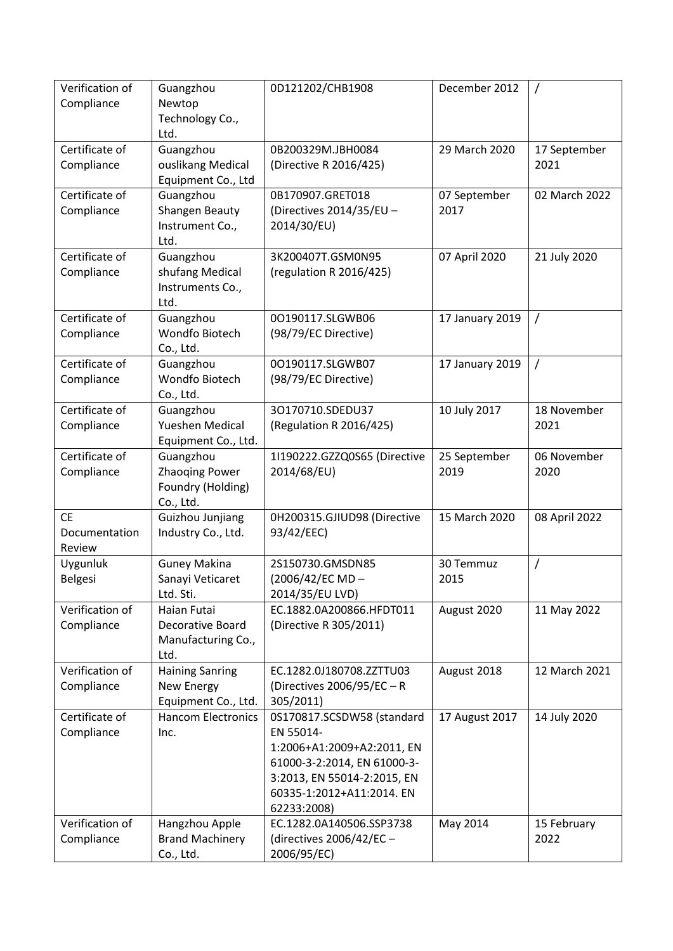| Verification of<br>Compliance        | Guangzhou<br>Newtop<br>Technology Co.,                               | 0D121202/CHB1908                                                                                                                                                                | December 2012        | $\prime$             |
|--------------------------------------|----------------------------------------------------------------------|---------------------------------------------------------------------------------------------------------------------------------------------------------------------------------|----------------------|----------------------|
|                                      | Ltd.                                                                 |                                                                                                                                                                                 |                      |                      |
| Certificate of<br>Compliance         | Guangzhou<br>ouslikang Medical<br>Equipment Co., Ltd                 | 0B200329M.JBH0084<br>(Directive R 2016/425)                                                                                                                                     | 29 March 2020        | 17 September<br>2021 |
| Certificate of<br>Compliance         | Guangzhou<br>Shangen Beauty<br>Instrument Co.,<br>Ltd.               | 0B170907.GRET018<br>(Directives 2014/35/EU -<br>2014/30/EU)                                                                                                                     | 07 September<br>2017 | 02 March 2022        |
| Certificate of<br>Compliance         | Guangzhou<br>shufang Medical<br>Instruments Co.,<br>Ltd.             | 3K200407T.GSM0N95<br>(regulation R 2016/425)                                                                                                                                    | 07 April 2020        | 21 July 2020         |
| Certificate of<br>Compliance         | Guangzhou<br>Wondfo Biotech<br>Co., Ltd.                             | 00190117.SLGWB06<br>(98/79/EC Directive)                                                                                                                                        | 17 January 2019      | $\prime$             |
| Certificate of<br>Compliance         | Guangzhou<br>Wondfo Biotech<br>Co., Ltd.                             | 00190117.SLGWB07<br>(98/79/EC Directive)                                                                                                                                        | 17 January 2019      | $\prime$             |
| Certificate of<br>Compliance         | Guangzhou<br>Yueshen Medical<br>Equipment Co., Ltd.                  | 30170710.SDEDU37<br>(Regulation R 2016/425)                                                                                                                                     | 10 July 2017         | 18 November<br>2021  |
| Certificate of<br>Compliance         | Guangzhou<br><b>Zhaoqing Power</b><br>Foundry (Holding)<br>Co., Ltd. | 1I190222.GZZQ0S65 (Directive<br>2014/68/EU)                                                                                                                                     | 25 September<br>2019 | 06 November<br>2020  |
| <b>CE</b><br>Documentation<br>Review | Guizhou Junjiang<br>Industry Co., Ltd.                               | 0H200315.GJIUD98 (Directive<br>93/42/EEC)                                                                                                                                       | 15 March 2020        | 08 April 2022        |
| Uygunluk<br>Belgesi                  | <b>Guney Makina</b><br>Sanayi Veticaret<br>Ltd. Sti.                 | 2S150730.GMSDN85<br>(2006/42/EC MD-<br>2014/35/EU LVD)                                                                                                                          | 30 Temmuz<br>2015    | $\prime$             |
| Verification of<br>Compliance        | Haian Futai<br>Decorative Board<br>Manufacturing Co.,<br>Ltd.        | EC.1882.0A200866.HFDT011<br>(Directive R 305/2011)                                                                                                                              | August 2020          | 11 May 2022          |
| Verification of<br>Compliance        | <b>Haining Sanring</b><br>New Energy<br>Equipment Co., Ltd.          | EC.1282.0J180708.ZZTTU03<br>(Directives 2006/95/EC - R<br>305/2011)                                                                                                             | August 2018          | 12 March 2021        |
| Certificate of<br>Compliance         | <b>Hancom Electronics</b><br>Inc.                                    | 0S170817.SCSDW58 (standard<br>EN 55014-<br>1:2006+A1:2009+A2:2011, EN<br>61000-3-2:2014, EN 61000-3-<br>3:2013, EN 55014-2:2015, EN<br>60335-1:2012+A11:2014. EN<br>62233:2008) | 17 August 2017       | 14 July 2020         |
| Verification of<br>Compliance        | Hangzhou Apple<br><b>Brand Machinery</b><br>Co., Ltd.                | EC.1282.0A140506.SSP3738<br>(directives 2006/42/EC -<br>2006/95/EC)                                                                                                             | May 2014             | 15 February<br>2022  |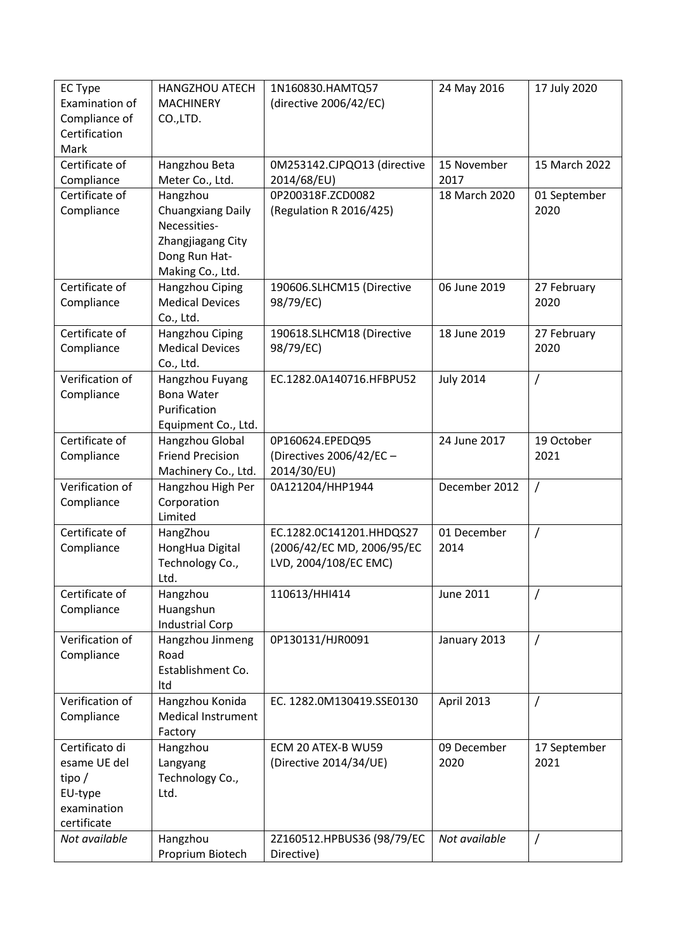| <b>EC Type</b>  | <b>HANGZHOU ATECH</b>                     | 1N160830.HAMTQ57                       | 24 May 2016      | 17 July 2020        |
|-----------------|-------------------------------------------|----------------------------------------|------------------|---------------------|
| Examination of  | <b>MACHINERY</b>                          | (directive 2006/42/EC)                 |                  |                     |
| Compliance of   | CO.,LTD.                                  |                                        |                  |                     |
| Certification   |                                           |                                        |                  |                     |
| Mark            |                                           |                                        |                  |                     |
| Certificate of  | Hangzhou Beta                             | 0M253142.CJPQO13 (directive            | 15 November      | 15 March 2022       |
| Compliance      | Meter Co., Ltd.                           | 2014/68/EU)                            | 2017             |                     |
| Certificate of  | Hangzhou                                  | 0P200318F.ZCD0082                      | 18 March 2020    | 01 September        |
| Compliance      | <b>Chuangxiang Daily</b>                  | (Regulation R 2016/425)                |                  | 2020                |
|                 | Necessities-                              |                                        |                  |                     |
|                 | Zhangjiagang City                         |                                        |                  |                     |
|                 | Dong Run Hat-                             |                                        |                  |                     |
|                 | Making Co., Ltd.                          |                                        |                  |                     |
| Certificate of  | Hangzhou Ciping<br><b>Medical Devices</b> | 190606.SLHCM15 (Directive              | 06 June 2019     | 27 February<br>2020 |
| Compliance      |                                           | 98/79/EC)                              |                  |                     |
| Certificate of  | Co., Ltd.<br>Hangzhou Ciping              |                                        | 18 June 2019     |                     |
| Compliance      | <b>Medical Devices</b>                    | 190618.SLHCM18 (Directive<br>98/79/EC) |                  | 27 February<br>2020 |
|                 | Co., Ltd.                                 |                                        |                  |                     |
| Verification of | Hangzhou Fuyang                           | EC.1282.0A140716.HFBPU52               | <b>July 2014</b> | $\prime$            |
| Compliance      | <b>Bona Water</b>                         |                                        |                  |                     |
|                 | Purification                              |                                        |                  |                     |
|                 | Equipment Co., Ltd.                       |                                        |                  |                     |
| Certificate of  | Hangzhou Global                           | 0P160624.EPEDQ95                       | 24 June 2017     | 19 October          |
| Compliance      | <b>Friend Precision</b>                   | (Directives 2006/42/EC -               |                  | 2021                |
|                 | Machinery Co., Ltd.                       | 2014/30/EU)                            |                  |                     |
| Verification of | Hangzhou High Per                         | 0A121204/HHP1944                       | December 2012    | $\overline{1}$      |
| Compliance      | Corporation                               |                                        |                  |                     |
|                 | Limited                                   |                                        |                  |                     |
| Certificate of  | HangZhou                                  | EC.1282.0C141201.HHDQS27               | 01 December      | $\overline{1}$      |
| Compliance      | HongHua Digital                           | (2006/42/EC MD, 2006/95/EC             | 2014             |                     |
|                 | Technology Co.,                           | LVD, 2004/108/EC EMC)                  |                  |                     |
|                 | Ltd.                                      |                                        |                  |                     |
| Certificate of  | Hangzhou                                  | 110613/HHI414                          | June 2011        | $\prime$            |
| Compliance      | Huangshun                                 |                                        |                  |                     |
|                 | <b>Industrial Corp</b>                    |                                        |                  |                     |
| Verification of | Hangzhou Jinmeng                          | 0P130131/HJR0091                       | January 2013     | $\sqrt{ }$          |
| Compliance      | Road<br>Establishment Co.                 |                                        |                  |                     |
|                 | Itd                                       |                                        |                  |                     |
| Verification of | Hangzhou Konida                           | EC. 1282.0M130419.SSE0130              | April 2013       | $\prime$            |
| Compliance      | <b>Medical Instrument</b>                 |                                        |                  |                     |
|                 | Factory                                   |                                        |                  |                     |
| Certificato di  | Hangzhou                                  | ECM 20 ATEX-B WU59                     | 09 December      | 17 September        |
| esame UE del    | Langyang                                  | (Directive 2014/34/UE)                 | 2020             | 2021                |
| tipo/           | Technology Co.,                           |                                        |                  |                     |
| EU-type         | Ltd.                                      |                                        |                  |                     |
| examination     |                                           |                                        |                  |                     |
| certificate     |                                           |                                        |                  |                     |
| Not available   | Hangzhou                                  | 2Z160512.HPBUS36 (98/79/EC             | Not available    | $\prime$            |
|                 | Proprium Biotech                          | Directive)                             |                  |                     |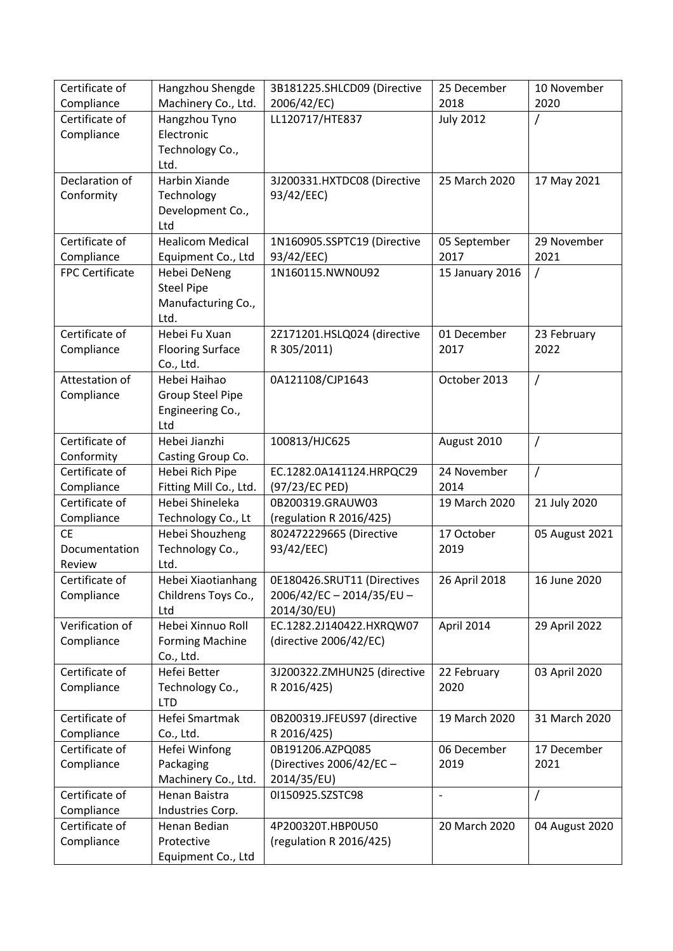| Certificate of               | Hangzhou Shengde                          | 3B181225.SHLCD09 (Directive        | 25 December      | 10 November    |
|------------------------------|-------------------------------------------|------------------------------------|------------------|----------------|
| Compliance                   | Machinery Co., Ltd.                       | 2006/42/EC)                        | 2018             | 2020           |
| Certificate of               | Hangzhou Tyno                             | LL120717/HTE837                    | <b>July 2012</b> | /              |
| Compliance                   | Electronic                                |                                    |                  |                |
|                              | Technology Co.,                           |                                    |                  |                |
|                              | Ltd.                                      |                                    |                  |                |
| Declaration of               | Harbin Xiande                             | 3J200331.HXTDC08 (Directive        | 25 March 2020    | 17 May 2021    |
| Conformity                   | Technology                                | 93/42/EEC)                         |                  |                |
|                              | Development Co.,                          |                                    |                  |                |
|                              | Ltd                                       |                                    |                  |                |
| Certificate of               | <b>Healicom Medical</b>                   | 1N160905.SSPTC19 (Directive        | 05 September     | 29 November    |
| Compliance                   | Equipment Co., Ltd                        | 93/42/EEC)                         | 2017             | 2021           |
| <b>FPC Certificate</b>       | Hebei DeNeng                              | 1N160115.NWN0U92                   | 15 January 2016  | 1              |
|                              | <b>Steel Pipe</b>                         |                                    |                  |                |
|                              | Manufacturing Co.,                        |                                    |                  |                |
|                              | Ltd.                                      |                                    |                  |                |
| Certificate of               | Hebei Fu Xuan                             | 2Z171201.HSLQ024 (directive        | 01 December      | 23 February    |
| Compliance                   | <b>Flooring Surface</b>                   | R 305/2011)                        | 2017             | 2022           |
|                              | Co., Ltd.                                 |                                    |                  |                |
| Attestation of               | Hebei Haihao                              | 0A121108/CJP1643                   | October 2013     | /              |
| Compliance                   | <b>Group Steel Pipe</b>                   |                                    |                  |                |
|                              | Engineering Co.,                          |                                    |                  |                |
|                              | Ltd                                       |                                    |                  |                |
| Certificate of               | Hebei Jianzhi                             | 100813/HJC625                      | August 2010      | /              |
| Conformity<br>Certificate of | Casting Group Co.                         |                                    | 24 November      |                |
|                              | Hebei Rich Pipe                           | EC.1282.0A141124.HRPQC29           | 2014             | $\overline{1}$ |
| Compliance<br>Certificate of | Fitting Mill Co., Ltd.<br>Hebei Shineleka | (97/23/EC PED)<br>0B200319.GRAUW03 | 19 March 2020    | 21 July 2020   |
| Compliance                   | Technology Co., Lt                        | (regulation R 2016/425)            |                  |                |
| <b>CE</b>                    | Hebei Shouzheng                           | 802472229665 (Directive            | 17 October       | 05 August 2021 |
| Documentation                | Technology Co.,                           | 93/42/EEC)                         | 2019             |                |
| Review                       | Ltd.                                      |                                    |                  |                |
| Certificate of               | Hebei Xiaotianhang                        | 0E180426.SRUT11 (Directives        | 26 April 2018    | 16 June 2020   |
| Compliance                   | Childrens Toys Co.,                       | 2006/42/EC-2014/35/EU-             |                  |                |
|                              | Ltd                                       | 2014/30/EU)                        |                  |                |
| Verification of              | Hebei Xinnuo Roll                         | EC.1282.2J140422.HXRQW07           | April 2014       | 29 April 2022  |
| Compliance                   | <b>Forming Machine</b>                    | (directive 2006/42/EC)             |                  |                |
|                              | Co., Ltd.                                 |                                    |                  |                |
| Certificate of               | Hefei Better                              | 3J200322.ZMHUN25 (directive        | 22 February      | 03 April 2020  |
| Compliance                   | Technology Co.,                           | R 2016/425)                        | 2020             |                |
|                              | <b>LTD</b>                                |                                    |                  |                |
| Certificate of               | Hefei Smartmak                            | 0B200319.JFEUS97 (directive        | 19 March 2020    | 31 March 2020  |
| Compliance                   | Co., Ltd.                                 | R 2016/425)                        |                  |                |
| Certificate of               | Hefei Winfong                             | 0B191206.AZPQ085                   | 06 December      | 17 December    |
| Compliance                   | Packaging                                 | (Directives 2006/42/EC -           | 2019             | 2021           |
|                              | Machinery Co., Ltd.                       | 2014/35/EU)                        |                  |                |
| Certificate of               | Henan Baistra                             | 01150925.SZSTC98                   | $\frac{1}{2}$    | /              |
| Compliance                   | Industries Corp.                          |                                    |                  |                |
| Certificate of               | Henan Bedian                              | 4P200320T.HBP0U50                  | 20 March 2020    | 04 August 2020 |
| Compliance                   | Protective                                | (regulation R 2016/425)            |                  |                |
|                              | Equipment Co., Ltd                        |                                    |                  |                |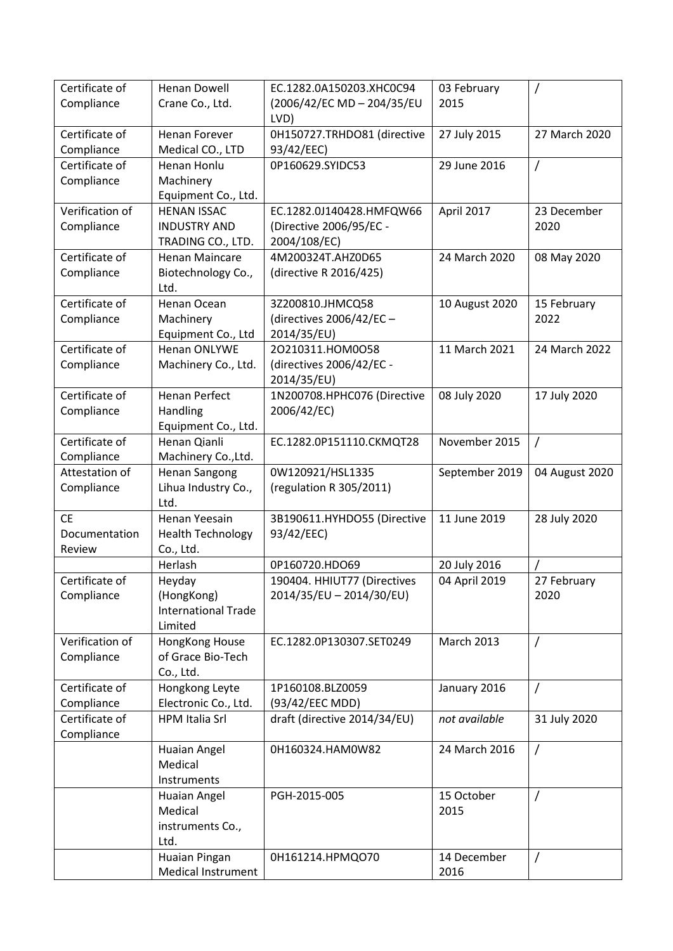| Certificate of<br>Compliance | <b>Henan Dowell</b><br>Crane Co., Ltd. | EC.1282.0A150203.XHC0C94<br>(2006/42/EC MD - 204/35/EU | 03 February<br>2015 | $\prime$       |
|------------------------------|----------------------------------------|--------------------------------------------------------|---------------------|----------------|
| Certificate of               | <b>Henan Forever</b>                   | LVD)<br>0H150727.TRHDO81 (directive                    | 27 July 2015        | 27 March 2020  |
| Compliance<br>Certificate of | Medical CO., LTD<br>Henan Honlu        | 93/42/EEC)<br>0P160629.SYIDC53                         | 29 June 2016        | $\overline{1}$ |
| Compliance                   | Machinery                              |                                                        |                     |                |
|                              | Equipment Co., Ltd.                    |                                                        |                     |                |
| Verification of              | <b>HENAN ISSAC</b>                     | EC.1282.0J140428.HMFQW66                               | April 2017          | 23 December    |
| Compliance                   | <b>INDUSTRY AND</b>                    | (Directive 2006/95/EC -                                |                     | 2020           |
|                              | TRADING CO., LTD.                      | 2004/108/EC)                                           |                     |                |
| Certificate of               | <b>Henan Maincare</b>                  | 4M200324T.AHZ0D65                                      | 24 March 2020       | 08 May 2020    |
| Compliance                   | Biotechnology Co.,                     | (directive R 2016/425)                                 |                     |                |
|                              | Ltd.                                   |                                                        |                     |                |
| Certificate of               | Henan Ocean                            | 3Z200810.JHMCQ58                                       | 10 August 2020      | 15 February    |
| Compliance                   | Machinery                              | (directives 2006/42/EC -                               |                     | 2022           |
|                              | Equipment Co., Ltd                     | 2014/35/EU)                                            |                     |                |
| Certificate of               | Henan ONLYWE                           | 20210311.HOM0058                                       | 11 March 2021       | 24 March 2022  |
| Compliance                   | Machinery Co., Ltd.                    | (directives 2006/42/EC -                               |                     |                |
|                              |                                        | 2014/35/EU)                                            |                     |                |
| Certificate of               | <b>Henan Perfect</b>                   | 1N200708.HPHC076 (Directive                            | 08 July 2020        | 17 July 2020   |
| Compliance                   | Handling                               | 2006/42/EC)                                            |                     |                |
|                              | Equipment Co., Ltd.                    |                                                        |                     |                |
| Certificate of               | Henan Qianli                           | EC.1282.0P151110.CKMQT28                               | November 2015       | $\overline{1}$ |
| Compliance                   | Machinery Co., Ltd.                    |                                                        |                     |                |
| Attestation of               | <b>Henan Sangong</b>                   | 0W120921/HSL1335                                       | September 2019      | 04 August 2020 |
| Compliance                   | Lihua Industry Co.,                    | (regulation R 305/2011)                                |                     |                |
|                              | Ltd.                                   |                                                        |                     |                |
| <b>CE</b>                    | Henan Yeesain                          | 3B190611.HYHDO55 (Directive                            | 11 June 2019        | 28 July 2020   |
| Documentation                | <b>Health Technology</b>               | 93/42/EEC)                                             |                     |                |
| Review                       | Co., Ltd.                              |                                                        |                     |                |
|                              | Herlash                                | 0P160720.HDO69                                         | 20 July 2016        |                |
| Certificate of               | Heyday                                 | 190404. HHIUT77 (Directives                            | 04 April 2019       | 27 February    |
| Compliance                   | (HongKong)                             | 2014/35/EU - 2014/30/EU)                               |                     | 2020           |
|                              | <b>International Trade</b>             |                                                        |                     |                |
|                              | Limited                                |                                                        |                     |                |
| Verification of              | HongKong House                         | EC.1282.0P130307.SET0249                               | <b>March 2013</b>   | $\prime$       |
| Compliance                   | of Grace Bio-Tech                      |                                                        |                     |                |
| Certificate of               | Co., Ltd.<br>Hongkong Leyte            | 1P160108.BLZ0059                                       | January 2016        | $\prime$       |
| Compliance                   | Electronic Co., Ltd.                   | (93/42/EEC MDD)                                        |                     |                |
| Certificate of               | <b>HPM Italia Srl</b>                  | draft (directive 2014/34/EU)                           | not available       | 31 July 2020   |
| Compliance                   |                                        |                                                        |                     |                |
|                              | Huaian Angel                           | 0H160324.HAM0W82                                       | 24 March 2016       | $\prime$       |
|                              | Medical                                |                                                        |                     |                |
|                              | Instruments                            |                                                        |                     |                |
|                              | Huaian Angel                           | PGH-2015-005                                           | 15 October          | $\prime$       |
|                              | Medical                                |                                                        | 2015                |                |
|                              | instruments Co.,                       |                                                        |                     |                |
|                              | Ltd.                                   |                                                        |                     |                |
|                              | Huaian Pingan                          | 0H161214.HPMQO70                                       | 14 December         | $\prime$       |
|                              | <b>Medical Instrument</b>              |                                                        | 2016                |                |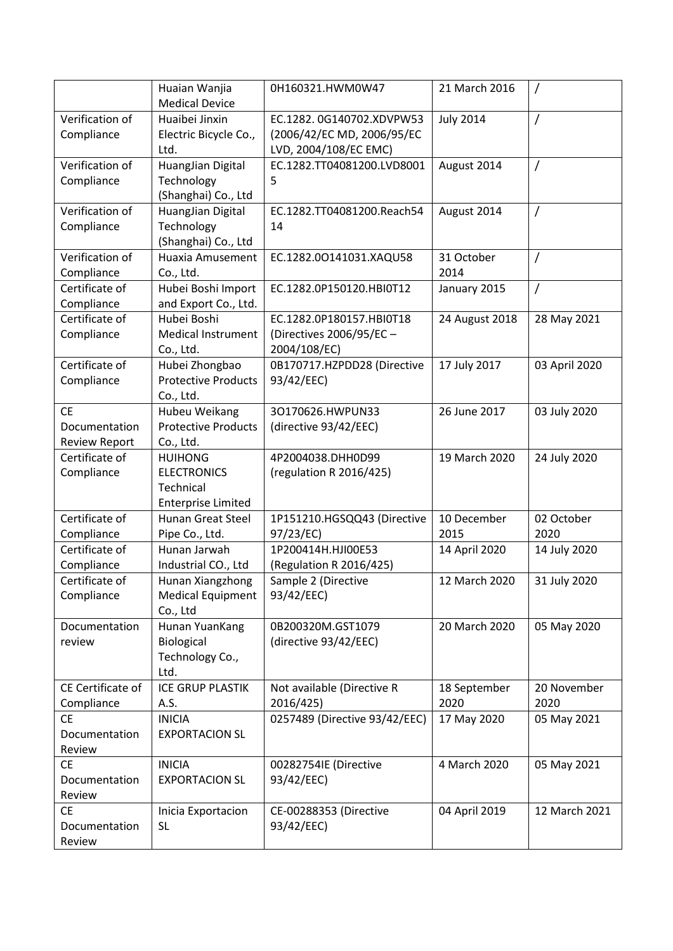|                      | Huaian Wanjia<br><b>Medical Device</b> | 0H160321.HWM0W47              | 21 March 2016    | $\prime$      |
|----------------------|----------------------------------------|-------------------------------|------------------|---------------|
| Verification of      | Huaibei Jinxin                         | EC.1282.0G140702.XDVPW53      | <b>July 2014</b> | $\prime$      |
|                      |                                        |                               |                  |               |
| Compliance           | Electric Bicycle Co.,                  | (2006/42/EC MD, 2006/95/EC    |                  |               |
|                      | Ltd.                                   | LVD, 2004/108/EC EMC)         |                  |               |
| Verification of      | HuangJian Digital                      | EC.1282.TT04081200.LVD8001    | August 2014      | $\prime$      |
| Compliance           | Technology                             | 5                             |                  |               |
|                      | (Shanghai) Co., Ltd                    |                               |                  |               |
| Verification of      | HuangJian Digital                      | EC.1282.TT04081200.Reach54    | August 2014      | $\prime$      |
| Compliance           | Technology                             | 14                            |                  |               |
|                      | (Shanghai) Co., Ltd                    |                               |                  |               |
| Verification of      | Huaxia Amusement                       | EC.1282.00141031.XAQU58       | 31 October       | $\prime$      |
| Compliance           | Co., Ltd.                              |                               | 2014             |               |
| Certificate of       | Hubei Boshi Import                     | EC.1282.0P150120.HBI0T12      | January 2015     | $\prime$      |
| Compliance           | and Export Co., Ltd.                   |                               |                  |               |
| Certificate of       | Hubei Boshi                            | EC.1282.0P180157.HBI0T18      |                  |               |
|                      |                                        |                               | 24 August 2018   | 28 May 2021   |
| Compliance           | <b>Medical Instrument</b>              | (Directives 2006/95/EC -      |                  |               |
|                      | Co., Ltd.                              | 2004/108/EC)                  |                  |               |
| Certificate of       | Hubei Zhongbao                         | 0B170717.HZPDD28 (Directive   | 17 July 2017     | 03 April 2020 |
| Compliance           | <b>Protective Products</b>             | 93/42/EEC)                    |                  |               |
|                      | Co., Ltd.                              |                               |                  |               |
| <b>CE</b>            | Hubeu Weikang                          | 30170626.HWPUN33              | 26 June 2017     | 03 July 2020  |
| Documentation        | <b>Protective Products</b>             | (directive 93/42/EEC)         |                  |               |
| <b>Review Report</b> | Co., Ltd.                              |                               |                  |               |
| Certificate of       | <b>HUIHONG</b>                         | 4P2004038.DHH0D99             | 19 March 2020    | 24 July 2020  |
| Compliance           | <b>ELECTRONICS</b>                     | (regulation R 2016/425)       |                  |               |
|                      | Technical                              |                               |                  |               |
|                      | <b>Enterprise Limited</b>              |                               |                  |               |
| Certificate of       | <b>Hunan Great Steel</b>               | 1P151210.HGSQQ43 (Directive   | 10 December      | 02 October    |
| Compliance           | Pipe Co., Ltd.                         | 97/23/EC)                     | 2015             | 2020          |
| Certificate of       | Hunan Jarwah                           | 1P200414H.HJI00E53            | 14 April 2020    | 14 July 2020  |
| Compliance           | Industrial CO., Ltd                    | (Regulation R 2016/425)       |                  |               |
|                      |                                        |                               |                  |               |
| Certificate of       | Hunan Xiangzhong                       | Sample 2 (Directive           | 12 March 2020    | 31 July 2020  |
| Compliance           | <b>Medical Equipment</b>               | 93/42/EEC)                    |                  |               |
|                      | Co., Ltd                               |                               |                  |               |
| Documentation        | Hunan YuanKang                         | 0B200320M.GST1079             | 20 March 2020    | 05 May 2020   |
| review               | Biological                             | (directive 93/42/EEC)         |                  |               |
|                      | Technology Co.,                        |                               |                  |               |
|                      | Ltd.                                   |                               |                  |               |
| CE Certificate of    | <b>ICE GRUP PLASTIK</b>                | Not available (Directive R    | 18 September     | 20 November   |
| Compliance           | A.S.                                   | 2016/425)                     | 2020             | 2020          |
| <b>CE</b>            | <b>INICIA</b>                          | 0257489 (Directive 93/42/EEC) | 17 May 2020      | 05 May 2021   |
| Documentation        | <b>EXPORTACION SL</b>                  |                               |                  |               |
| Review               |                                        |                               |                  |               |
| <b>CE</b>            | <b>INICIA</b>                          | 00282754IE (Directive         | 4 March 2020     | 05 May 2021   |
| Documentation        | <b>EXPORTACION SL</b>                  | 93/42/EEC)                    |                  |               |
| Review               |                                        |                               |                  |               |
|                      |                                        |                               |                  |               |
| <b>CE</b>            | Inicia Exportacion                     | CE-00288353 (Directive        | 04 April 2019    | 12 March 2021 |
| Documentation        | <b>SL</b>                              | 93/42/EEC)                    |                  |               |
| Review               |                                        |                               |                  |               |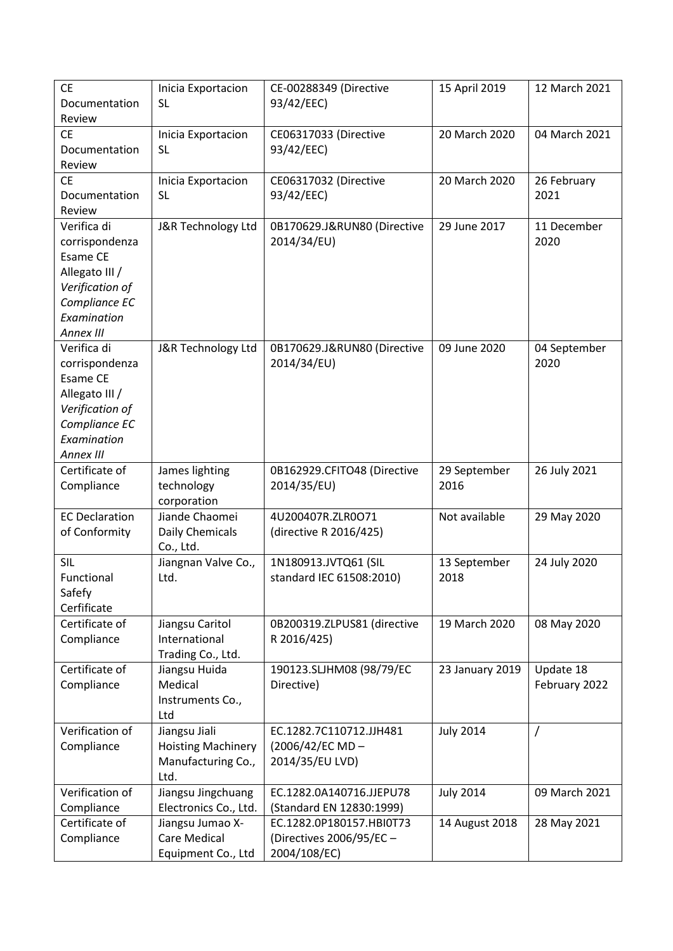| <b>CE</b>             | Inicia Exportacion        | CE-00288349 (Directive      | 15 April 2019    | 12 March 2021 |
|-----------------------|---------------------------|-----------------------------|------------------|---------------|
| Documentation         | <b>SL</b>                 | 93/42/EEC)                  |                  |               |
| Review                |                           |                             |                  |               |
| <b>CE</b>             | Inicia Exportacion        | CE06317033 (Directive       | 20 March 2020    | 04 March 2021 |
| Documentation         | <b>SL</b>                 | 93/42/EEC)                  |                  |               |
| Review                |                           |                             |                  |               |
| <b>CE</b>             | Inicia Exportacion        | CE06317032 (Directive       | 20 March 2020    | 26 February   |
| Documentation         | <b>SL</b>                 | 93/42/EEC)                  |                  | 2021          |
| Review                |                           |                             |                  |               |
| Verifica di           | J&R Technology Ltd        | 0B170629.J&RUN80 (Directive | 29 June 2017     | 11 December   |
| corrispondenza        |                           | 2014/34/EU)                 |                  | 2020          |
| Esame CE              |                           |                             |                  |               |
| Allegato III /        |                           |                             |                  |               |
| Verification of       |                           |                             |                  |               |
| Compliance EC         |                           |                             |                  |               |
| Examination           |                           |                             |                  |               |
| Annex III             |                           |                             |                  |               |
| Verifica di           | J&R Technology Ltd        | 0B170629.J&RUN80 (Directive | 09 June 2020     | 04 September  |
| corrispondenza        |                           | 2014/34/EU)                 |                  | 2020          |
| <b>Esame CE</b>       |                           |                             |                  |               |
| Allegato III /        |                           |                             |                  |               |
| Verification of       |                           |                             |                  |               |
| Compliance EC         |                           |                             |                  |               |
| Examination           |                           |                             |                  |               |
| Annex III             |                           |                             |                  |               |
| Certificate of        | James lighting            | 0B162929.CFITO48 (Directive | 29 September     | 26 July 2021  |
| Compliance            | technology                | 2014/35/EU)                 | 2016             |               |
|                       | corporation               |                             |                  |               |
| <b>EC Declaration</b> | Jiande Chaomei            | 4U200407R.ZLR0O71           | Not available    | 29 May 2020   |
| of Conformity         | Daily Chemicals           | (directive R 2016/425)      |                  |               |
|                       | Co., Ltd.                 |                             |                  |               |
| <b>SIL</b>            | Jiangnan Valve Co.,       | 1N180913.JVTQ61 (SIL        | 13 September     | 24 July 2020  |
| Functional            | Ltd.                      | standard IEC 61508:2010)    | 2018             |               |
| Safefy                |                           |                             |                  |               |
| Cerfificate           |                           |                             |                  |               |
| Certificate of        | Jiangsu Caritol           | 0B200319.ZLPUS81 (directive | 19 March 2020    | 08 May 2020   |
| Compliance            | International             | R 2016/425)                 |                  |               |
|                       | Trading Co., Ltd.         |                             |                  |               |
| Certificate of        | Jiangsu Huida             | 190123.SLJHM08 (98/79/EC    | 23 January 2019  | Update 18     |
| Compliance            | Medical                   | Directive)                  |                  | February 2022 |
|                       | Instruments Co.,          |                             |                  |               |
|                       | Ltd                       |                             |                  |               |
| Verification of       | Jiangsu Jiali             | EC.1282.7C110712.JJH481     | <b>July 2014</b> | Τ             |
| Compliance            | <b>Hoisting Machinery</b> | $(2006/42/EC MD -$          |                  |               |
|                       | Manufacturing Co.,        | 2014/35/EU LVD)             |                  |               |
|                       | Ltd.                      |                             |                  |               |
| Verification of       | Jiangsu Jingchuang        | EC.1282.0A140716.JJEPU78    | <b>July 2014</b> | 09 March 2021 |
| Compliance            | Electronics Co., Ltd.     | (Standard EN 12830:1999)    |                  |               |
| Certificate of        | Jiangsu Jumao X-          | EC.1282.0P180157.HBI0T73    | 14 August 2018   | 28 May 2021   |
| Compliance            | Care Medical              | (Directives 2006/95/EC -    |                  |               |
|                       | Equipment Co., Ltd        | 2004/108/EC)                |                  |               |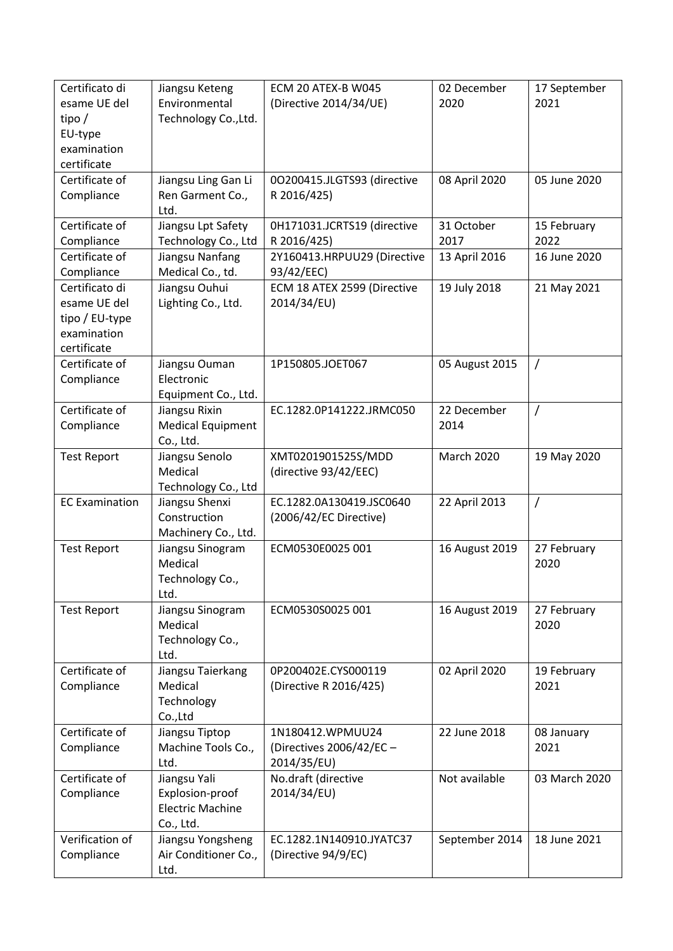| Certificato di<br>esame UE del<br>tipo $/$<br>EU-type<br>examination<br>certificate | Jiangsu Keteng<br>Environmental<br>Technology Co., Ltd.                 | ECM 20 ATEX-B W045<br>(Directive 2014/34/UE)                | 02 December<br>2020 | 17 September<br>2021 |
|-------------------------------------------------------------------------------------|-------------------------------------------------------------------------|-------------------------------------------------------------|---------------------|----------------------|
| Certificate of<br>Compliance                                                        | Jiangsu Ling Gan Li<br>Ren Garment Co.,<br>Ltd.                         | 0O200415.JLGTS93 (directive<br>R 2016/425)                  | 08 April 2020       | 05 June 2020         |
| Certificate of<br>Compliance                                                        | Jiangsu Lpt Safety<br>Technology Co., Ltd                               | 0H171031.JCRTS19 (directive<br>R 2016/425)                  | 31 October<br>2017  | 15 February<br>2022  |
| Certificate of<br>Compliance                                                        | Jiangsu Nanfang<br>Medical Co., td.                                     | 2Y160413.HRPUU29 (Directive<br>93/42/EEC)                   | 13 April 2016       | 16 June 2020         |
| Certificato di<br>esame UE del<br>tipo / EU-type<br>examination<br>certificate      | Jiangsu Ouhui<br>Lighting Co., Ltd.                                     | ECM 18 ATEX 2599 (Directive<br>2014/34/EU)                  | 19 July 2018        | 21 May 2021          |
| Certificate of<br>Compliance                                                        | Jiangsu Ouman<br>Electronic<br>Equipment Co., Ltd.                      | 1P150805.JOET067                                            | 05 August 2015      | $\prime$             |
| Certificate of<br>Compliance                                                        | Jiangsu Rixin<br><b>Medical Equipment</b><br>Co., Ltd.                  | EC.1282.0P141222.JRMC050                                    | 22 December<br>2014 | $\prime$             |
| <b>Test Report</b>                                                                  | Jiangsu Senolo<br>Medical<br>Technology Co., Ltd                        | XMT0201901525S/MDD<br>(directive 93/42/EEC)                 | <b>March 2020</b>   | 19 May 2020          |
| <b>EC Examination</b>                                                               | Jiangsu Shenxi<br>Construction<br>Machinery Co., Ltd.                   | EC.1282.0A130419.JSC0640<br>(2006/42/EC Directive)          | 22 April 2013       | $\prime$             |
| <b>Test Report</b>                                                                  | Jiangsu Sinogram<br>Medical<br>Technology Co.,<br>Ltd.                  | ECM0530E0025 001                                            | 16 August 2019      | 27 February<br>2020  |
| <b>Test Report</b>                                                                  | Jiangsu Sinogram<br>Medical<br>Technology Co.,<br>Ltd.                  | ECM0530S0025 001                                            | 16 August 2019      | 27 February<br>2020  |
| Certificate of<br>Compliance                                                        | Jiangsu Taierkang<br>Medical<br>Technology<br>Co.,Ltd                   | 0P200402E.CYS000119<br>(Directive R 2016/425)               | 02 April 2020       | 19 February<br>2021  |
| Certificate of<br>Compliance                                                        | Jiangsu Tiptop<br>Machine Tools Co.,<br>Ltd.                            | 1N180412.WPMUU24<br>(Directives 2006/42/EC -<br>2014/35/EU) | 22 June 2018        | 08 January<br>2021   |
| Certificate of<br>Compliance                                                        | Jiangsu Yali<br>Explosion-proof<br><b>Electric Machine</b><br>Co., Ltd. | No.draft (directive<br>2014/34/EU)                          | Not available       | 03 March 2020        |
| Verification of<br>Compliance                                                       | Jiangsu Yongsheng<br>Air Conditioner Co.,<br>Ltd.                       | EC.1282.1N140910.JYATC37<br>(Directive 94/9/EC)             | September 2014      | 18 June 2021         |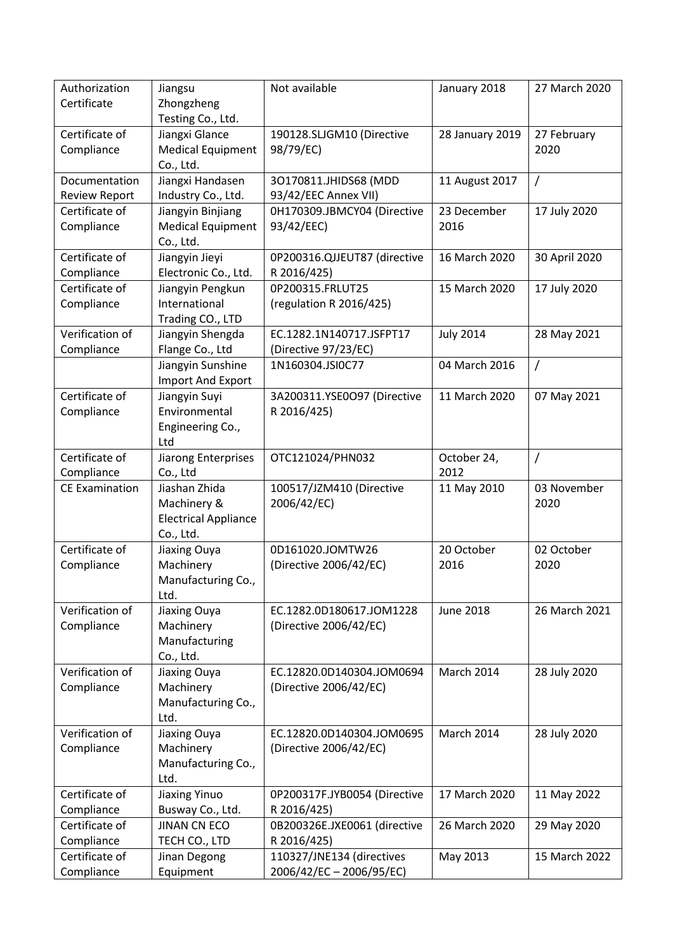| Authorization<br>Certificate | Jiangsu<br>Zhongzheng                   | Not available                               | January 2018      | 27 March 2020 |
|------------------------------|-----------------------------------------|---------------------------------------------|-------------------|---------------|
|                              | Testing Co., Ltd.                       |                                             |                   |               |
| Certificate of               | Jiangxi Glance                          | 190128.SLJGM10 (Directive                   | 28 January 2019   | 27 February   |
| Compliance                   | <b>Medical Equipment</b><br>Co., Ltd.   | 98/79/EC)                                   |                   | 2020          |
| Documentation                | Jiangxi Handasen                        | 30170811.JHIDS68 (MDD                       | 11 August 2017    | 7             |
| <b>Review Report</b>         | Industry Co., Ltd.                      | 93/42/EEC Annex VII)                        |                   |               |
| Certificate of               | Jiangyin Binjiang                       | 0H170309.JBMCY04 (Directive                 | 23 December       | 17 July 2020  |
| Compliance                   | <b>Medical Equipment</b>                | 93/42/EEC)                                  | 2016              |               |
|                              | Co., Ltd.                               |                                             |                   |               |
| Certificate of<br>Compliance | Jiangyin Jieyi<br>Electronic Co., Ltd.  | 0P200316.QJJEUT87 (directive<br>R 2016/425) | 16 March 2020     | 30 April 2020 |
| Certificate of               | Jiangyin Pengkun                        | 0P200315.FRLUT25                            | 15 March 2020     | 17 July 2020  |
| Compliance                   | International                           | (regulation R 2016/425)                     |                   |               |
|                              | Trading CO., LTD                        |                                             |                   |               |
| Verification of              | Jiangyin Shengda                        | EC.1282.1N140717.JSFPT17                    | <b>July 2014</b>  | 28 May 2021   |
| Compliance                   | Flange Co., Ltd                         | (Directive 97/23/EC)                        |                   |               |
|                              | Jiangyin Sunshine                       | 1N160304.JSI0C77                            | 04 March 2016     | $\prime$      |
|                              | Import And Export                       |                                             |                   |               |
| Certificate of               | Jiangyin Suyi                           | 3A200311.YSE0O97 (Directive                 | 11 March 2020     | 07 May 2021   |
| Compliance                   | Environmental                           | R 2016/425)                                 |                   |               |
|                              | Engineering Co.,                        |                                             |                   |               |
|                              | Ltd                                     |                                             |                   |               |
| Certificate of               | Jiarong Enterprises                     | OTC121024/PHN032                            | October 24,       | /             |
| Compliance                   | Co., Ltd                                |                                             | 2012              |               |
|                              |                                         |                                             |                   |               |
| <b>CE Examination</b>        | Jiashan Zhida                           | 100517/JZM410 (Directive                    | 11 May 2010       | 03 November   |
|                              | Machinery &                             | 2006/42/EC)                                 |                   | 2020          |
|                              | <b>Electrical Appliance</b>             |                                             |                   |               |
|                              | Co., Ltd.                               |                                             |                   |               |
| Certificate of               | Jiaxing Ouya                            | 0D161020.JOMTW26                            | 20 October        | 02 October    |
| Compliance                   | Machinery                               | (Directive 2006/42/EC)                      | 2016              | 2020          |
|                              | Manufacturing Co.,                      |                                             |                   |               |
| Verification of              | Ltd.                                    | EC.1282.0D180617.JOM1228                    | <b>June 2018</b>  | 26 March 2021 |
| Compliance                   | Jiaxing Ouya<br>Machinery               | (Directive 2006/42/EC)                      |                   |               |
|                              | Manufacturing                           |                                             |                   |               |
|                              | Co., Ltd.                               |                                             |                   |               |
| Verification of              | Jiaxing Ouya                            | EC.12820.0D140304.JOM0694                   | <b>March 2014</b> | 28 July 2020  |
| Compliance                   | Machinery                               | (Directive 2006/42/EC)                      |                   |               |
|                              | Manufacturing Co.,                      |                                             |                   |               |
|                              | Ltd.                                    |                                             |                   |               |
| Verification of              | Jiaxing Ouya                            | EC.12820.0D140304.JOM0695                   | <b>March 2014</b> | 28 July 2020  |
| Compliance                   | Machinery                               | (Directive 2006/42/EC)                      |                   |               |
|                              | Manufacturing Co.,                      |                                             |                   |               |
|                              | Ltd.                                    |                                             |                   |               |
| Certificate of               | <b>Jiaxing Yinuo</b>                    | 0P200317F.JYB0054 (Directive                | 17 March 2020     | 11 May 2022   |
| Compliance<br>Certificate of | Busway Co., Ltd.<br><b>JINAN CN ECO</b> | R 2016/425)                                 | 26 March 2020     |               |
| Compliance                   |                                         | 0B200326E.JXE0061 (directive<br>R 2016/425) |                   | 29 May 2020   |
| Certificate of               | TECH CO., LTD<br>Jinan Degong           | 110327/JNE134 (directives                   | May 2013          | 15 March 2022 |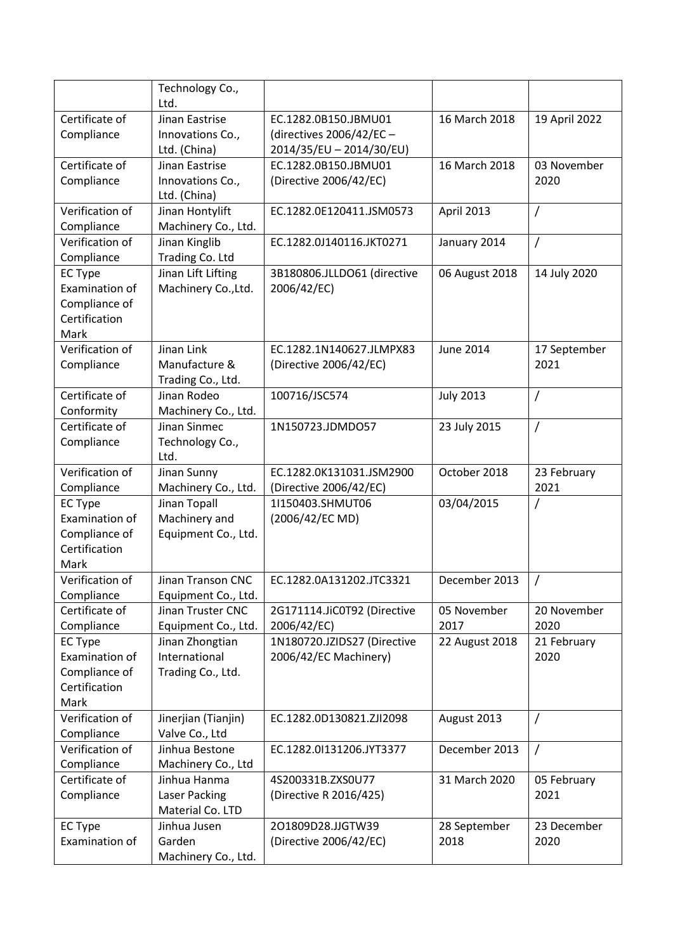|                 | Technology Co.,      |                             |                  |                |
|-----------------|----------------------|-----------------------------|------------------|----------------|
|                 | Ltd.                 |                             |                  |                |
| Certificate of  | Jinan Eastrise       | EC.1282.0B150.JBMU01        | 16 March 2018    | 19 April 2022  |
| Compliance      | Innovations Co.,     | (directives 2006/42/EC -    |                  |                |
|                 | Ltd. (China)         | 2014/35/EU - 2014/30/EU)    |                  |                |
| Certificate of  | Jinan Eastrise       | EC.1282.0B150.JBMU01        | 16 March 2018    | 03 November    |
| Compliance      | Innovations Co.,     | (Directive 2006/42/EC)      |                  | 2020           |
|                 | Ltd. (China)         |                             |                  |                |
| Verification of | Jinan Hontylift      | EC.1282.0E120411.JSM0573    | April 2013       | $\prime$       |
| Compliance      | Machinery Co., Ltd.  |                             |                  |                |
| Verification of | Jinan Kinglib        | EC.1282.0J140116.JKT0271    | January 2014     | $\prime$       |
| Compliance      | Trading Co. Ltd      |                             |                  |                |
| <b>EC Type</b>  | Jinan Lift Lifting   | 3B180806.JLLDO61 (directive | 06 August 2018   | 14 July 2020   |
| Examination of  | Machinery Co., Ltd.  | 2006/42/EC)                 |                  |                |
| Compliance of   |                      |                             |                  |                |
| Certification   |                      |                             |                  |                |
| Mark            |                      |                             |                  |                |
| Verification of | Jinan Link           | EC.1282.1N140627.JLMPX83    | <b>June 2014</b> | 17 September   |
| Compliance      | Manufacture &        | (Directive 2006/42/EC)      |                  | 2021           |
|                 | Trading Co., Ltd.    |                             |                  |                |
| Certificate of  | Jinan Rodeo          | 100716/JSC574               | <b>July 2013</b> | $\overline{1}$ |
| Conformity      | Machinery Co., Ltd.  |                             |                  |                |
| Certificate of  | Jinan Sinmec         | 1N150723.JDMDO57            | 23 July 2015     | $\prime$       |
| Compliance      | Technology Co.,      |                             |                  |                |
|                 | Ltd.                 |                             |                  |                |
| Verification of | Jinan Sunny          | EC.1282.0K131031.JSM2900    | October 2018     | 23 February    |
| Compliance      | Machinery Co., Ltd.  | (Directive 2006/42/EC)      |                  | 2021           |
| <b>EC Type</b>  | Jinan Topall         | 1I150403.SHMUT06            | 03/04/2015       | $\sqrt{2}$     |
| Examination of  | Machinery and        | (2006/42/EC MD)             |                  |                |
| Compliance of   | Equipment Co., Ltd.  |                             |                  |                |
| Certification   |                      |                             |                  |                |
| Mark            |                      |                             |                  |                |
| Verification of | Jinan Transon CNC    | EC.1282.0A131202.JTC3321    | December 2013    |                |
| Compliance      | Equipment Co., Ltd.  |                             |                  |                |
| Certificate of  | Jinan Truster CNC    | 2G171114.JiC0T92 (Directive | 05 November      | 20 November    |
| Compliance      | Equipment Co., Ltd.  | 2006/42/EC)                 | 2017             | 2020           |
| <b>EC Type</b>  | Jinan Zhongtian      | 1N180720.JZIDS27 (Directive | 22 August 2018   | 21 February    |
| Examination of  | International        | 2006/42/EC Machinery)       |                  | 2020           |
| Compliance of   | Trading Co., Ltd.    |                             |                  |                |
| Certification   |                      |                             |                  |                |
| Mark            |                      |                             |                  |                |
| Verification of | Jinerjian (Tianjin)  | EC.1282.0D130821.ZJI2098    | August 2013      |                |
| Compliance      | Valve Co., Ltd       |                             |                  |                |
| Verification of | Jinhua Bestone       | EC.1282.0I131206.JYT3377    | December 2013    | $\prime$       |
| Compliance      | Machinery Co., Ltd   |                             |                  |                |
| Certificate of  | Jinhua Hanma         | 4S200331B.ZXS0U77           | 31 March 2020    | 05 February    |
| Compliance      | <b>Laser Packing</b> | (Directive R 2016/425)      |                  | 2021           |
|                 | Material Co. LTD     |                             |                  |                |
| <b>EC Type</b>  | Jinhua Jusen         | 201809D28.JJGTW39           | 28 September     | 23 December    |
| Examination of  | Garden               | (Directive 2006/42/EC)      | 2018             | 2020           |
|                 | Machinery Co., Ltd.  |                             |                  |                |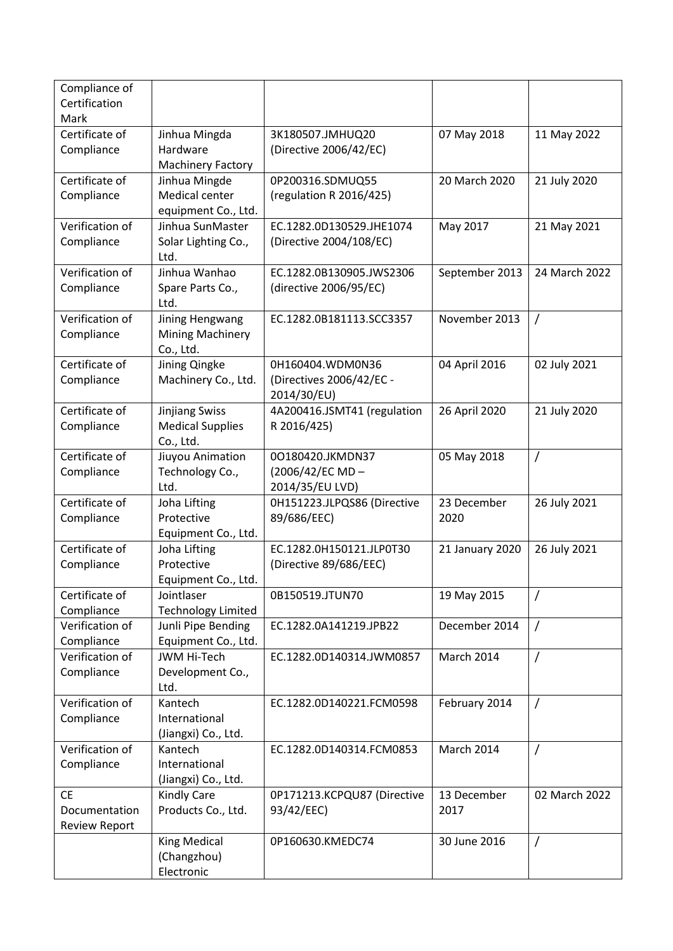| Compliance of<br>Certification |                                |                                              |                 |                |
|--------------------------------|--------------------------------|----------------------------------------------|-----------------|----------------|
| Mark                           |                                |                                              |                 |                |
| Certificate of                 | Jinhua Mingda                  | 3K180507.JMHUQ20                             | 07 May 2018     | 11 May 2022    |
| Compliance                     | Hardware                       | (Directive 2006/42/EC)                       |                 |                |
|                                | <b>Machinery Factory</b>       |                                              |                 |                |
| Certificate of                 | Jinhua Mingde                  | 0P200316.SDMUQ55                             | 20 March 2020   | 21 July 2020   |
| Compliance                     | Medical center                 | (regulation R 2016/425)                      |                 |                |
|                                | equipment Co., Ltd.            |                                              |                 |                |
| Verification of                | Jinhua SunMaster               | EC.1282.0D130529.JHE1074                     | May 2017        | 21 May 2021    |
| Compliance                     | Solar Lighting Co.,            | (Directive 2004/108/EC)                      |                 |                |
|                                | Ltd.                           |                                              |                 |                |
| Verification of                | Jinhua Wanhao                  | EC.1282.0B130905.JWS2306                     | September 2013  | 24 March 2022  |
| Compliance                     | Spare Parts Co.,<br>Ltd.       | (directive 2006/95/EC)                       |                 |                |
| Verification of                | Jining Hengwang                | EC.1282.0B181113.SCC3357                     | November 2013   | $\prime$       |
| Compliance                     | <b>Mining Machinery</b>        |                                              |                 |                |
| Certificate of                 | Co., Ltd.                      |                                              |                 |                |
|                                | Jining Qingke                  | 0H160404.WDM0N36<br>(Directives 2006/42/EC - | 04 April 2016   | 02 July 2021   |
| Compliance                     | Machinery Co., Ltd.            | 2014/30/EU)                                  |                 |                |
| Certificate of                 | <b>Jinjiang Swiss</b>          | 4A200416.JSMT41 (regulation                  | 26 April 2020   | 21 July 2020   |
| Compliance                     | <b>Medical Supplies</b>        | R 2016/425)                                  |                 |                |
|                                | Co., Ltd.                      |                                              |                 |                |
| Certificate of                 | Jiuyou Animation               | 00180420.JKMDN37                             | 05 May 2018     | $\overline{1}$ |
| Compliance                     | Technology Co.,                | (2006/42/EC MD-                              |                 |                |
|                                | Ltd.                           | 2014/35/EU LVD)                              |                 |                |
| Certificate of                 | Joha Lifting                   | 0H151223.JLPQS86 (Directive                  | 23 December     | 26 July 2021   |
| Compliance                     | Protective                     | 89/686/EEC)                                  | 2020            |                |
|                                | Equipment Co., Ltd.            |                                              |                 |                |
| Certificate of                 | Joha Lifting                   | EC.1282.0H150121.JLP0T30                     | 21 January 2020 | 26 July 2021   |
| Compliance                     | Protective                     | (Directive 89/686/EEC)                       |                 |                |
|                                | Equipment Co., Ltd.            |                                              |                 |                |
| Certificate of                 | Jointlaser                     | 0B150519.JTUN70                              | 19 May 2015     | Τ              |
| Compliance                     | <b>Technology Limited</b>      |                                              |                 |                |
| Verification of                | Junli Pipe Bending             | EC.1282.0A141219.JPB22                       | December 2014   | $\prime$       |
| Compliance                     | Equipment Co., Ltd.            |                                              |                 |                |
| Verification of                | <b>JWM Hi-Tech</b>             | EC.1282.0D140314.JWM0857                     | March 2014      | /              |
| Compliance                     | Development Co.,               |                                              |                 |                |
|                                | Ltd.                           |                                              |                 |                |
| Verification of                | Kantech                        | EC.1282.0D140221.FCM0598                     | February 2014   | 7              |
| Compliance                     | International                  |                                              |                 |                |
| Verification of                | (Jiangxi) Co., Ltd.<br>Kantech | EC.1282.0D140314.FCM0853                     | March 2014      | $\overline{1}$ |
| Compliance                     | International                  |                                              |                 |                |
|                                | (Jiangxi) Co., Ltd.            |                                              |                 |                |
| <b>CE</b>                      | <b>Kindly Care</b>             | 0P171213.KCPQU87 (Directive                  | 13 December     | 02 March 2022  |
| Documentation                  | Products Co., Ltd.             | 93/42/EEC)                                   | 2017            |                |
| <b>Review Report</b>           |                                |                                              |                 |                |
|                                | <b>King Medical</b>            | 0P160630.KMEDC74                             | 30 June 2016    | $\prime$       |
|                                | (Changzhou)                    |                                              |                 |                |
|                                | Electronic                     |                                              |                 |                |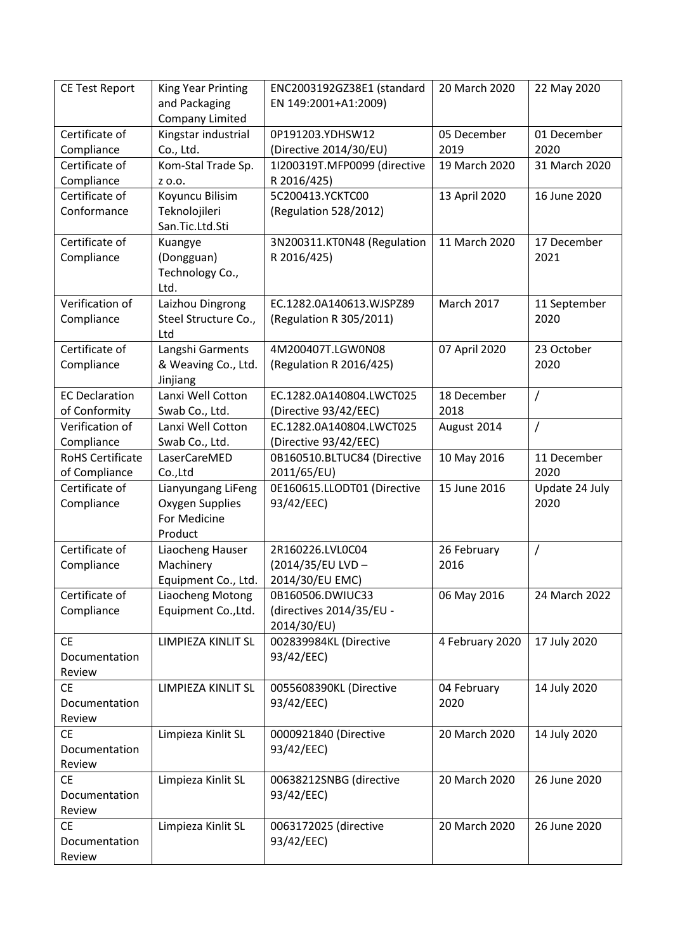| <b>CE Test Report</b>   | King Year Printing     | ENC2003192GZ38E1 (standard   | 20 March 2020     | 22 May 2020    |
|-------------------------|------------------------|------------------------------|-------------------|----------------|
|                         | and Packaging          | EN 149:2001+A1:2009)         |                   |                |
|                         | <b>Company Limited</b> |                              |                   |                |
| Certificate of          | Kingstar industrial    | 0P191203.YDHSW12             | 05 December       | 01 December    |
| Compliance              | Co., Ltd.              | (Directive 2014/30/EU)       | 2019              | 2020           |
| Certificate of          | Kom-Stal Trade Sp.     | 1I200319T.MFP0099 (directive | 19 March 2020     | 31 March 2020  |
| Compliance              | Z 0.0.                 | R 2016/425)                  |                   |                |
| Certificate of          | Koyuncu Bilisim        | 5C200413.YCKTC00             | 13 April 2020     | 16 June 2020   |
| Conformance             | Teknolojileri          | (Regulation 528/2012)        |                   |                |
|                         | San.Tic.Ltd.Sti        |                              |                   |                |
| Certificate of          | Kuangye                | 3N200311.KT0N48 (Regulation  | 11 March 2020     | 17 December    |
| Compliance              | (Dongguan)             | R 2016/425)                  |                   | 2021           |
|                         | Technology Co.,        |                              |                   |                |
|                         | Ltd.                   |                              |                   |                |
| Verification of         | Laizhou Dingrong       | EC.1282.0A140613.WJSPZ89     | <b>March 2017</b> | 11 September   |
| Compliance              | Steel Structure Co.,   | (Regulation R 305/2011)      |                   | 2020           |
|                         | Ltd                    |                              |                   |                |
| Certificate of          | Langshi Garments       | 4M200407T.LGW0N08            | 07 April 2020     | 23 October     |
| Compliance              | & Weaving Co., Ltd.    | (Regulation R 2016/425)      |                   | 2020           |
|                         | Jinjiang               |                              |                   |                |
| <b>EC Declaration</b>   | Lanxi Well Cotton      | EC.1282.0A140804.LWCT025     | 18 December       | $\prime$       |
| of Conformity           | Swab Co., Ltd.         | (Directive 93/42/EEC)        | 2018              |                |
| Verification of         | Lanxi Well Cotton      | EC.1282.0A140804.LWCT025     | August 2014       | $\overline{1}$ |
| Compliance              | Swab Co., Ltd.         | (Directive 93/42/EEC)        |                   |                |
| <b>RoHS Certificate</b> | LaserCareMED           | 0B160510.BLTUC84 (Directive  | 10 May 2016       | 11 December    |
| of Compliance           | Co.,Ltd                | 2011/65/EU)                  |                   | 2020           |
| Certificate of          | Lianyungang LiFeng     | 0E160615.LLODT01 (Directive  | 15 June 2016      | Update 24 July |
| Compliance              | Oxygen Supplies        | 93/42/EEC)                   |                   | 2020           |
|                         | For Medicine           |                              |                   |                |
|                         | Product                |                              |                   |                |
| Certificate of          | Liaocheng Hauser       | 2R160226.LVL0C04             | 26 February       | $\prime$       |
| Compliance              | Machinery              | (2014/35/EU LVD-             | 2016              |                |
|                         | Equipment Co., Ltd.    | 2014/30/EU EMC)              |                   |                |
| Certificate of          | Liaocheng Motong       | 0B160506.DWIUC33             | 06 May 2016       | 24 March 2022  |
| Compliance              | Equipment Co., Ltd.    | (directives 2014/35/EU -     |                   |                |
|                         |                        | 2014/30/EU)                  |                   |                |
| <b>CE</b>               | LIMPIEZA KINLIT SL     | 002839984KL (Directive       | 4 February 2020   | 17 July 2020   |
| Documentation           |                        | 93/42/EEC)                   |                   |                |
| Review                  |                        |                              |                   |                |
| <b>CE</b>               | LIMPIEZA KINLIT SL     | 0055608390KL (Directive      | 04 February       | 14 July 2020   |
| Documentation           |                        | 93/42/EEC)                   | 2020              |                |
| Review                  |                        |                              |                   |                |
| <b>CE</b>               | Limpieza Kinlit SL     | 0000921840 (Directive        | 20 March 2020     | 14 July 2020   |
| Documentation           |                        | 93/42/EEC)                   |                   |                |
| Review                  |                        |                              |                   |                |
| <b>CE</b>               | Limpieza Kinlit SL     | 00638212SNBG (directive      | 20 March 2020     | 26 June 2020   |
| Documentation           |                        | 93/42/EEC)                   |                   |                |
| Review                  |                        |                              |                   |                |
| <b>CE</b>               | Limpieza Kinlit SL     | 0063172025 (directive        | 20 March 2020     | 26 June 2020   |
| Documentation           |                        | 93/42/EEC)                   |                   |                |
| Review                  |                        |                              |                   |                |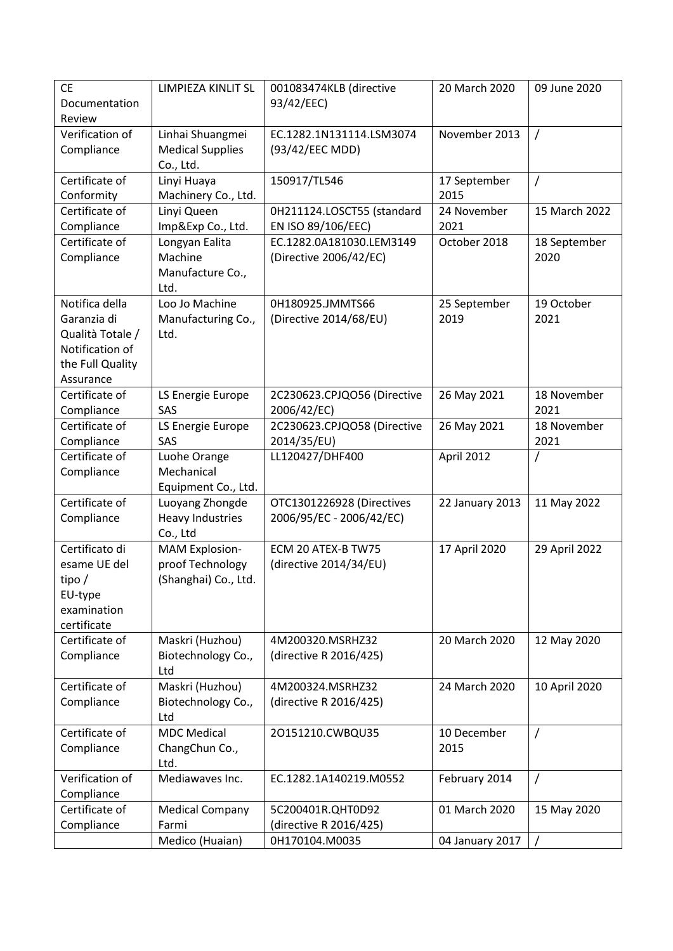| <b>CE</b><br>Documentation | LIMPIEZA KINLIT SL                         | 001083474KLB (directive<br>93/42/EEC)                 | 20 March 2020   | 09 June 2020         |
|----------------------------|--------------------------------------------|-------------------------------------------------------|-----------------|----------------------|
| Review                     |                                            |                                                       |                 |                      |
| Verification of            | Linhai Shuangmei                           | EC.1282.1N131114.LSM3074                              | November 2013   | $\overline{1}$       |
| Compliance                 | <b>Medical Supplies</b>                    | (93/42/EEC MDD)                                       |                 |                      |
|                            | Co., Ltd.                                  |                                                       |                 |                      |
| Certificate of             | Linyi Huaya                                | 150917/TL546                                          | 17 September    | $\prime$             |
| Conformity                 | Machinery Co., Ltd.                        |                                                       | 2015            |                      |
| Certificate of             | Linyi Queen                                | 0H211124.LOSCT55 (standard                            | 24 November     | 15 March 2022        |
| Compliance                 | Imp&Exp Co., Ltd.                          | EN ISO 89/106/EEC)                                    | 2021            |                      |
| Certificate of             | Longyan Ealita<br>Machine                  | EC.1282.0A181030.LEM3149                              | October 2018    | 18 September<br>2020 |
| Compliance                 | Manufacture Co.,                           | (Directive 2006/42/EC)                                |                 |                      |
|                            | Ltd.                                       |                                                       |                 |                      |
| Notifica della             | Loo Jo Machine                             | 0H180925.JMMTS66                                      | 25 September    | 19 October           |
| Garanzia di                | Manufacturing Co.,                         | (Directive 2014/68/EU)                                | 2019            | 2021                 |
| Qualità Totale /           | Ltd.                                       |                                                       |                 |                      |
| Notification of            |                                            |                                                       |                 |                      |
| the Full Quality           |                                            |                                                       |                 |                      |
| Assurance                  |                                            |                                                       |                 |                      |
| Certificate of             | LS Energie Europe                          | 2C230623.CPJQO56 (Directive                           | 26 May 2021     | 18 November          |
| Compliance                 | SAS                                        | 2006/42/EC)                                           |                 | 2021                 |
| Certificate of             | LS Energie Europe                          | 2C230623.CPJQO58 (Directive                           | 26 May 2021     | 18 November          |
| Compliance                 | SAS                                        | 2014/35/EU)                                           |                 | 2021                 |
| Certificate of             | Luohe Orange                               | LL120427/DHF400                                       | April 2012      | /                    |
| Compliance                 | Mechanical                                 |                                                       |                 |                      |
|                            | Equipment Co., Ltd.                        |                                                       |                 |                      |
| Certificate of             | Luoyang Zhongde<br><b>Heavy Industries</b> | OTC1301226928 (Directives<br>2006/95/EC - 2006/42/EC) | 22 January 2013 | 11 May 2022          |
| Compliance                 | Co., Ltd                                   |                                                       |                 |                      |
| Certificato di             | <b>MAM Explosion-</b>                      | ECM 20 ATEX-B TW75                                    | 17 April 2020   | 29 April 2022        |
| esame UE del               | proof Technology                           | (directive 2014/34/EU)                                |                 |                      |
| tipo $/$                   | (Shanghai) Co., Ltd.                       |                                                       |                 |                      |
| EU-type                    |                                            |                                                       |                 |                      |
| examination                |                                            |                                                       |                 |                      |
| certificate                |                                            |                                                       |                 |                      |
| Certificate of             | Maskri (Huzhou)                            | 4M200320.MSRHZ32                                      | 20 March 2020   | 12 May 2020          |
| Compliance                 | Biotechnology Co.,                         | (directive R 2016/425)                                |                 |                      |
|                            | Ltd                                        |                                                       |                 |                      |
| Certificate of             | Maskri (Huzhou)                            | 4M200324.MSRHZ32                                      | 24 March 2020   | 10 April 2020        |
| Compliance                 | Biotechnology Co.,                         | (directive R 2016/425)                                |                 |                      |
|                            | Ltd                                        |                                                       |                 |                      |
| Certificate of             | <b>MDC Medical</b>                         | 20151210.CWBQU35                                      | 10 December     | $\prime$             |
| Compliance                 | ChangChun Co.,                             |                                                       | 2015            |                      |
| Verification of            | Ltd.<br>Mediawaves Inc.                    | EC.1282.1A140219.M0552                                | February 2014   | 7                    |
| Compliance                 |                                            |                                                       |                 |                      |
| Certificate of             | <b>Medical Company</b>                     | 5C200401R.QHT0D92                                     | 01 March 2020   | 15 May 2020          |
| Compliance                 | Farmi                                      | (directive R 2016/425)                                |                 |                      |
|                            | Medico (Huaian)                            | 0H170104.M0035                                        | 04 January 2017 |                      |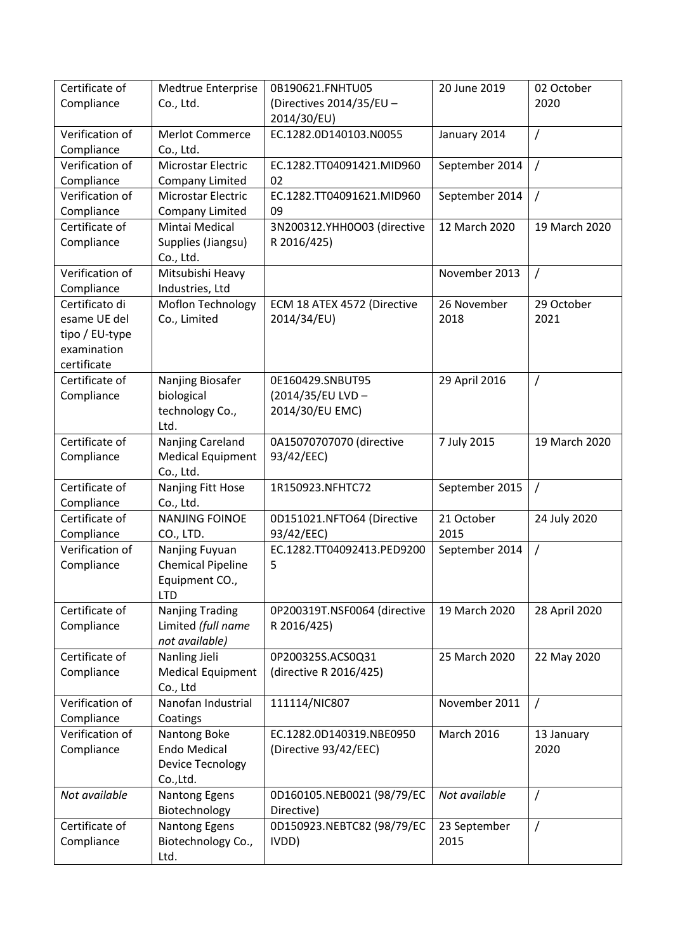| Certificate of  | Medtrue Enterprise        | 0B190621.FNHTU05             | 20 June 2019      | 02 October    |
|-----------------|---------------------------|------------------------------|-------------------|---------------|
| Compliance      | Co., Ltd.                 | (Directives 2014/35/EU -     |                   | 2020          |
|                 |                           | 2014/30/EU)                  |                   |               |
| Verification of | <b>Merlot Commerce</b>    | EC.1282.0D140103.N0055       | January 2014      | $\prime$      |
| Compliance      | Co., Ltd.                 |                              |                   |               |
| Verification of | Microstar Electric        | EC.1282.TT04091421.MID960    | September 2014    | $\prime$      |
| Compliance      | <b>Company Limited</b>    | 02                           |                   |               |
| Verification of | <b>Microstar Electric</b> | EC.1282.TT04091621.MID960    | September 2014    | $\prime$      |
| Compliance      | Company Limited           | 09                           |                   |               |
| Certificate of  | Mintai Medical            | 3N200312.YHH0O03 (directive  | 12 March 2020     | 19 March 2020 |
| Compliance      | Supplies (Jiangsu)        | R 2016/425)                  |                   |               |
|                 | Co., Ltd.                 |                              |                   |               |
| Verification of | Mitsubishi Heavy          |                              | November 2013     | $\prime$      |
| Compliance      | Industries, Ltd           |                              |                   |               |
| Certificato di  | Moflon Technology         | ECM 18 ATEX 4572 (Directive  | 26 November       | 29 October    |
| esame UE del    | Co., Limited              | 2014/34/EU)                  | 2018              | 2021          |
| tipo / EU-type  |                           |                              |                   |               |
| examination     |                           |                              |                   |               |
| certificate     |                           |                              |                   |               |
| Certificate of  | Nanjing Biosafer          | 0E160429.SNBUT95             | 29 April 2016     | T             |
| Compliance      | biological                | (2014/35/EU LVD-             |                   |               |
|                 | technology Co.,           | 2014/30/EU EMC)              |                   |               |
|                 | Ltd.                      |                              |                   |               |
| Certificate of  | Nanjing Careland          | 0A15070707070 (directive     | 7 July 2015       | 19 March 2020 |
| Compliance      | <b>Medical Equipment</b>  | 93/42/EEC)                   |                   |               |
|                 | Co., Ltd.                 |                              |                   |               |
| Certificate of  | Nanjing Fitt Hose         | 1R150923.NFHTC72             | September 2015    | $\prime$      |
| Compliance      | Co., Ltd.                 |                              |                   |               |
| Certificate of  | <b>NANJING FOINOE</b>     | 0D151021.NFTO64 (Directive   | 21 October        | 24 July 2020  |
| Compliance      | CO., LTD.                 | 93/42/EEC)                   | 2015              |               |
| Verification of | Nanjing Fuyuan            | EC.1282.TT04092413.PED9200   | September 2014    | $\prime$      |
| Compliance      | <b>Chemical Pipeline</b>  | 5                            |                   |               |
|                 | Equipment CO.,            |                              |                   |               |
|                 | <b>LTD</b>                |                              |                   |               |
| Certificate of  | <b>Nanjing Trading</b>    | 0P200319T.NSF0064 (directive | 19 March 2020     | 28 April 2020 |
| Compliance      | Limited (full name        | R 2016/425)                  |                   |               |
|                 | not available)            |                              |                   |               |
| Certificate of  | Nanling Jieli             | 0P200325S.ACS0Q31            | 25 March 2020     | 22 May 2020   |
| Compliance      | <b>Medical Equipment</b>  | (directive R 2016/425)       |                   |               |
|                 | Co., Ltd                  |                              |                   |               |
| Verification of | Nanofan Industrial        | 111114/NIC807                | November 2011     | $\prime$      |
| Compliance      | Coatings                  |                              |                   |               |
| Verification of | Nantong Boke              | EC.1282.0D140319.NBE0950     | <b>March 2016</b> | 13 January    |
| Compliance      | <b>Endo Medical</b>       | (Directive 93/42/EEC)        |                   | 2020          |
|                 | Device Tecnology          |                              |                   |               |
|                 | Co.,Ltd.                  |                              |                   |               |
| Not available   | <b>Nantong Egens</b>      | 0D160105.NEB0021 (98/79/EC   | Not available     | $\sqrt{2}$    |
|                 | Biotechnology             | Directive)                   |                   |               |
| Certificate of  | <b>Nantong Egens</b>      | 0D150923.NEBTC82 (98/79/EC   | 23 September      | /             |
| Compliance      | Biotechnology Co.,        | IVDD)                        | 2015              |               |
|                 | Ltd.                      |                              |                   |               |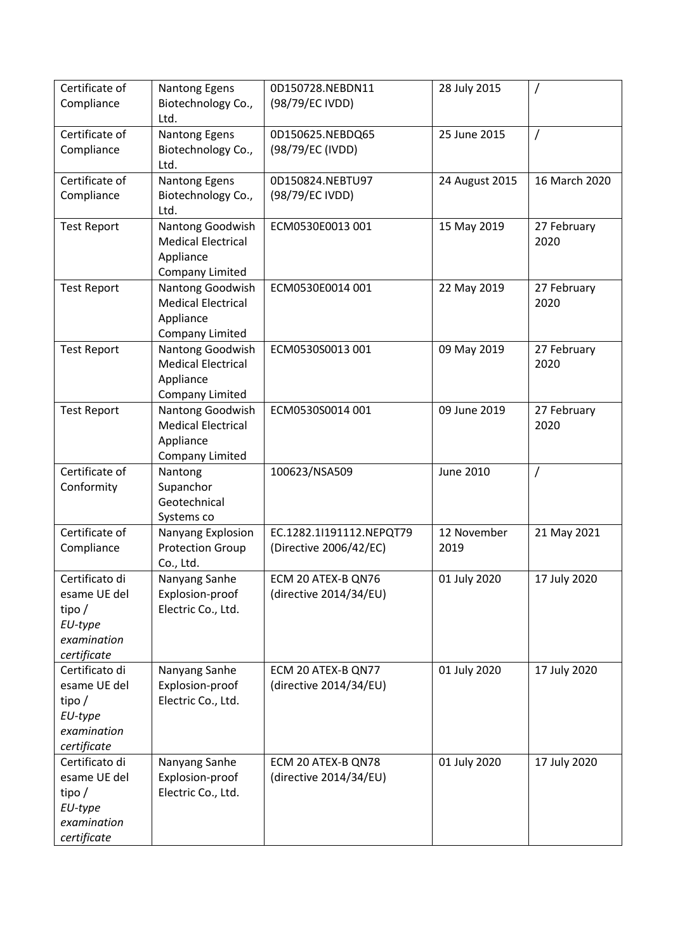| Certificate of<br>Compliance                                                        | Nantong Egens<br>Biotechnology Co.,<br>Ltd.                                          | 0D150728.NEBDN11<br>(98/79/EC IVDD)                | 28 July 2015        |                     |
|-------------------------------------------------------------------------------------|--------------------------------------------------------------------------------------|----------------------------------------------------|---------------------|---------------------|
| Certificate of<br>Compliance                                                        | <b>Nantong Egens</b><br>Biotechnology Co.,<br>Ltd.                                   | 0D150625.NEBDQ65<br>(98/79/EC (IVDD)               | 25 June 2015        | $\prime$            |
| Certificate of<br>Compliance                                                        | <b>Nantong Egens</b><br>Biotechnology Co.,<br>Ltd.                                   | 0D150824.NEBTU97<br>(98/79/EC IVDD)                | 24 August 2015      | 16 March 2020       |
| <b>Test Report</b>                                                                  | Nantong Goodwish<br><b>Medical Electrical</b><br>Appliance<br><b>Company Limited</b> | ECM0530E0013 001                                   | 15 May 2019         | 27 February<br>2020 |
| <b>Test Report</b>                                                                  | Nantong Goodwish<br><b>Medical Electrical</b><br>Appliance<br>Company Limited        | ECM0530E0014 001                                   | 22 May 2019         | 27 February<br>2020 |
| <b>Test Report</b>                                                                  | Nantong Goodwish<br><b>Medical Electrical</b><br>Appliance<br>Company Limited        | ECM0530S0013 001                                   | 09 May 2019         | 27 February<br>2020 |
| <b>Test Report</b>                                                                  | Nantong Goodwish<br><b>Medical Electrical</b><br>Appliance<br>Company Limited        | ECM0530S0014 001                                   | 09 June 2019        | 27 February<br>2020 |
| Certificate of<br>Conformity                                                        | Nantong<br>Supanchor<br>Geotechnical<br>Systems co                                   | 100623/NSA509                                      | June 2010           | $\prime$            |
| Certificate of<br>Compliance                                                        | Nanyang Explosion<br><b>Protection Group</b><br>Co., Ltd.                            | EC.1282.1I191112.NEPQT79<br>(Directive 2006/42/EC) | 12 November<br>2019 | 21 May 2021         |
| Certificato di<br>esame UE del<br>tipo $/$<br>EU-type<br>examination<br>certificate | Nanyang Sanhe<br>Explosion-proof<br>Electric Co., Ltd.                               | ECM 20 ATEX-B QN76<br>(directive 2014/34/EU)       | 01 July 2020        | 17 July 2020        |
| Certificato di<br>esame UE del<br>tipo/<br>EU-type<br>examination<br>certificate    | Nanyang Sanhe<br>Explosion-proof<br>Electric Co., Ltd.                               | ECM 20 ATEX-B QN77<br>(directive 2014/34/EU)       | 01 July 2020        | 17 July 2020        |
| Certificato di<br>esame UE del<br>tipo $/$<br>EU-type<br>examination<br>certificate | Nanyang Sanhe<br>Explosion-proof<br>Electric Co., Ltd.                               | ECM 20 ATEX-B QN78<br>(directive 2014/34/EU)       | 01 July 2020        | 17 July 2020        |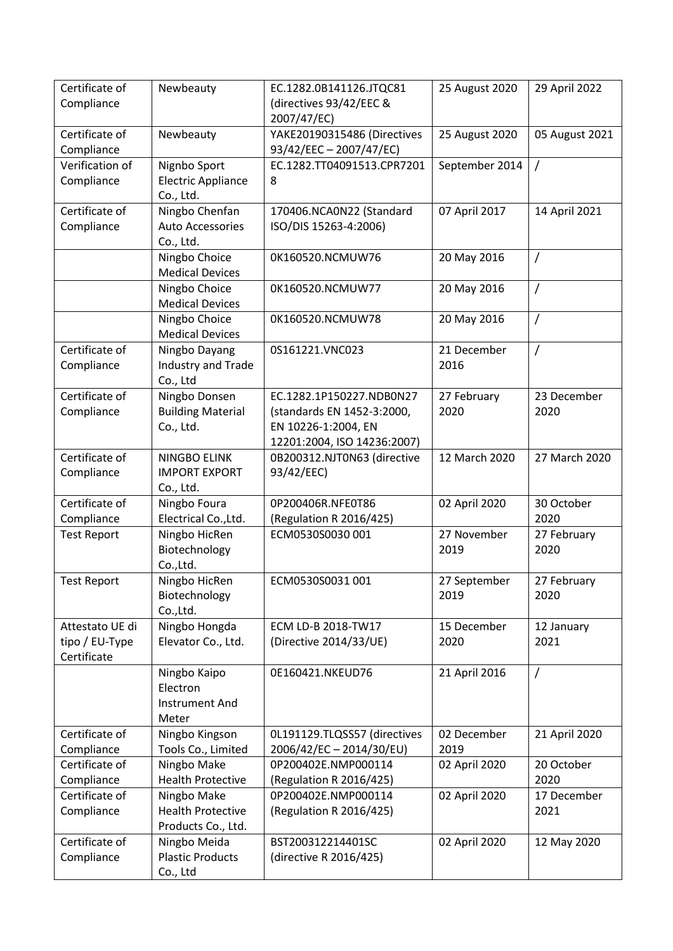| Certificate of<br>Compliance | Newbeauty                               | EC.1282.0B141126.JTQC81<br>(directives 93/42/EEC &     | 25 August 2020 | 29 April 2022  |
|------------------------------|-----------------------------------------|--------------------------------------------------------|----------------|----------------|
|                              |                                         | 2007/47/EC)                                            |                |                |
| Certificate of<br>Compliance | Newbeauty                               | YAKE20190315486 (Directives<br>93/42/EEC - 2007/47/EC) | 25 August 2020 | 05 August 2021 |
| Verification of              | Nignbo Sport                            | EC.1282.TT04091513.CPR7201                             | September 2014 | $\overline{1}$ |
| Compliance                   | <b>Electric Appliance</b>               | 8                                                      |                |                |
|                              | Co., Ltd.                               |                                                        |                |                |
| Certificate of               | Ningbo Chenfan                          | 170406.NCA0N22 (Standard                               | 07 April 2017  | 14 April 2021  |
| Compliance                   | <b>Auto Accessories</b>                 | ISO/DIS 15263-4:2006)                                  |                |                |
|                              | Co., Ltd.                               |                                                        |                |                |
|                              | Ningbo Choice                           | 0K160520.NCMUW76                                       | 20 May 2016    | /              |
|                              | <b>Medical Devices</b>                  |                                                        |                |                |
|                              | Ningbo Choice<br><b>Medical Devices</b> | 0K160520.NCMUW77                                       | 20 May 2016    | /              |
|                              | Ningbo Choice<br><b>Medical Devices</b> | 0K160520.NCMUW78                                       | 20 May 2016    | $\overline{1}$ |
| Certificate of               | Ningbo Dayang                           | 0S161221.VNC023                                        | 21 December    | /              |
| Compliance                   | <b>Industry and Trade</b><br>Co., Ltd   |                                                        | 2016           |                |
| Certificate of               | Ningbo Donsen                           | EC.1282.1P150227.NDB0N27                               | 27 February    | 23 December    |
| Compliance                   | <b>Building Material</b>                | (standards EN 1452-3:2000,                             | 2020           | 2020           |
|                              | Co., Ltd.                               | EN 10226-1:2004, EN                                    |                |                |
|                              |                                         | 12201:2004, ISO 14236:2007)                            |                |                |
| Certificate of               | NINGBO ELINK                            | 0B200312.NJT0N63 (directive                            | 12 March 2020  | 27 March 2020  |
| Compliance                   | <b>IMPORT EXPORT</b>                    | 93/42/EEC)                                             |                |                |
|                              | Co., Ltd.                               |                                                        |                |                |
| Certificate of               | Ningbo Foura                            | 0P200406R.NFE0T86                                      | 02 April 2020  | 30 October     |
| Compliance                   | Electrical Co., Ltd.                    | (Regulation R 2016/425)                                |                | 2020           |
| <b>Test Report</b>           | Ningbo HicRen                           | ECM0530S0030 001                                       | 27 November    | 27 February    |
|                              | Biotechnology<br>Co.,Ltd.               |                                                        | 2019           | 2020           |
| <b>Test Report</b>           | Ningbo HicRen                           | ECM0530S0031 001                                       | 27 September   | 27 February    |
|                              | Biotechnology                           |                                                        | 2019           | 2020           |
|                              | Co., Ltd.                               |                                                        |                |                |
| Attestato UE di              | Ningbo Hongda                           | ECM LD-B 2018-TW17                                     | 15 December    | 12 January     |
| tipo / EU-Type               | Elevator Co., Ltd.                      | (Directive 2014/33/UE)                                 | 2020           | 2021           |
| Certificate                  |                                         |                                                        |                |                |
|                              | Ningbo Kaipo                            | 0E160421.NKEUD76                                       | 21 April 2016  | $\prime$       |
|                              | Electron                                |                                                        |                |                |
|                              | <b>Instrument And</b>                   |                                                        |                |                |
|                              | Meter                                   |                                                        |                |                |
| Certificate of               | Ningbo Kingson                          | 0L191129.TLQSS57 (directives                           | 02 December    | 21 April 2020  |
| Compliance                   | Tools Co., Limited                      | 2006/42/EC-2014/30/EU)                                 | 2019           |                |
| Certificate of               | Ningbo Make                             | 0P200402E.NMP000114                                    | 02 April 2020  | 20 October     |
| Compliance                   | <b>Health Protective</b>                | (Regulation R 2016/425)                                |                | 2020           |
| Certificate of               | Ningbo Make                             | 0P200402E.NMP000114                                    | 02 April 2020  | 17 December    |
| Compliance                   | <b>Health Protective</b>                | (Regulation R 2016/425)                                |                | 2021           |
| Certificate of               | Products Co., Ltd.<br>Ningbo Meida      | BST200312214401SC                                      | 02 April 2020  | 12 May 2020    |
| Compliance                   | <b>Plastic Products</b>                 | (directive R 2016/425)                                 |                |                |
|                              | Co., Ltd                                |                                                        |                |                |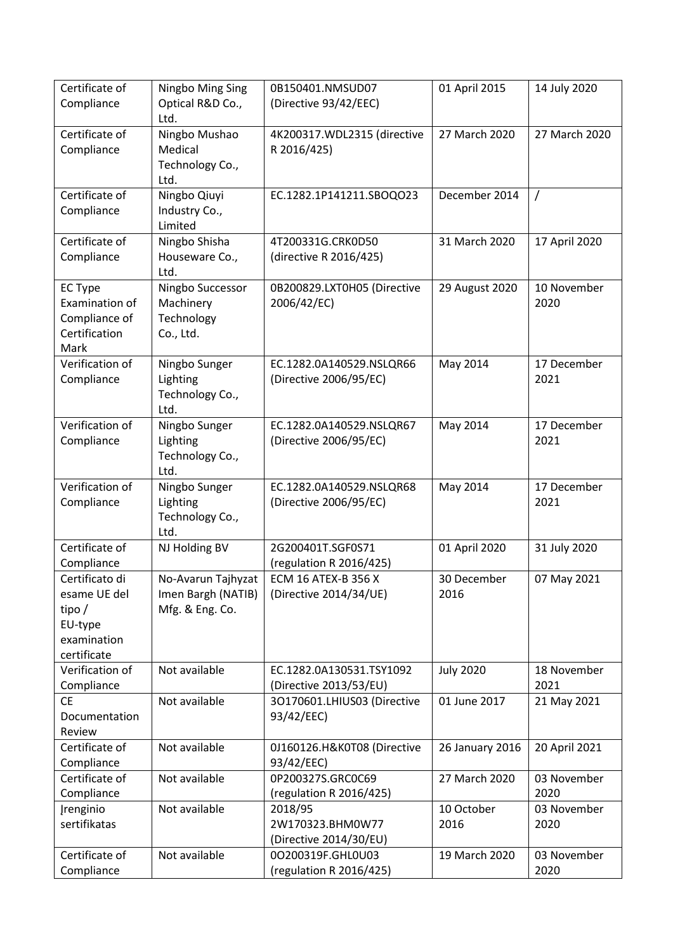| Certificate of<br>Compliance                                                        | Ningbo Ming Sing<br>Optical R&D Co.,                        | 0B150401.NMSUD07<br>(Directive 93/42/EEC)             | 01 April 2015       | 14 July 2020        |
|-------------------------------------------------------------------------------------|-------------------------------------------------------------|-------------------------------------------------------|---------------------|---------------------|
|                                                                                     | Ltd.                                                        |                                                       |                     |                     |
| Certificate of<br>Compliance                                                        | Ningbo Mushao<br>Medical<br>Technology Co.,<br>Ltd.         | 4K200317.WDL2315 (directive<br>R 2016/425)            | 27 March 2020       | 27 March 2020       |
| Certificate of<br>Compliance                                                        | Ningbo Qiuyi<br>Industry Co.,<br>Limited                    | EC.1282.1P141211.SBOQO23                              | December 2014       | $\prime$            |
| Certificate of<br>Compliance                                                        | Ningbo Shisha<br>Houseware Co.,<br>Ltd.                     | 4T200331G.CRK0D50<br>(directive R 2016/425)           | 31 March 2020       | 17 April 2020       |
| <b>EC Type</b><br>Examination of<br>Compliance of<br>Certification<br>Mark          | Ningbo Successor<br>Machinery<br>Technology<br>Co., Ltd.    | 0B200829.LXT0H05 (Directive<br>2006/42/EC)            | 29 August 2020      | 10 November<br>2020 |
| Verification of<br>Compliance                                                       | Ningbo Sunger<br>Lighting<br>Technology Co.,<br>Ltd.        | EC.1282.0A140529.NSLQR66<br>(Directive 2006/95/EC)    | May 2014            | 17 December<br>2021 |
| Verification of<br>Compliance                                                       | Ningbo Sunger<br>Lighting<br>Technology Co.,<br>Ltd.        | EC.1282.0A140529.NSLQR67<br>(Directive 2006/95/EC)    | May 2014            | 17 December<br>2021 |
| Verification of<br>Compliance                                                       | Ningbo Sunger<br>Lighting<br>Technology Co.,<br>Ltd.        | EC.1282.0A140529.NSLQR68<br>(Directive 2006/95/EC)    | May 2014            | 17 December<br>2021 |
| Certificate of<br>Compliance                                                        | NJ Holding BV                                               | 2G200401T.SGF0S71<br>(regulation R 2016/425)          | 01 April 2020       | 31 July 2020        |
| Certificato di<br>esame UE del<br>tipo $/$<br>EU-type<br>examination<br>certificate | No-Avarun Tajhyzat<br>Imen Bargh (NATIB)<br>Mfg. & Eng. Co. | <b>ECM 16 ATEX-B 356 X</b><br>(Directive 2014/34/UE)  | 30 December<br>2016 | 07 May 2021         |
| Verification of<br>Compliance                                                       | Not available                                               | EC.1282.0A130531.TSY1092<br>(Directive 2013/53/EU)    | <b>July 2020</b>    | 18 November<br>2021 |
| <b>CE</b><br>Documentation<br>Review                                                | Not available                                               | 3O170601.LHIUS03 (Directive<br>93/42/EEC)             | 01 June 2017        | 21 May 2021         |
| Certificate of<br>Compliance                                                        | Not available                                               | 0J160126.H&K0T08 (Directive<br>93/42/EEC)             | 26 January 2016     | 20 April 2021       |
| Certificate of<br>Compliance                                                        | Not available                                               | 0P200327S.GRC0C69<br>(regulation R 2016/425)          | 27 March 2020       | 03 November<br>2020 |
| <b>Įrenginio</b><br>sertifikatas                                                    | Not available                                               | 2018/95<br>2W170323.BHM0W77<br>(Directive 2014/30/EU) | 10 October<br>2016  | 03 November<br>2020 |
| Certificate of<br>Compliance                                                        | Not available                                               | 00200319F.GHL0U03<br>(regulation R 2016/425)          | 19 March 2020       | 03 November<br>2020 |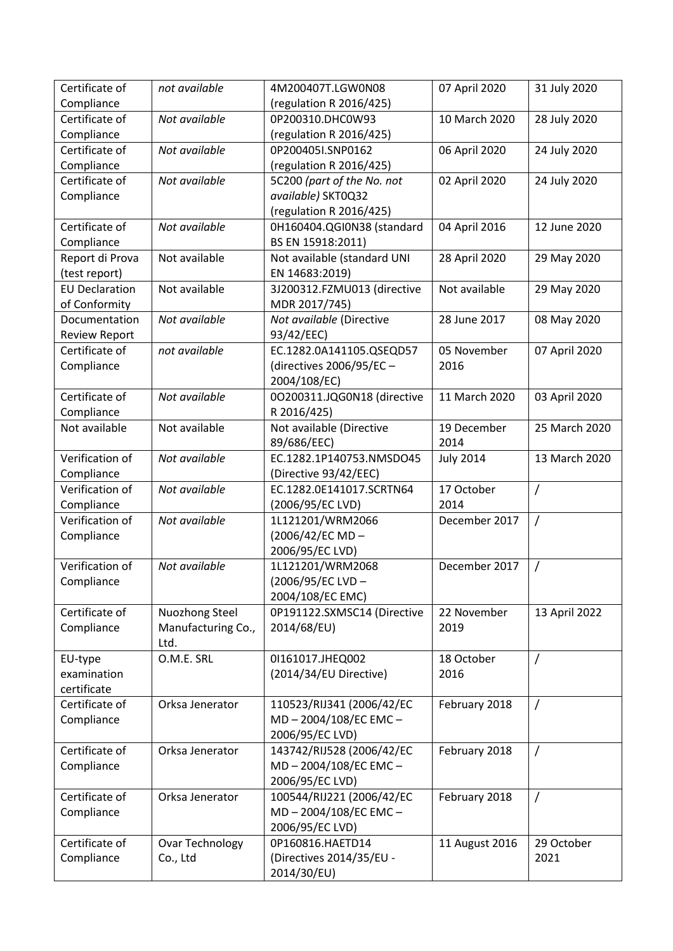| Certificate of        | not available          | 4M200407T.LGW0N08           | 07 April 2020    | 31 July 2020   |
|-----------------------|------------------------|-----------------------------|------------------|----------------|
| Compliance            |                        | (regulation R 2016/425)     |                  |                |
| Certificate of        | Not available          | 0P200310.DHC0W93            | 10 March 2020    | 28 July 2020   |
| Compliance            |                        | (regulation R 2016/425)     |                  |                |
| Certificate of        | Not available          | 0P200405I.SNP0162           | 06 April 2020    | 24 July 2020   |
| Compliance            |                        | (regulation R 2016/425)     |                  |                |
| Certificate of        | Not available          | 5C200 (part of the No. not  | 02 April 2020    | 24 July 2020   |
| Compliance            |                        | available) SKT0Q32          |                  |                |
|                       |                        | (regulation R 2016/425)     |                  |                |
| Certificate of        | Not available          | 0H160404.QGI0N38 (standard  | 04 April 2016    | 12 June 2020   |
| Compliance            |                        | BS EN 15918:2011)           |                  |                |
| Report di Prova       | Not available          | Not available (standard UNI | 28 April 2020    | 29 May 2020    |
| (test report)         |                        | EN 14683:2019)              |                  |                |
| <b>EU Declaration</b> | Not available          | 3J200312.FZMU013 (directive | Not available    | 29 May 2020    |
| of Conformity         |                        | MDR 2017/745)               |                  |                |
| Documentation         | Not available          | Not available (Directive    | 28 June 2017     | 08 May 2020    |
| Review Report         |                        | 93/42/EEC)                  |                  |                |
| Certificate of        | not available          | EC.1282.0A141105.QSEQD57    | 05 November      | 07 April 2020  |
| Compliance            |                        | (directives 2006/95/EC-     | 2016             |                |
|                       |                        | 2004/108/EC)                |                  |                |
| Certificate of        | Not available          | 00200311.JQG0N18 (directive | 11 March 2020    | 03 April 2020  |
| Compliance            |                        | R 2016/425)                 |                  |                |
| Not available         | Not available          | Not available (Directive    | 19 December      | 25 March 2020  |
|                       |                        | 89/686/EEC)                 | 2014             |                |
| Verification of       | Not available          | EC.1282.1P140753.NMSDO45    | <b>July 2014</b> | 13 March 2020  |
| Compliance            |                        | (Directive 93/42/EEC)       |                  |                |
| Verification of       | Not available          | EC.1282.0E141017.SCRTN64    | 17 October       | $\prime$       |
| Compliance            |                        | (2006/95/EC LVD)            | 2014             |                |
| Verification of       | Not available          | 1L121201/WRM2066            | December 2017    | $\overline{1}$ |
| Compliance            |                        | (2006/42/EC MD-             |                  |                |
|                       |                        | 2006/95/EC LVD)             |                  |                |
| Verification of       | Not available          | 1L121201/WRM2068            | December 2017    | $\overline{1}$ |
| Compliance            |                        | (2006/95/EC LVD-            |                  |                |
|                       |                        | 2004/108/EC EMC)            |                  |                |
| Certificate of        | Nuozhong Steel         | 0P191122.SXMSC14 (Directive | 22 November      | 13 April 2022  |
| Compliance            | Manufacturing Co.,     | 2014/68/EU)                 | 2019             |                |
|                       | Ltd.                   |                             |                  |                |
| EU-type               | O.M.E. SRL             | 01161017.JHEQ002            | 18 October       | $\prime$       |
| examination           |                        | (2014/34/EU Directive)      | 2016             |                |
| certificate           |                        |                             |                  |                |
| Certificate of        | Orksa Jenerator        | 110523/RIJ341 (2006/42/EC   | February 2018    | $\overline{1}$ |
| Compliance            |                        | MD-2004/108/EC EMC-         |                  |                |
|                       |                        | 2006/95/EC LVD)             |                  |                |
| Certificate of        | Orksa Jenerator        | 143742/RIJ528 (2006/42/EC   | February 2018    | $\overline{1}$ |
| Compliance            |                        | MD-2004/108/EC EMC-         |                  |                |
|                       |                        | 2006/95/EC LVD)             |                  |                |
| Certificate of        | Orksa Jenerator        | 100544/RIJ221 (2006/42/EC   | February 2018    | $\overline{1}$ |
| Compliance            |                        | MD-2004/108/EC EMC-         |                  |                |
|                       |                        | 2006/95/EC LVD)             |                  |                |
| Certificate of        | <b>Ovar Technology</b> | 0P160816.HAETD14            | 11 August 2016   | 29 October     |
| Compliance            | Co., Ltd               | (Directives 2014/35/EU -    |                  | 2021           |
|                       |                        | 2014/30/EU)                 |                  |                |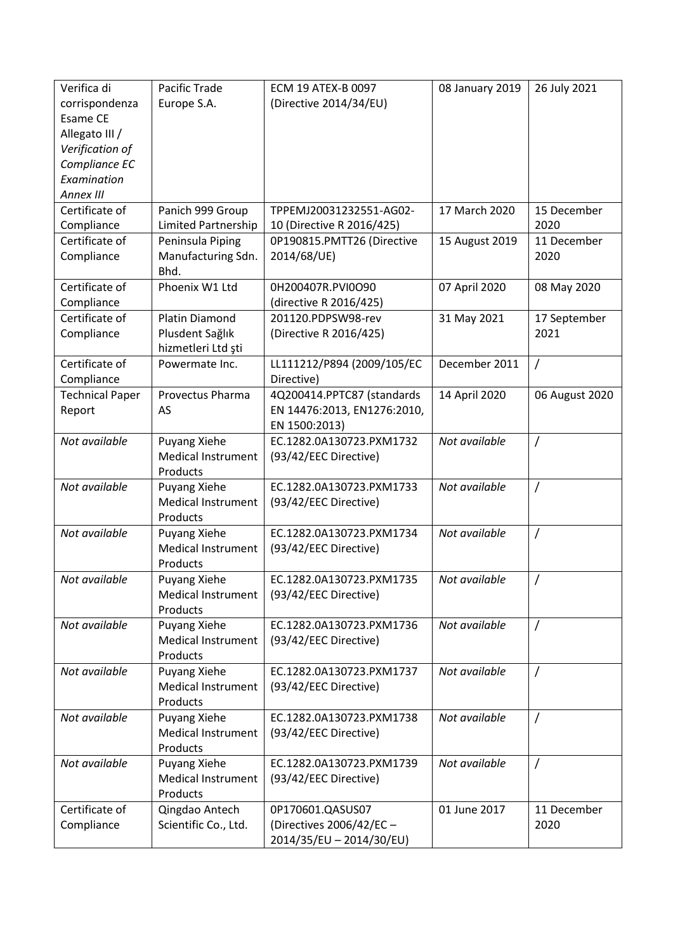| Europe S.A.<br>(Directive 2014/34/EU)<br>corrispondenza<br>Esame CE<br>Allegato III /<br>Verification of<br>Compliance EC<br>Examination<br>Annex III<br>Certificate of<br>TPPEMJ20031232551-AG02-<br>17 March 2020<br>Panich 999 Group<br>15 December<br>Limited Partnership<br>2020<br>Compliance<br>10 (Directive R 2016/425)<br>Certificate of<br>15 August 2019<br>11 December<br>Peninsula Piping<br>0P190815.PMTT26 (Directive<br>Compliance<br>Manufacturing Sdn.<br>2014/68/UE)<br>2020<br>Bhd.<br>Certificate of<br>Phoenix W1 Ltd<br>07 April 2020<br>0H200407R.PVI0O90<br>08 May 2020<br>Compliance<br>(directive R 2016/425)<br>Certificate of<br><b>Platin Diamond</b><br>201120.PDPSW98-rev<br>31 May 2021<br>17 September<br>Compliance<br>Plusdent Sağlık<br>2021<br>(Directive R 2016/425)<br>hizmetleri Ltd ști<br>Certificate of<br>LL111212/P894 (2009/105/EC<br>December 2011<br>$\prime$<br>Powermate Inc.<br>Compliance<br>Directive)<br>Provectus Pharma<br>4Q200414.PPTC87 (standards<br>14 April 2020<br><b>Technical Paper</b><br>06 August 2020<br>EN 14476:2013, EN1276:2010,<br>Report<br>AS<br>EN 1500:2013)<br>Not available<br>Not available<br>Puyang Xiehe<br>EC.1282.0A130723.PXM1732<br>$\prime$<br>Medical Instrument<br>(93/42/EEC Directive)<br>Products<br>Not available<br>Not available<br>Puyang Xiehe<br>EC.1282.0A130723.PXM1733<br>$\prime$<br><b>Medical Instrument</b><br>(93/42/EEC Directive)<br>Products<br>Not available<br>Not available<br>$\prime$<br>Puyang Xiehe<br>EC.1282.0A130723.PXM1734<br><b>Medical Instrument</b><br>(93/42/EEC Directive)<br>Products<br>Not available<br>Not available<br>Puyang Xiehe<br>EC.1282.0A130723.PXM1735<br>(93/42/EEC Directive)<br><b>Medical Instrument</b><br>Products<br>Not available<br>Puyang Xiehe<br>EC.1282.0A130723.PXM1736<br>Not available<br>$\prime$<br><b>Medical Instrument</b><br>(93/42/EEC Directive)<br>Products<br>Not available<br>Not available<br>Puyang Xiehe<br>EC.1282.0A130723.PXM1737<br>$\prime$<br><b>Medical Instrument</b><br>(93/42/EEC Directive)<br>Products<br>Not available<br>EC.1282.0A130723.PXM1738<br>Not available<br>Puyang Xiehe<br>$\prime$<br><b>Medical Instrument</b><br>(93/42/EEC Directive)<br>Products<br>Not available<br>EC.1282.0A130723.PXM1739<br>Not available<br>Puyang Xiehe<br>$\prime$<br>Medical Instrument<br>(93/42/EEC Directive)<br>Products<br>Certificate of<br>01 June 2017<br>Qingdao Antech<br>0P170601.QASUS07<br>11 December<br>Scientific Co., Ltd.<br>(Directives 2006/42/EC -<br>Compliance<br>2020<br>2014/35/EU - 2014/30/EU) | Verifica di | Pacific Trade | ECM 19 ATEX-B 0097 | 08 January 2019 | 26 July 2021 |
|-----------------------------------------------------------------------------------------------------------------------------------------------------------------------------------------------------------------------------------------------------------------------------------------------------------------------------------------------------------------------------------------------------------------------------------------------------------------------------------------------------------------------------------------------------------------------------------------------------------------------------------------------------------------------------------------------------------------------------------------------------------------------------------------------------------------------------------------------------------------------------------------------------------------------------------------------------------------------------------------------------------------------------------------------------------------------------------------------------------------------------------------------------------------------------------------------------------------------------------------------------------------------------------------------------------------------------------------------------------------------------------------------------------------------------------------------------------------------------------------------------------------------------------------------------------------------------------------------------------------------------------------------------------------------------------------------------------------------------------------------------------------------------------------------------------------------------------------------------------------------------------------------------------------------------------------------------------------------------------------------------------------------------------------------------------------------------------------------------------------------------------------------------------------------------------------------------------------------------------------------------------------------------------------------------------------------------------------------------------------------------------------------------------------------------------------------------------------------------------------------------------------------------------------------------------------------------------------------------------------|-------------|---------------|--------------------|-----------------|--------------|
|                                                                                                                                                                                                                                                                                                                                                                                                                                                                                                                                                                                                                                                                                                                                                                                                                                                                                                                                                                                                                                                                                                                                                                                                                                                                                                                                                                                                                                                                                                                                                                                                                                                                                                                                                                                                                                                                                                                                                                                                                                                                                                                                                                                                                                                                                                                                                                                                                                                                                                                                                                                                                 |             |               |                    |                 |              |
|                                                                                                                                                                                                                                                                                                                                                                                                                                                                                                                                                                                                                                                                                                                                                                                                                                                                                                                                                                                                                                                                                                                                                                                                                                                                                                                                                                                                                                                                                                                                                                                                                                                                                                                                                                                                                                                                                                                                                                                                                                                                                                                                                                                                                                                                                                                                                                                                                                                                                                                                                                                                                 |             |               |                    |                 |              |
|                                                                                                                                                                                                                                                                                                                                                                                                                                                                                                                                                                                                                                                                                                                                                                                                                                                                                                                                                                                                                                                                                                                                                                                                                                                                                                                                                                                                                                                                                                                                                                                                                                                                                                                                                                                                                                                                                                                                                                                                                                                                                                                                                                                                                                                                                                                                                                                                                                                                                                                                                                                                                 |             |               |                    |                 |              |
|                                                                                                                                                                                                                                                                                                                                                                                                                                                                                                                                                                                                                                                                                                                                                                                                                                                                                                                                                                                                                                                                                                                                                                                                                                                                                                                                                                                                                                                                                                                                                                                                                                                                                                                                                                                                                                                                                                                                                                                                                                                                                                                                                                                                                                                                                                                                                                                                                                                                                                                                                                                                                 |             |               |                    |                 |              |
|                                                                                                                                                                                                                                                                                                                                                                                                                                                                                                                                                                                                                                                                                                                                                                                                                                                                                                                                                                                                                                                                                                                                                                                                                                                                                                                                                                                                                                                                                                                                                                                                                                                                                                                                                                                                                                                                                                                                                                                                                                                                                                                                                                                                                                                                                                                                                                                                                                                                                                                                                                                                                 |             |               |                    |                 |              |
|                                                                                                                                                                                                                                                                                                                                                                                                                                                                                                                                                                                                                                                                                                                                                                                                                                                                                                                                                                                                                                                                                                                                                                                                                                                                                                                                                                                                                                                                                                                                                                                                                                                                                                                                                                                                                                                                                                                                                                                                                                                                                                                                                                                                                                                                                                                                                                                                                                                                                                                                                                                                                 |             |               |                    |                 |              |
|                                                                                                                                                                                                                                                                                                                                                                                                                                                                                                                                                                                                                                                                                                                                                                                                                                                                                                                                                                                                                                                                                                                                                                                                                                                                                                                                                                                                                                                                                                                                                                                                                                                                                                                                                                                                                                                                                                                                                                                                                                                                                                                                                                                                                                                                                                                                                                                                                                                                                                                                                                                                                 |             |               |                    |                 |              |
|                                                                                                                                                                                                                                                                                                                                                                                                                                                                                                                                                                                                                                                                                                                                                                                                                                                                                                                                                                                                                                                                                                                                                                                                                                                                                                                                                                                                                                                                                                                                                                                                                                                                                                                                                                                                                                                                                                                                                                                                                                                                                                                                                                                                                                                                                                                                                                                                                                                                                                                                                                                                                 |             |               |                    |                 |              |
|                                                                                                                                                                                                                                                                                                                                                                                                                                                                                                                                                                                                                                                                                                                                                                                                                                                                                                                                                                                                                                                                                                                                                                                                                                                                                                                                                                                                                                                                                                                                                                                                                                                                                                                                                                                                                                                                                                                                                                                                                                                                                                                                                                                                                                                                                                                                                                                                                                                                                                                                                                                                                 |             |               |                    |                 |              |
|                                                                                                                                                                                                                                                                                                                                                                                                                                                                                                                                                                                                                                                                                                                                                                                                                                                                                                                                                                                                                                                                                                                                                                                                                                                                                                                                                                                                                                                                                                                                                                                                                                                                                                                                                                                                                                                                                                                                                                                                                                                                                                                                                                                                                                                                                                                                                                                                                                                                                                                                                                                                                 |             |               |                    |                 |              |
|                                                                                                                                                                                                                                                                                                                                                                                                                                                                                                                                                                                                                                                                                                                                                                                                                                                                                                                                                                                                                                                                                                                                                                                                                                                                                                                                                                                                                                                                                                                                                                                                                                                                                                                                                                                                                                                                                                                                                                                                                                                                                                                                                                                                                                                                                                                                                                                                                                                                                                                                                                                                                 |             |               |                    |                 |              |
|                                                                                                                                                                                                                                                                                                                                                                                                                                                                                                                                                                                                                                                                                                                                                                                                                                                                                                                                                                                                                                                                                                                                                                                                                                                                                                                                                                                                                                                                                                                                                                                                                                                                                                                                                                                                                                                                                                                                                                                                                                                                                                                                                                                                                                                                                                                                                                                                                                                                                                                                                                                                                 |             |               |                    |                 |              |
|                                                                                                                                                                                                                                                                                                                                                                                                                                                                                                                                                                                                                                                                                                                                                                                                                                                                                                                                                                                                                                                                                                                                                                                                                                                                                                                                                                                                                                                                                                                                                                                                                                                                                                                                                                                                                                                                                                                                                                                                                                                                                                                                                                                                                                                                                                                                                                                                                                                                                                                                                                                                                 |             |               |                    |                 |              |
|                                                                                                                                                                                                                                                                                                                                                                                                                                                                                                                                                                                                                                                                                                                                                                                                                                                                                                                                                                                                                                                                                                                                                                                                                                                                                                                                                                                                                                                                                                                                                                                                                                                                                                                                                                                                                                                                                                                                                                                                                                                                                                                                                                                                                                                                                                                                                                                                                                                                                                                                                                                                                 |             |               |                    |                 |              |
|                                                                                                                                                                                                                                                                                                                                                                                                                                                                                                                                                                                                                                                                                                                                                                                                                                                                                                                                                                                                                                                                                                                                                                                                                                                                                                                                                                                                                                                                                                                                                                                                                                                                                                                                                                                                                                                                                                                                                                                                                                                                                                                                                                                                                                                                                                                                                                                                                                                                                                                                                                                                                 |             |               |                    |                 |              |
|                                                                                                                                                                                                                                                                                                                                                                                                                                                                                                                                                                                                                                                                                                                                                                                                                                                                                                                                                                                                                                                                                                                                                                                                                                                                                                                                                                                                                                                                                                                                                                                                                                                                                                                                                                                                                                                                                                                                                                                                                                                                                                                                                                                                                                                                                                                                                                                                                                                                                                                                                                                                                 |             |               |                    |                 |              |
|                                                                                                                                                                                                                                                                                                                                                                                                                                                                                                                                                                                                                                                                                                                                                                                                                                                                                                                                                                                                                                                                                                                                                                                                                                                                                                                                                                                                                                                                                                                                                                                                                                                                                                                                                                                                                                                                                                                                                                                                                                                                                                                                                                                                                                                                                                                                                                                                                                                                                                                                                                                                                 |             |               |                    |                 |              |
|                                                                                                                                                                                                                                                                                                                                                                                                                                                                                                                                                                                                                                                                                                                                                                                                                                                                                                                                                                                                                                                                                                                                                                                                                                                                                                                                                                                                                                                                                                                                                                                                                                                                                                                                                                                                                                                                                                                                                                                                                                                                                                                                                                                                                                                                                                                                                                                                                                                                                                                                                                                                                 |             |               |                    |                 |              |
|                                                                                                                                                                                                                                                                                                                                                                                                                                                                                                                                                                                                                                                                                                                                                                                                                                                                                                                                                                                                                                                                                                                                                                                                                                                                                                                                                                                                                                                                                                                                                                                                                                                                                                                                                                                                                                                                                                                                                                                                                                                                                                                                                                                                                                                                                                                                                                                                                                                                                                                                                                                                                 |             |               |                    |                 |              |
|                                                                                                                                                                                                                                                                                                                                                                                                                                                                                                                                                                                                                                                                                                                                                                                                                                                                                                                                                                                                                                                                                                                                                                                                                                                                                                                                                                                                                                                                                                                                                                                                                                                                                                                                                                                                                                                                                                                                                                                                                                                                                                                                                                                                                                                                                                                                                                                                                                                                                                                                                                                                                 |             |               |                    |                 |              |
|                                                                                                                                                                                                                                                                                                                                                                                                                                                                                                                                                                                                                                                                                                                                                                                                                                                                                                                                                                                                                                                                                                                                                                                                                                                                                                                                                                                                                                                                                                                                                                                                                                                                                                                                                                                                                                                                                                                                                                                                                                                                                                                                                                                                                                                                                                                                                                                                                                                                                                                                                                                                                 |             |               |                    |                 |              |
|                                                                                                                                                                                                                                                                                                                                                                                                                                                                                                                                                                                                                                                                                                                                                                                                                                                                                                                                                                                                                                                                                                                                                                                                                                                                                                                                                                                                                                                                                                                                                                                                                                                                                                                                                                                                                                                                                                                                                                                                                                                                                                                                                                                                                                                                                                                                                                                                                                                                                                                                                                                                                 |             |               |                    |                 |              |
|                                                                                                                                                                                                                                                                                                                                                                                                                                                                                                                                                                                                                                                                                                                                                                                                                                                                                                                                                                                                                                                                                                                                                                                                                                                                                                                                                                                                                                                                                                                                                                                                                                                                                                                                                                                                                                                                                                                                                                                                                                                                                                                                                                                                                                                                                                                                                                                                                                                                                                                                                                                                                 |             |               |                    |                 |              |
|                                                                                                                                                                                                                                                                                                                                                                                                                                                                                                                                                                                                                                                                                                                                                                                                                                                                                                                                                                                                                                                                                                                                                                                                                                                                                                                                                                                                                                                                                                                                                                                                                                                                                                                                                                                                                                                                                                                                                                                                                                                                                                                                                                                                                                                                                                                                                                                                                                                                                                                                                                                                                 |             |               |                    |                 |              |
|                                                                                                                                                                                                                                                                                                                                                                                                                                                                                                                                                                                                                                                                                                                                                                                                                                                                                                                                                                                                                                                                                                                                                                                                                                                                                                                                                                                                                                                                                                                                                                                                                                                                                                                                                                                                                                                                                                                                                                                                                                                                                                                                                                                                                                                                                                                                                                                                                                                                                                                                                                                                                 |             |               |                    |                 |              |
|                                                                                                                                                                                                                                                                                                                                                                                                                                                                                                                                                                                                                                                                                                                                                                                                                                                                                                                                                                                                                                                                                                                                                                                                                                                                                                                                                                                                                                                                                                                                                                                                                                                                                                                                                                                                                                                                                                                                                                                                                                                                                                                                                                                                                                                                                                                                                                                                                                                                                                                                                                                                                 |             |               |                    |                 |              |
|                                                                                                                                                                                                                                                                                                                                                                                                                                                                                                                                                                                                                                                                                                                                                                                                                                                                                                                                                                                                                                                                                                                                                                                                                                                                                                                                                                                                                                                                                                                                                                                                                                                                                                                                                                                                                                                                                                                                                                                                                                                                                                                                                                                                                                                                                                                                                                                                                                                                                                                                                                                                                 |             |               |                    |                 |              |
|                                                                                                                                                                                                                                                                                                                                                                                                                                                                                                                                                                                                                                                                                                                                                                                                                                                                                                                                                                                                                                                                                                                                                                                                                                                                                                                                                                                                                                                                                                                                                                                                                                                                                                                                                                                                                                                                                                                                                                                                                                                                                                                                                                                                                                                                                                                                                                                                                                                                                                                                                                                                                 |             |               |                    |                 |              |
|                                                                                                                                                                                                                                                                                                                                                                                                                                                                                                                                                                                                                                                                                                                                                                                                                                                                                                                                                                                                                                                                                                                                                                                                                                                                                                                                                                                                                                                                                                                                                                                                                                                                                                                                                                                                                                                                                                                                                                                                                                                                                                                                                                                                                                                                                                                                                                                                                                                                                                                                                                                                                 |             |               |                    |                 |              |
|                                                                                                                                                                                                                                                                                                                                                                                                                                                                                                                                                                                                                                                                                                                                                                                                                                                                                                                                                                                                                                                                                                                                                                                                                                                                                                                                                                                                                                                                                                                                                                                                                                                                                                                                                                                                                                                                                                                                                                                                                                                                                                                                                                                                                                                                                                                                                                                                                                                                                                                                                                                                                 |             |               |                    |                 |              |
|                                                                                                                                                                                                                                                                                                                                                                                                                                                                                                                                                                                                                                                                                                                                                                                                                                                                                                                                                                                                                                                                                                                                                                                                                                                                                                                                                                                                                                                                                                                                                                                                                                                                                                                                                                                                                                                                                                                                                                                                                                                                                                                                                                                                                                                                                                                                                                                                                                                                                                                                                                                                                 |             |               |                    |                 |              |
|                                                                                                                                                                                                                                                                                                                                                                                                                                                                                                                                                                                                                                                                                                                                                                                                                                                                                                                                                                                                                                                                                                                                                                                                                                                                                                                                                                                                                                                                                                                                                                                                                                                                                                                                                                                                                                                                                                                                                                                                                                                                                                                                                                                                                                                                                                                                                                                                                                                                                                                                                                                                                 |             |               |                    |                 |              |
|                                                                                                                                                                                                                                                                                                                                                                                                                                                                                                                                                                                                                                                                                                                                                                                                                                                                                                                                                                                                                                                                                                                                                                                                                                                                                                                                                                                                                                                                                                                                                                                                                                                                                                                                                                                                                                                                                                                                                                                                                                                                                                                                                                                                                                                                                                                                                                                                                                                                                                                                                                                                                 |             |               |                    |                 |              |
|                                                                                                                                                                                                                                                                                                                                                                                                                                                                                                                                                                                                                                                                                                                                                                                                                                                                                                                                                                                                                                                                                                                                                                                                                                                                                                                                                                                                                                                                                                                                                                                                                                                                                                                                                                                                                                                                                                                                                                                                                                                                                                                                                                                                                                                                                                                                                                                                                                                                                                                                                                                                                 |             |               |                    |                 |              |
|                                                                                                                                                                                                                                                                                                                                                                                                                                                                                                                                                                                                                                                                                                                                                                                                                                                                                                                                                                                                                                                                                                                                                                                                                                                                                                                                                                                                                                                                                                                                                                                                                                                                                                                                                                                                                                                                                                                                                                                                                                                                                                                                                                                                                                                                                                                                                                                                                                                                                                                                                                                                                 |             |               |                    |                 |              |
|                                                                                                                                                                                                                                                                                                                                                                                                                                                                                                                                                                                                                                                                                                                                                                                                                                                                                                                                                                                                                                                                                                                                                                                                                                                                                                                                                                                                                                                                                                                                                                                                                                                                                                                                                                                                                                                                                                                                                                                                                                                                                                                                                                                                                                                                                                                                                                                                                                                                                                                                                                                                                 |             |               |                    |                 |              |
|                                                                                                                                                                                                                                                                                                                                                                                                                                                                                                                                                                                                                                                                                                                                                                                                                                                                                                                                                                                                                                                                                                                                                                                                                                                                                                                                                                                                                                                                                                                                                                                                                                                                                                                                                                                                                                                                                                                                                                                                                                                                                                                                                                                                                                                                                                                                                                                                                                                                                                                                                                                                                 |             |               |                    |                 |              |
|                                                                                                                                                                                                                                                                                                                                                                                                                                                                                                                                                                                                                                                                                                                                                                                                                                                                                                                                                                                                                                                                                                                                                                                                                                                                                                                                                                                                                                                                                                                                                                                                                                                                                                                                                                                                                                                                                                                                                                                                                                                                                                                                                                                                                                                                                                                                                                                                                                                                                                                                                                                                                 |             |               |                    |                 |              |
|                                                                                                                                                                                                                                                                                                                                                                                                                                                                                                                                                                                                                                                                                                                                                                                                                                                                                                                                                                                                                                                                                                                                                                                                                                                                                                                                                                                                                                                                                                                                                                                                                                                                                                                                                                                                                                                                                                                                                                                                                                                                                                                                                                                                                                                                                                                                                                                                                                                                                                                                                                                                                 |             |               |                    |                 |              |
|                                                                                                                                                                                                                                                                                                                                                                                                                                                                                                                                                                                                                                                                                                                                                                                                                                                                                                                                                                                                                                                                                                                                                                                                                                                                                                                                                                                                                                                                                                                                                                                                                                                                                                                                                                                                                                                                                                                                                                                                                                                                                                                                                                                                                                                                                                                                                                                                                                                                                                                                                                                                                 |             |               |                    |                 |              |
|                                                                                                                                                                                                                                                                                                                                                                                                                                                                                                                                                                                                                                                                                                                                                                                                                                                                                                                                                                                                                                                                                                                                                                                                                                                                                                                                                                                                                                                                                                                                                                                                                                                                                                                                                                                                                                                                                                                                                                                                                                                                                                                                                                                                                                                                                                                                                                                                                                                                                                                                                                                                                 |             |               |                    |                 |              |
|                                                                                                                                                                                                                                                                                                                                                                                                                                                                                                                                                                                                                                                                                                                                                                                                                                                                                                                                                                                                                                                                                                                                                                                                                                                                                                                                                                                                                                                                                                                                                                                                                                                                                                                                                                                                                                                                                                                                                                                                                                                                                                                                                                                                                                                                                                                                                                                                                                                                                                                                                                                                                 |             |               |                    |                 |              |
|                                                                                                                                                                                                                                                                                                                                                                                                                                                                                                                                                                                                                                                                                                                                                                                                                                                                                                                                                                                                                                                                                                                                                                                                                                                                                                                                                                                                                                                                                                                                                                                                                                                                                                                                                                                                                                                                                                                                                                                                                                                                                                                                                                                                                                                                                                                                                                                                                                                                                                                                                                                                                 |             |               |                    |                 |              |
|                                                                                                                                                                                                                                                                                                                                                                                                                                                                                                                                                                                                                                                                                                                                                                                                                                                                                                                                                                                                                                                                                                                                                                                                                                                                                                                                                                                                                                                                                                                                                                                                                                                                                                                                                                                                                                                                                                                                                                                                                                                                                                                                                                                                                                                                                                                                                                                                                                                                                                                                                                                                                 |             |               |                    |                 |              |
|                                                                                                                                                                                                                                                                                                                                                                                                                                                                                                                                                                                                                                                                                                                                                                                                                                                                                                                                                                                                                                                                                                                                                                                                                                                                                                                                                                                                                                                                                                                                                                                                                                                                                                                                                                                                                                                                                                                                                                                                                                                                                                                                                                                                                                                                                                                                                                                                                                                                                                                                                                                                                 |             |               |                    |                 |              |
|                                                                                                                                                                                                                                                                                                                                                                                                                                                                                                                                                                                                                                                                                                                                                                                                                                                                                                                                                                                                                                                                                                                                                                                                                                                                                                                                                                                                                                                                                                                                                                                                                                                                                                                                                                                                                                                                                                                                                                                                                                                                                                                                                                                                                                                                                                                                                                                                                                                                                                                                                                                                                 |             |               |                    |                 |              |
|                                                                                                                                                                                                                                                                                                                                                                                                                                                                                                                                                                                                                                                                                                                                                                                                                                                                                                                                                                                                                                                                                                                                                                                                                                                                                                                                                                                                                                                                                                                                                                                                                                                                                                                                                                                                                                                                                                                                                                                                                                                                                                                                                                                                                                                                                                                                                                                                                                                                                                                                                                                                                 |             |               |                    |                 |              |
|                                                                                                                                                                                                                                                                                                                                                                                                                                                                                                                                                                                                                                                                                                                                                                                                                                                                                                                                                                                                                                                                                                                                                                                                                                                                                                                                                                                                                                                                                                                                                                                                                                                                                                                                                                                                                                                                                                                                                                                                                                                                                                                                                                                                                                                                                                                                                                                                                                                                                                                                                                                                                 |             |               |                    |                 |              |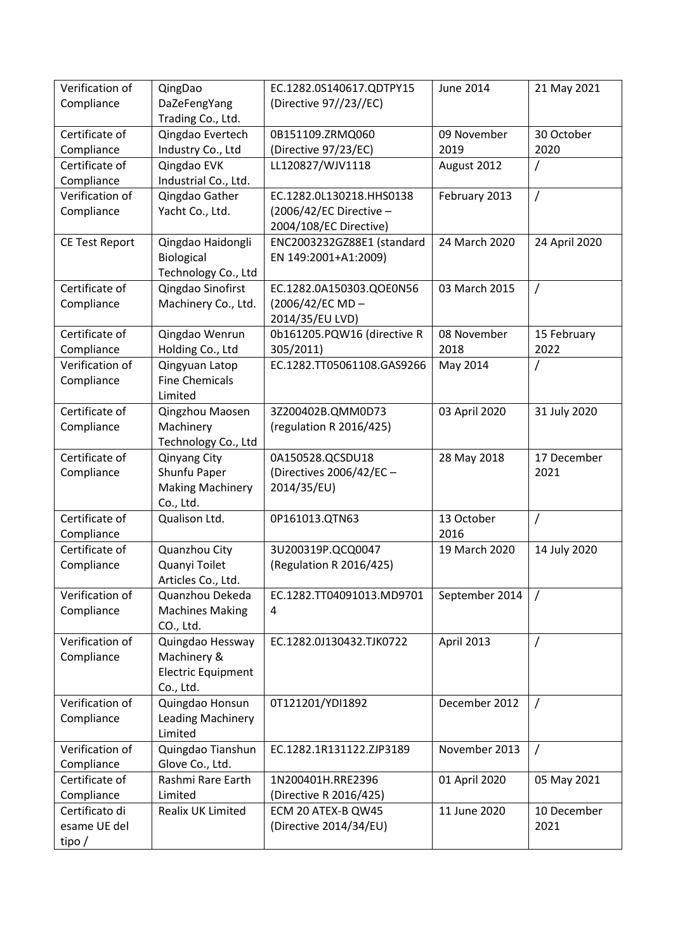| Verification of<br>Compliance  | QingDao<br>DaZeFengYang                                | EC.1282.0S140617.QDTPY15<br>(Directive 97//23//EC)  | <b>June 2014</b>   | 21 May 2021         |
|--------------------------------|--------------------------------------------------------|-----------------------------------------------------|--------------------|---------------------|
|                                | Trading Co., Ltd.                                      |                                                     |                    |                     |
| Certificate of                 | Qingdao Evertech                                       | 0B151109.ZRMQ060                                    | 09 November        | 30 October          |
| Compliance                     | Industry Co., Ltd                                      | (Directive 97/23/EC)                                | 2019               | 2020                |
| Certificate of                 | Qingdao EVK                                            | LL120827/WJV1118                                    | August 2012        |                     |
| Compliance                     | Industrial Co., Ltd.                                   |                                                     |                    |                     |
| Verification of                | Qingdao Gather                                         | EC.1282.0L130218.HHS0138                            | February 2013      | $\prime$            |
| Compliance                     | Yacht Co., Ltd.                                        | $(2006/42/EC$ Directive -<br>2004/108/EC Directive) |                    |                     |
| <b>CE Test Report</b>          | Qingdao Haidongli<br>Biological<br>Technology Co., Ltd | ENC2003232GZ88E1 (standard<br>EN 149:2001+A1:2009)  | 24 March 2020      | 24 April 2020       |
| Certificate of                 | Qingdao Sinofirst                                      | EC.1282.0A150303.QOE0N56                            | 03 March 2015      | $\prime$            |
| Compliance                     | Machinery Co., Ltd.                                    | (2006/42/EC MD-<br>2014/35/EU LVD)                  |                    |                     |
| Certificate of                 | Qingdao Wenrun                                         | 0b161205.PQW16 (directive R                         | 08 November        | 15 February         |
| Compliance                     | Holding Co., Ltd                                       | 305/2011)                                           | 2018               | 2022                |
| Verification of                | Qingyuan Latop                                         | EC.1282.TT05061108.GAS9266                          | May 2014           |                     |
| Compliance                     | <b>Fine Chemicals</b>                                  |                                                     |                    |                     |
|                                | Limited                                                |                                                     |                    |                     |
| Certificate of                 | Qingzhou Maosen                                        | 3Z200402B.QMM0D73                                   | 03 April 2020      | 31 July 2020        |
| Compliance                     | Machinery                                              | (regulation R 2016/425)                             |                    |                     |
|                                | Technology Co., Ltd                                    |                                                     |                    |                     |
| Certificate of                 | Qinyang City                                           | 0A150528.QCSDU18                                    | 28 May 2018        | 17 December         |
| Compliance                     | Shunfu Paper                                           | (Directives 2006/42/EC -                            |                    | 2021                |
|                                | <b>Making Machinery</b>                                | 2014/35/EU)                                         |                    |                     |
|                                | Co., Ltd.                                              |                                                     |                    |                     |
| Certificate of                 | Qualison Ltd.                                          | 0P161013.QTN63                                      | 13 October<br>2016 | $\overline{1}$      |
| Compliance<br>Certificate of   | Quanzhou City                                          | 3U200319P.QCQ0047                                   | 19 March 2020      |                     |
| Compliance                     | Quanyi Toilet                                          | (Regulation R 2016/425)                             |                    | 14 July 2020        |
|                                | Articles Co., Ltd.                                     |                                                     |                    |                     |
| Verification of                | Quanzhou Dekeda                                        | EC.1282.TT04091013.MD9701                           | September 2014     |                     |
| Compliance                     | <b>Machines Making</b>                                 | 4                                                   |                    |                     |
|                                | CO., Ltd.                                              |                                                     |                    |                     |
| Verification of                | Quingdao Hessway                                       | EC.1282.0J130432.TJK0722                            | April 2013         | $\prime$            |
| Compliance                     | Machinery &                                            |                                                     |                    |                     |
|                                | <b>Electric Equipment</b>                              |                                                     |                    |                     |
|                                | Co., Ltd.                                              |                                                     |                    |                     |
| Verification of                | Quingdao Honsun                                        | 0T121201/YDI1892                                    | December 2012      | $\prime$            |
| Compliance                     | Leading Machinery                                      |                                                     |                    |                     |
|                                | Limited                                                |                                                     |                    |                     |
| Verification of                | Quingdao Tianshun                                      | EC.1282.1R131122.ZJP3189                            | November 2013      | $\overline{1}$      |
| Compliance                     | Glove Co., Ltd.                                        |                                                     |                    |                     |
| Certificate of                 | Rashmi Rare Earth                                      | 1N200401H.RRE2396                                   | 01 April 2020      | 05 May 2021         |
| Compliance                     | Limited                                                | (Directive R 2016/425)                              |                    |                     |
| Certificato di<br>esame UE del | Realix UK Limited                                      | ECM 20 ATEX-B QW45<br>(Directive 2014/34/EU)        | 11 June 2020       | 10 December<br>2021 |
| tipo /                         |                                                        |                                                     |                    |                     |
|                                |                                                        |                                                     |                    |                     |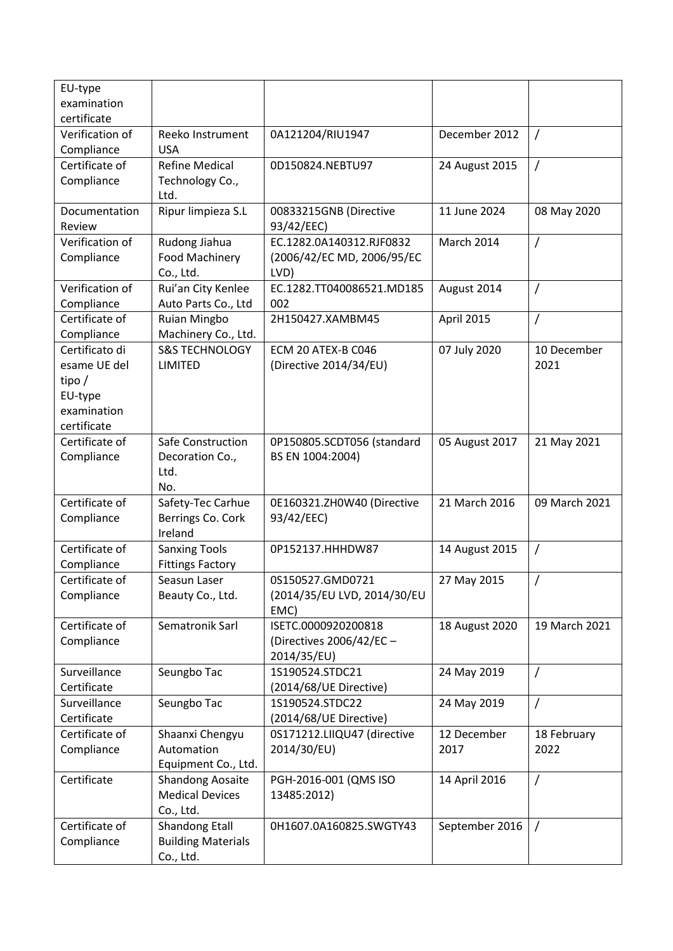| EU-type         |                           |                                         |                   |                |
|-----------------|---------------------------|-----------------------------------------|-------------------|----------------|
| examination     |                           |                                         |                   |                |
| certificate     |                           |                                         |                   |                |
| Verification of | Reeko Instrument          | 0A121204/RIU1947                        | December 2012     | $\prime$       |
| Compliance      | <b>USA</b>                |                                         |                   |                |
| Certificate of  | <b>Refine Medical</b>     | 0D150824.NEBTU97                        | 24 August 2015    | $\prime$       |
| Compliance      | Technology Co.,           |                                         |                   |                |
|                 | Ltd.                      |                                         |                   |                |
| Documentation   | Ripur limpieza S.L        | 00833215GNB (Directive                  | 11 June 2024      | 08 May 2020    |
| Review          |                           | 93/42/EEC)                              |                   |                |
| Verification of | Rudong Jiahua             | EC.1282.0A140312.RJF0832                | <b>March 2014</b> | $\overline{1}$ |
| Compliance      | <b>Food Machinery</b>     | (2006/42/EC MD, 2006/95/EC              |                   |                |
|                 | Co., Ltd.                 | LVD)                                    |                   |                |
| Verification of | Rui'an City Kenlee        | EC.1282.TT040086521.MD185               | August 2014       | $\overline{1}$ |
| Compliance      | Auto Parts Co., Ltd       | 002                                     |                   |                |
| Certificate of  | <b>Ruian Mingbo</b>       | 2H150427.XAMBM45                        | April 2015        | 7              |
| Compliance      | Machinery Co., Ltd.       |                                         |                   |                |
| Certificato di  | <b>S&amp;S TECHNOLOGY</b> | ECM 20 ATEX-B C046                      | 07 July 2020      | 10 December    |
| esame UE del    | LIMITED                   | (Directive 2014/34/EU)                  |                   | 2021           |
| tipo/           |                           |                                         |                   |                |
| EU-type         |                           |                                         |                   |                |
| examination     |                           |                                         |                   |                |
| certificate     |                           |                                         |                   |                |
| Certificate of  | Safe Construction         | 0P150805.SCDT056 (standard              | 05 August 2017    | 21 May 2021    |
| Compliance      | Decoration Co.,           | BS EN 1004:2004)                        |                   |                |
|                 | Ltd.                      |                                         |                   |                |
|                 | No.                       |                                         |                   |                |
| Certificate of  | Safety-Tec Carhue         | 0E160321.ZH0W40 (Directive              | 21 March 2016     | 09 March 2021  |
| Compliance      | Berrings Co. Cork         | 93/42/EEC)                              |                   |                |
|                 | Ireland                   |                                         |                   |                |
| Certificate of  | <b>Sanxing Tools</b>      | 0P152137.HHHDW87                        | 14 August 2015    | $\overline{1}$ |
| Compliance      | <b>Fittings Factory</b>   |                                         |                   |                |
| Certificate of  | Seasun Laser              | 0S150527.GMD0721                        | 27 May 2015       | $\prime$       |
| Compliance      | Beauty Co., Ltd.          | (2014/35/EU LVD, 2014/30/EU             |                   |                |
| Certificate of  | Sematronik Sarl           | EMC)<br>ISETC.0000920200818             |                   | 19 March 2021  |
|                 |                           |                                         | 18 August 2020    |                |
| Compliance      |                           | (Directives 2006/42/EC -<br>2014/35/EU) |                   |                |
| Surveillance    | Seungbo Tac               | 1S190524.STDC21                         | 24 May 2019       | 7              |
| Certificate     |                           | (2014/68/UE Directive)                  |                   |                |
| Surveillance    | Seungbo Tac               | 1S190524.STDC22                         | 24 May 2019       | $\prime$       |
| Certificate     |                           | (2014/68/UE Directive)                  |                   |                |
| Certificate of  | Shaanxi Chengyu           | 0S171212.LIIQU47 (directive             | 12 December       | 18 February    |
| Compliance      | Automation                | 2014/30/EU)                             | 2017              | 2022           |
|                 | Equipment Co., Ltd.       |                                         |                   |                |
| Certificate     | <b>Shandong Aosaite</b>   | PGH-2016-001 (QMS ISO                   | 14 April 2016     | 7              |
|                 | <b>Medical Devices</b>    | 13485:2012)                             |                   |                |
|                 | Co., Ltd.                 |                                         |                   |                |
| Certificate of  | <b>Shandong Etall</b>     | 0H1607.0A160825.SWGTY43                 | September 2016    | $\sqrt{2}$     |
| Compliance      | <b>Building Materials</b> |                                         |                   |                |
|                 | Co., Ltd.                 |                                         |                   |                |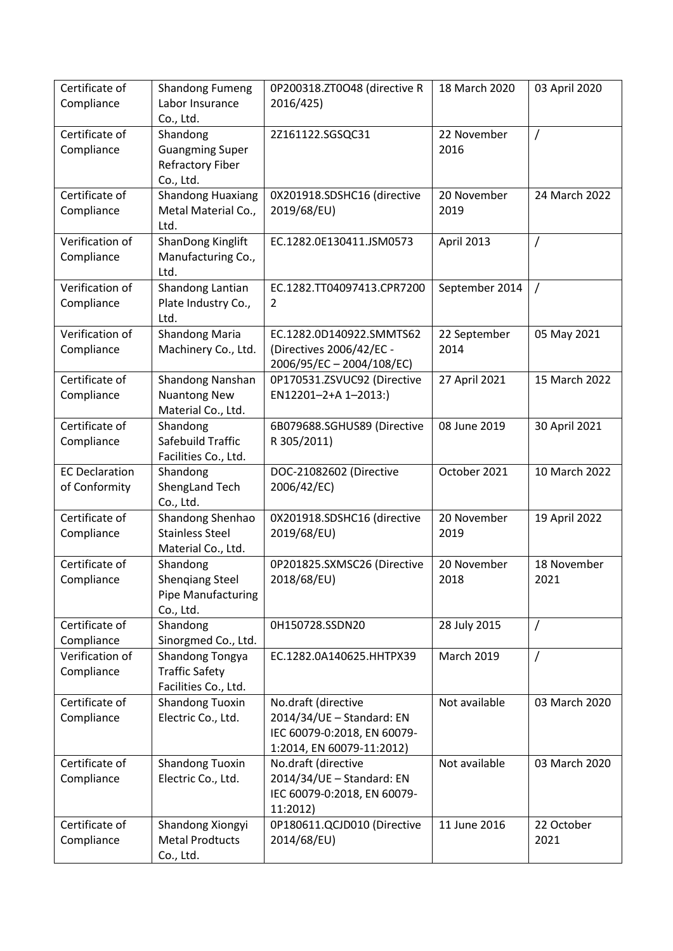| Certificate of<br>Compliance           | <b>Shandong Fumeng</b><br>Labor Insurance<br>Co., Ltd.                       | 0P200318.ZT0O48 (directive R<br>2016/425)                                                                    | 18 March 2020        | 03 April 2020       |
|----------------------------------------|------------------------------------------------------------------------------|--------------------------------------------------------------------------------------------------------------|----------------------|---------------------|
| Certificate of<br>Compliance           | Shandong<br><b>Guangming Super</b><br><b>Refractory Fiber</b><br>Co., Ltd.   | 2Z161122.SGSQC31                                                                                             | 22 November<br>2016  | Τ                   |
| Certificate of<br>Compliance           | <b>Shandong Huaxiang</b><br>Metal Material Co.,<br>Ltd.                      | 0X201918.SDSHC16 (directive<br>2019/68/EU)                                                                   | 20 November<br>2019  | 24 March 2022       |
| Verification of<br>Compliance          | ShanDong Kinglift<br>Manufacturing Co.,<br>Ltd.                              | EC.1282.0E130411.JSM0573                                                                                     | April 2013           | Ι                   |
| Verification of<br>Compliance          | Shandong Lantian<br>Plate Industry Co.,<br>Ltd.                              | EC.1282.TT04097413.CPR7200<br>$\overline{2}$                                                                 | September 2014       | $\prime$            |
| Verification of<br>Compliance          | <b>Shandong Maria</b><br>Machinery Co., Ltd.                                 | EC.1282.0D140922.SMMTS62<br>(Directives 2006/42/EC -<br>2006/95/EC-2004/108/EC)                              | 22 September<br>2014 | 05 May 2021         |
| Certificate of<br>Compliance           | Shandong Nanshan<br><b>Nuantong New</b><br>Material Co., Ltd.                | 0P170531.ZSVUC92 (Directive<br>EN12201-2+A 1-2013:)                                                          | 27 April 2021        | 15 March 2022       |
| Certificate of<br>Compliance           | Shandong<br>Safebuild Traffic<br>Facilities Co., Ltd.                        | 6B079688.SGHUS89 (Directive<br>R 305/2011)                                                                   | 08 June 2019         | 30 April 2021       |
| <b>EC Declaration</b><br>of Conformity | Shandong<br>ShengLand Tech<br>Co., Ltd.                                      | DOC-21082602 (Directive<br>2006/42/EC)                                                                       | October 2021         | 10 March 2022       |
| Certificate of<br>Compliance           | Shandong Shenhao<br><b>Stainless Steel</b><br>Material Co., Ltd.             | 0X201918.SDSHC16 (directive<br>2019/68/EU)                                                                   | 20 November<br>2019  | 19 April 2022       |
| Certificate of<br>Compliance           | Shandong<br><b>Shengiang Steel</b><br><b>Pipe Manufacturing</b><br>Co., Ltd. | 0P201825.SXMSC26 (Directive<br>2018/68/EU)                                                                   | 20 November<br>2018  | 18 November<br>2021 |
| Certificate of<br>Compliance           | Shandong<br>Sinorgmed Co., Ltd.                                              | 0H150728.SSDN20                                                                                              | 28 July 2015         | $\prime$            |
| Verification of<br>Compliance          | Shandong Tongya<br><b>Traffic Safety</b><br>Facilities Co., Ltd.             | EC.1282.0A140625.HHTPX39                                                                                     | <b>March 2019</b>    | /                   |
| Certificate of<br>Compliance           | <b>Shandong Tuoxin</b><br>Electric Co., Ltd.                                 | No.draft (directive<br>2014/34/UE - Standard: EN<br>IEC 60079-0:2018, EN 60079-<br>1:2014, EN 60079-11:2012) | Not available        | 03 March 2020       |
| Certificate of<br>Compliance           | <b>Shandong Tuoxin</b><br>Electric Co., Ltd.                                 | No.draft (directive<br>2014/34/UE - Standard: EN<br>IEC 60079-0:2018, EN 60079-<br>11:2012)                  | Not available        | 03 March 2020       |
| Certificate of<br>Compliance           | Shandong Xiongyi<br><b>Metal Prodtucts</b><br>Co., Ltd.                      | 0P180611.QCJD010 (Directive<br>2014/68/EU)                                                                   | 11 June 2016         | 22 October<br>2021  |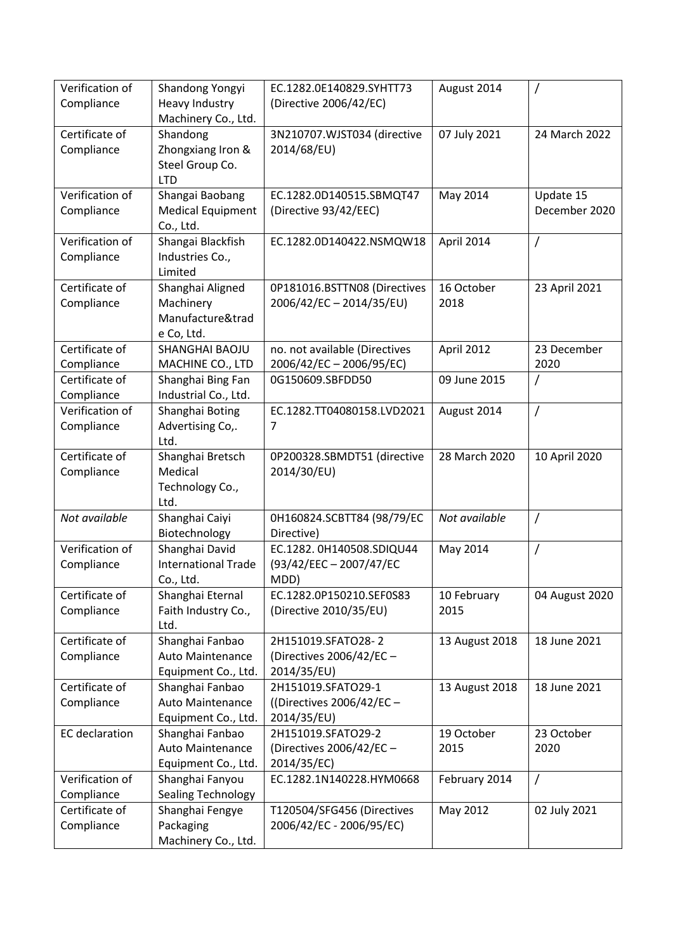| Verification of               | Shandong Yongyi                                | EC.1282.0E140829.SYHTT73                               | August 2014        |                |
|-------------------------------|------------------------------------------------|--------------------------------------------------------|--------------------|----------------|
| Compliance                    | <b>Heavy Industry</b><br>Machinery Co., Ltd.   | (Directive 2006/42/EC)                                 |                    |                |
| Certificate of                | Shandong                                       | 3N210707.WJST034 (directive                            | 07 July 2021       | 24 March 2022  |
| Compliance                    | Zhongxiang Iron &                              | 2014/68/EU)                                            |                    |                |
|                               | Steel Group Co.                                |                                                        |                    |                |
| Verification of               | <b>LTD</b><br>Shangai Baobang                  | EC.1282.0D140515.SBMQT47                               | May 2014           | Update 15      |
| Compliance                    | <b>Medical Equipment</b>                       | (Directive 93/42/EEC)                                  |                    | December 2020  |
|                               | Co., Ltd.                                      |                                                        |                    |                |
| Verification of               | Shangai Blackfish                              | EC.1282.0D140422.NSMQW18                               | April 2014         | /              |
| Compliance                    | Industries Co.,                                |                                                        |                    |                |
| Certificate of                | Limited                                        |                                                        |                    |                |
| Compliance                    | Shanghai Aligned<br>Machinery                  | 0P181016.BSTTN08 (Directives<br>2006/42/EC-2014/35/EU) | 16 October<br>2018 | 23 April 2021  |
|                               | Manufacture&trad                               |                                                        |                    |                |
|                               | e Co, Ltd.                                     |                                                        |                    |                |
| Certificate of                | SHANGHAI BAOJU                                 | no. not available (Directives                          | April 2012         | 23 December    |
| Compliance                    | MACHINE CO., LTD                               | 2006/42/EC-2006/95/EC)                                 |                    | 2020           |
| Certificate of                | Shanghai Bing Fan                              | 0G150609.SBFDD50                                       | 09 June 2015       | /              |
| Compliance<br>Verification of | Industrial Co., Ltd.                           |                                                        | August 2014        |                |
| Compliance                    | Shanghai Boting<br>Advertising Co,.            | EC.1282.TT04080158.LVD2021<br>7                        |                    | /              |
|                               | Ltd.                                           |                                                        |                    |                |
| Certificate of                | Shanghai Bretsch                               | 0P200328.SBMDT51 (directive                            | 28 March 2020      | 10 April 2020  |
| Compliance                    | Medical                                        | 2014/30/EU)                                            |                    |                |
|                               | Technology Co.,                                |                                                        |                    |                |
| Not available                 | Ltd.<br>Shanghai Caiyi                         | 0H160824.SCBTT84 (98/79/EC                             | Not available      | $\prime$       |
|                               | Biotechnology                                  | Directive)                                             |                    |                |
| Verification of               | Shanghai David                                 | EC.1282. 0H140508.SDIQU44                              | May 2014           | Τ              |
| Compliance                    | <b>International Trade</b>                     | (93/42/EEC - 2007/47/EC                                |                    |                |
|                               | Co., Ltd.                                      | MDD)                                                   |                    |                |
| Certificate of                | Shanghai Eternal                               | EC.1282.0P150210.SEF0S83                               | 10 February        | 04 August 2020 |
| Compliance                    | Faith Industry Co.,<br>Ltd.                    | (Directive 2010/35/EU)                                 | 2015               |                |
| Certificate of                | Shanghai Fanbao                                | 2H151019.SFATO28-2                                     | 13 August 2018     | 18 June 2021   |
| Compliance                    | <b>Auto Maintenance</b>                        | (Directives 2006/42/EC -                               |                    |                |
|                               | Equipment Co., Ltd.                            | 2014/35/EU)                                            |                    |                |
| Certificate of                | Shanghai Fanbao                                | 2H151019.SFATO29-1                                     | 13 August 2018     | 18 June 2021   |
| Compliance                    | <b>Auto Maintenance</b><br>Equipment Co., Ltd. | ((Directives 2006/42/EC -<br>2014/35/EU)               |                    |                |
| <b>EC</b> declaration         | Shanghai Fanbao                                | 2H151019.SFATO29-2                                     | 19 October         | 23 October     |
|                               | Auto Maintenance                               | (Directives 2006/42/EC -                               | 2015               | 2020           |
|                               | Equipment Co., Ltd.                            | 2014/35/EC)                                            |                    |                |
| Verification of               | Shanghai Fanyou                                | EC.1282.1N140228.HYM0668                               | February 2014      | T              |
| Compliance                    | <b>Sealing Technology</b>                      |                                                        |                    |                |
| Certificate of                | Shanghai Fengye                                | T120504/SFG456 (Directives                             | May 2012           | 02 July 2021   |
| Compliance                    | Packaging<br>Machinery Co., Ltd.               | 2006/42/EC - 2006/95/EC)                               |                    |                |
|                               |                                                |                                                        |                    |                |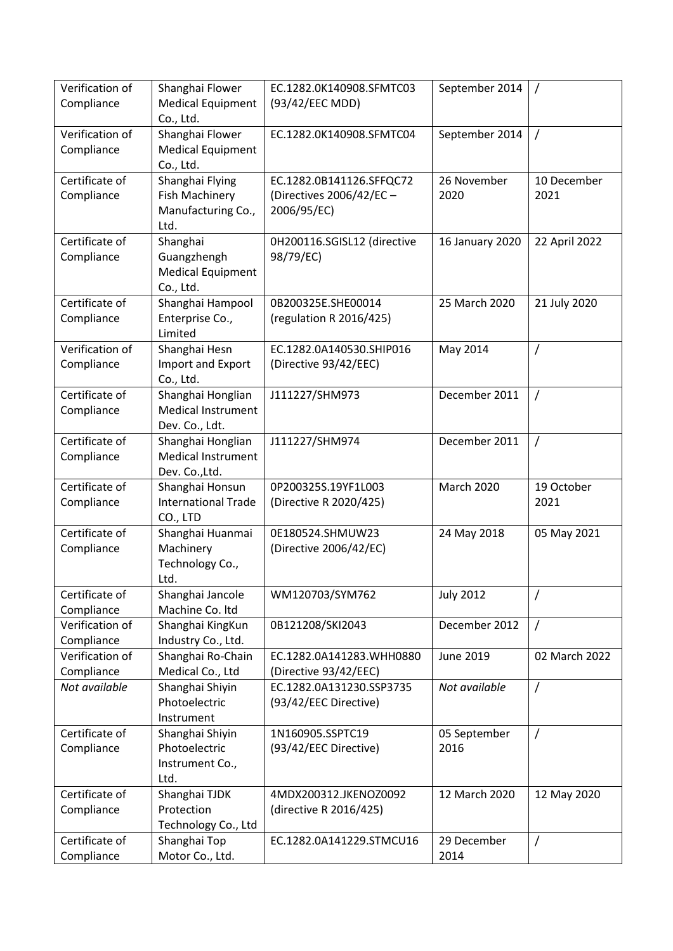| Verification of<br>Compliance | Shanghai Flower<br><b>Medical Equipment</b> | EC.1282.0K140908.SFMTC03<br>(93/42/EEC MDD) | September 2014    | $\prime$       |
|-------------------------------|---------------------------------------------|---------------------------------------------|-------------------|----------------|
|                               | Co., Ltd.                                   |                                             |                   |                |
| Verification of               | Shanghai Flower                             | EC.1282.0K140908.SFMTC04                    | September 2014    | $\overline{1}$ |
| Compliance                    | <b>Medical Equipment</b>                    |                                             |                   |                |
|                               | Co., Ltd.                                   |                                             |                   |                |
| Certificate of                | Shanghai Flying                             | EC.1282.0B141126.SFFQC72                    | 26 November       | 10 December    |
| Compliance                    | <b>Fish Machinery</b>                       | (Directives 2006/42/EC -                    | 2020              | 2021           |
|                               | Manufacturing Co.,<br>Ltd.                  | 2006/95/EC)                                 |                   |                |
| Certificate of                | Shanghai                                    | 0H200116.SGISL12 (directive                 | 16 January 2020   | 22 April 2022  |
| Compliance                    | Guangzhengh                                 | 98/79/EC)                                   |                   |                |
|                               | <b>Medical Equipment</b>                    |                                             |                   |                |
|                               | Co., Ltd.                                   |                                             |                   |                |
| Certificate of                | Shanghai Hampool                            | 0B200325E.SHE00014                          | 25 March 2020     | 21 July 2020   |
| Compliance                    | Enterprise Co.,                             | (regulation R 2016/425)                     |                   |                |
|                               | Limited                                     |                                             |                   |                |
| Verification of               | Shanghai Hesn                               | EC.1282.0A140530.SHIP016                    | May 2014          | $\overline{1}$ |
| Compliance                    | Import and Export                           | (Directive 93/42/EEC)                       |                   |                |
|                               | Co., Ltd.                                   |                                             |                   |                |
| Certificate of                | Shanghai Honglian                           | J111227/SHM973                              | December 2011     | $\sqrt{ }$     |
| Compliance                    | <b>Medical Instrument</b>                   |                                             |                   |                |
| Certificate of                | Dev. Co., Ldt.<br>Shanghai Honglian         | J111227/SHM974                              | December 2011     | $\prime$       |
| Compliance                    | <b>Medical Instrument</b>                   |                                             |                   |                |
|                               | Dev. Co., Ltd.                              |                                             |                   |                |
| Certificate of                | Shanghai Honsun                             | 0P200325S.19YF1L003                         | <b>March 2020</b> | 19 October     |
| Compliance                    | <b>International Trade</b>                  | (Directive R 2020/425)                      |                   | 2021           |
|                               | CO., LTD                                    |                                             |                   |                |
| Certificate of                | Shanghai Huanmai                            | 0E180524.SHMUW23                            | 24 May 2018       | 05 May 2021    |
| Compliance                    | Machinery                                   | (Directive 2006/42/EC)                      |                   |                |
|                               | Technology Co.,                             |                                             |                   |                |
| Certificate of                | Ltd.                                        | WM120703/SYM762                             |                   |                |
| Compliance                    | Shanghai Jancole<br>Machine Co. Itd         |                                             | <b>July 2012</b>  | 7              |
| Verification of               | Shanghai KingKun                            | 0B121208/SKI2043                            | December 2012     | $\prime$       |
| Compliance                    | Industry Co., Ltd.                          |                                             |                   |                |
| Verification of               | Shanghai Ro-Chain                           | EC.1282.0A141283.WHH0880                    | <b>June 2019</b>  | 02 March 2022  |
| Compliance                    | Medical Co., Ltd                            | (Directive 93/42/EEC)                       |                   |                |
| Not available                 | Shanghai Shiyin                             | EC.1282.0A131230.SSP3735                    | Not available     | $\overline{1}$ |
|                               | Photoelectric                               | (93/42/EEC Directive)                       |                   |                |
|                               | Instrument                                  |                                             |                   |                |
| Certificate of                | Shanghai Shiyin                             | 1N160905.SSPTC19                            | 05 September      | $\prime$       |
| Compliance                    | Photoelectric                               | (93/42/EEC Directive)                       | 2016              |                |
|                               | Instrument Co.,                             |                                             |                   |                |
| Certificate of                | Ltd.<br>Shanghai TJDK                       | 4MDX200312.JKENOZ0092                       | 12 March 2020     | 12 May 2020    |
| Compliance                    | Protection                                  | (directive R 2016/425)                      |                   |                |
|                               | Technology Co., Ltd                         |                                             |                   |                |
| Certificate of                | Shanghai Top                                | EC.1282.0A141229.STMCU16                    | 29 December       | $\prime$       |
| Compliance                    | Motor Co., Ltd.                             |                                             | 2014              |                |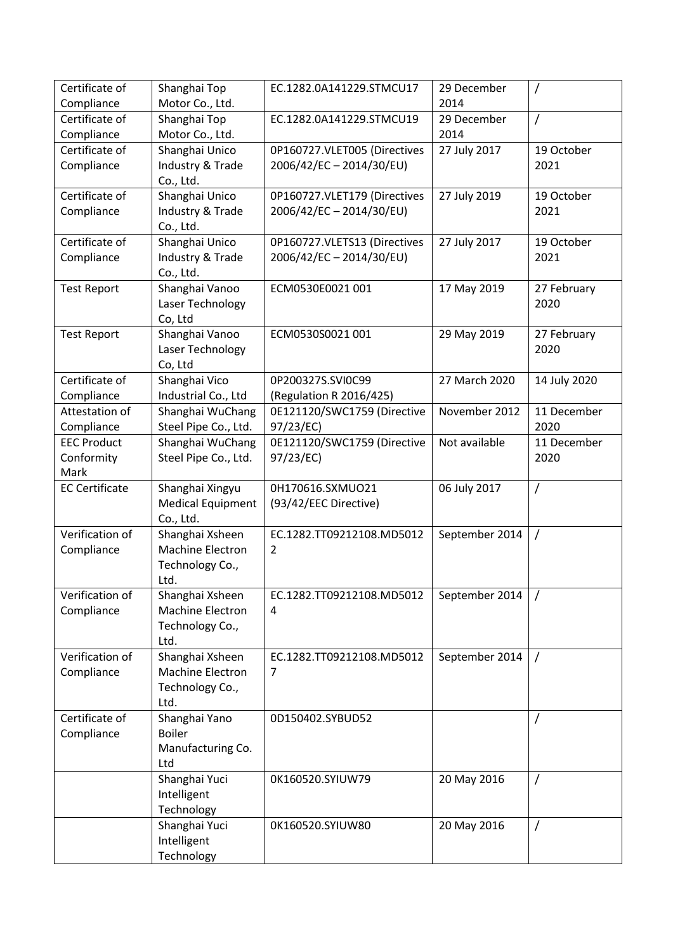| Certificate of        | Shanghai Top             | EC.1282.0A141229.STMCU17     | 29 December    | $\prime$     |
|-----------------------|--------------------------|------------------------------|----------------|--------------|
| Compliance            | Motor Co., Ltd.          |                              | 2014           |              |
| Certificate of        | Shanghai Top             | EC.1282.0A141229.STMCU19     | 29 December    | $\prime$     |
| Compliance            | Motor Co., Ltd.          |                              | 2014           |              |
| Certificate of        | Shanghai Unico           | 0P160727.VLET005 (Directives | 27 July 2017   | 19 October   |
| Compliance            | Industry & Trade         | 2006/42/EC-2014/30/EU)       |                | 2021         |
|                       | Co., Ltd.                |                              |                |              |
| Certificate of        | Shanghai Unico           | 0P160727.VLET179 (Directives | 27 July 2019   | 19 October   |
| Compliance            | Industry & Trade         | 2006/42/EC-2014/30/EU)       |                | 2021         |
|                       | Co., Ltd.                |                              |                |              |
| Certificate of        | Shanghai Unico           | 0P160727.VLETS13 (Directives | 27 July 2017   | 19 October   |
| Compliance            | Industry & Trade         | 2006/42/EC-2014/30/EU)       |                | 2021         |
|                       | Co., Ltd.                |                              |                |              |
| <b>Test Report</b>    | Shanghai Vanoo           | ECM0530E0021 001             | 17 May 2019    | 27 February  |
|                       | Laser Technology         |                              |                | 2020         |
|                       | Co, Ltd                  |                              |                |              |
| <b>Test Report</b>    | Shanghai Vanoo           | ECM0530S0021 001             | 29 May 2019    | 27 February  |
|                       | Laser Technology         |                              |                | 2020         |
|                       | Co, Ltd                  |                              |                |              |
| Certificate of        | Shanghai Vico            | 0P200327S.SVI0C99            | 27 March 2020  | 14 July 2020 |
| Compliance            | Industrial Co., Ltd      | (Regulation R 2016/425)      |                |              |
| Attestation of        | Shanghai WuChang         | 0E121120/SWC1759 (Directive  | November 2012  | 11 December  |
| Compliance            | Steel Pipe Co., Ltd.     | 97/23/EC)                    |                | 2020         |
| <b>EEC Product</b>    | Shanghai WuChang         | 0E121120/SWC1759 (Directive  | Not available  | 11 December  |
| Conformity            | Steel Pipe Co., Ltd.     | 97/23/EC)                    |                | 2020         |
| Mark                  |                          |                              |                |              |
| <b>EC Certificate</b> | Shanghai Xingyu          | 0H170616.SXMUO21             | 06 July 2017   | $\prime$     |
|                       | <b>Medical Equipment</b> | (93/42/EEC Directive)        |                |              |
|                       | Co., Ltd.                |                              |                |              |
| Verification of       | Shanghai Xsheen          | EC.1282.TT09212108.MD5012    | September 2014 | $\sqrt{ }$   |
| Compliance            | <b>Machine Electron</b>  | $\overline{2}$               |                |              |
|                       | Technology Co.,          |                              |                |              |
|                       | Ltd.                     |                              |                |              |
| Verification of       | Shanghai Xsheen          | EC.1282.TT09212108.MD5012    | September 2014 |              |
| Compliance            | Machine Electron         | 4                            |                |              |
|                       | Technology Co.,          |                              |                |              |
|                       | Ltd.                     |                              |                |              |
| Verification of       | Shanghai Xsheen          | EC.1282.TT09212108.MD5012    | September 2014 | $\prime$     |
| Compliance            | Machine Electron         | 7                            |                |              |
|                       | Technology Co.,          |                              |                |              |
|                       | Ltd.                     |                              |                |              |
| Certificate of        | Shanghai Yano            | 0D150402.SYBUD52             |                |              |
| Compliance            | <b>Boiler</b>            |                              |                |              |
|                       | Manufacturing Co.        |                              |                |              |
|                       | Ltd                      |                              |                |              |
|                       | Shanghai Yuci            | 0K160520.SYIUW79             | 20 May 2016    | $\prime$     |
|                       | Intelligent              |                              |                |              |
|                       | Technology               |                              |                |              |
|                       | Shanghai Yuci            | 0K160520.SYIUW80             | 20 May 2016    | $\prime$     |
|                       | Intelligent              |                              |                |              |
|                       | Technology               |                              |                |              |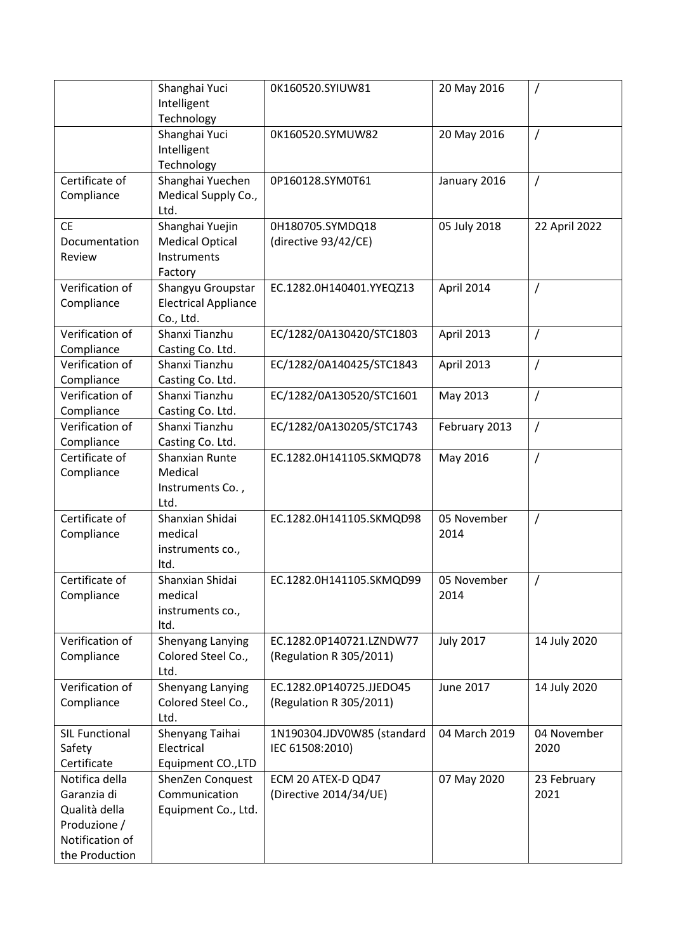|                       | Shanghai Yuci               | 0K160520.SYIUW81           | 20 May 2016      | 7              |
|-----------------------|-----------------------------|----------------------------|------------------|----------------|
|                       | Intelligent                 |                            |                  |                |
|                       | Technology                  |                            |                  |                |
|                       | Shanghai Yuci               | 0K160520.SYMUW82           | 20 May 2016      | $\overline{1}$ |
|                       | Intelligent                 |                            |                  |                |
|                       | Technology                  |                            |                  |                |
| Certificate of        | Shanghai Yuechen            | 0P160128.SYM0T61           | January 2016     | $\overline{1}$ |
| Compliance            | Medical Supply Co.,         |                            |                  |                |
|                       | Ltd.                        |                            |                  |                |
| <b>CE</b>             | Shanghai Yuejin             | 0H180705.SYMDQ18           | 05 July 2018     | 22 April 2022  |
| Documentation         | <b>Medical Optical</b>      | (directive 93/42/CE)       |                  |                |
| Review                | Instruments                 |                            |                  |                |
|                       | Factory                     |                            |                  |                |
| Verification of       | Shangyu Groupstar           | EC.1282.0H140401.YYEQZ13   | April 2014       | $\prime$       |
| Compliance            | <b>Electrical Appliance</b> |                            |                  |                |
|                       | Co., Ltd.                   |                            |                  |                |
| Verification of       | Shanxi Tianzhu              | EC/1282/0A130420/STC1803   | April 2013       | $\prime$       |
| Compliance            | Casting Co. Ltd.            |                            |                  |                |
| Verification of       | Shanxi Tianzhu              | EC/1282/0A140425/STC1843   | April 2013       | $\prime$       |
| Compliance            | Casting Co. Ltd.            |                            |                  |                |
| Verification of       | Shanxi Tianzhu              | EC/1282/0A130520/STC1601   | May 2013         | $\prime$       |
| Compliance            | Casting Co. Ltd.            |                            |                  |                |
| Verification of       | Shanxi Tianzhu              | EC/1282/0A130205/STC1743   | February 2013    | $\prime$       |
| Compliance            | Casting Co. Ltd.            |                            |                  |                |
| Certificate of        | Shanxian Runte              | EC.1282.0H141105.SKMQD78   | May 2016         | $\prime$       |
| Compliance            | Medical                     |                            |                  |                |
|                       | Instruments Co.,            |                            |                  |                |
|                       | Ltd.                        |                            |                  |                |
| Certificate of        | Shanxian Shidai             | EC.1282.0H141105.SKMQD98   | 05 November      | $\overline{1}$ |
| Compliance            | medical                     |                            | 2014             |                |
|                       | instruments co.,            |                            |                  |                |
|                       | Itd.                        |                            |                  |                |
| Certificate of        | Shanxian Shidai             | EC.1282.0H141105.SKMQD99   | 05 November      |                |
| Compliance            | medical                     |                            | 2014             |                |
|                       | instruments co.,            |                            |                  |                |
|                       | Itd.                        |                            |                  |                |
| Verification of       | Shenyang Lanying            | EC.1282.0P140721.LZNDW77   | <b>July 2017</b> | 14 July 2020   |
| Compliance            | Colored Steel Co.,          | (Regulation R 305/2011)    |                  |                |
|                       | Ltd.                        |                            |                  |                |
| Verification of       | Shenyang Lanying            | EC.1282.0P140725.JJEDO45   | June 2017        | 14 July 2020   |
| Compliance            | Colored Steel Co.,          | (Regulation R 305/2011)    |                  |                |
|                       | Ltd.                        |                            |                  |                |
| <b>SIL Functional</b> | Shenyang Taihai             | 1N190304.JDV0W85 (standard | 04 March 2019    | 04 November    |
| Safety                | Electrical                  | IEC 61508:2010)            |                  | 2020           |
| Certificate           | Equipment CO., LTD          |                            |                  |                |
| Notifica della        | ShenZen Conquest            | ECM 20 ATEX-D QD47         | 07 May 2020      | 23 February    |
| Garanzia di           | Communication               | (Directive 2014/34/UE)     |                  | 2021           |
| Qualità della         | Equipment Co., Ltd.         |                            |                  |                |
| Produzione /          |                             |                            |                  |                |
| Notification of       |                             |                            |                  |                |
| the Production        |                             |                            |                  |                |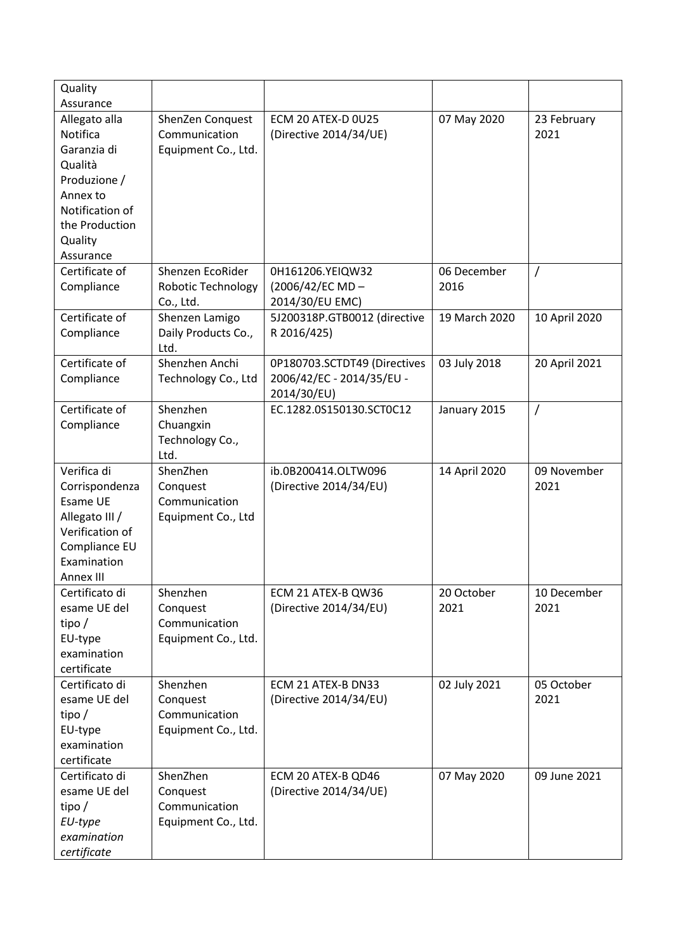| Quality         |                     |                              |               |                |
|-----------------|---------------------|------------------------------|---------------|----------------|
| Assurance       |                     |                              |               |                |
| Allegato alla   | ShenZen Conquest    | ECM 20 ATEX-D 0U25           | 07 May 2020   | 23 February    |
| Notifica        | Communication       | (Directive 2014/34/UE)       |               | 2021           |
| Garanzia di     | Equipment Co., Ltd. |                              |               |                |
| Qualità         |                     |                              |               |                |
| Produzione /    |                     |                              |               |                |
| Annex to        |                     |                              |               |                |
| Notification of |                     |                              |               |                |
| the Production  |                     |                              |               |                |
| Quality         |                     |                              |               |                |
| Assurance       |                     |                              |               |                |
| Certificate of  | Shenzen EcoRider    | 0H161206.YEIQW32             | 06 December   | $\prime$       |
| Compliance      | Robotic Technology  | (2006/42/EC MD-              | 2016          |                |
|                 | Co., Ltd.           | 2014/30/EU EMC)              |               |                |
| Certificate of  | Shenzen Lamigo      | 5J200318P.GTB0012 (directive | 19 March 2020 | 10 April 2020  |
| Compliance      | Daily Products Co., | R 2016/425)                  |               |                |
|                 | Ltd.                |                              |               |                |
| Certificate of  | Shenzhen Anchi      | 0P180703.SCTDT49 (Directives | 03 July 2018  | 20 April 2021  |
| Compliance      | Technology Co., Ltd | 2006/42/EC - 2014/35/EU -    |               |                |
|                 |                     | 2014/30/EU)                  |               |                |
| Certificate of  | Shenzhen            | EC.1282.0S150130.SCT0C12     | January 2015  | $\overline{1}$ |
| Compliance      | Chuangxin           |                              |               |                |
|                 | Technology Co.,     |                              |               |                |
|                 | Ltd.                |                              |               |                |
| Verifica di     | ShenZhen            | ib.0B200414.OLTW096          | 14 April 2020 | 09 November    |
| Corrispondenza  | Conquest            | (Directive 2014/34/EU)       |               | 2021           |
| Esame UE        | Communication       |                              |               |                |
| Allegato III /  | Equipment Co., Ltd  |                              |               |                |
| Verification of |                     |                              |               |                |
| Compliance EU   |                     |                              |               |                |
| Examination     |                     |                              |               |                |
| Annex III       |                     |                              |               |                |
| Certificato di  | Shenzhen            | ECM 21 ATEX-B QW36           | 20 October    | 10 December    |
| esame UE del    | Conquest            | (Directive 2014/34/EU)       | 2021          | 2021           |
| tipo $/$        | Communication       |                              |               |                |
| EU-type         | Equipment Co., Ltd. |                              |               |                |
| examination     |                     |                              |               |                |
| certificate     |                     |                              |               |                |
| Certificato di  | Shenzhen            | ECM 21 ATEX-B DN33           | 02 July 2021  | 05 October     |
| esame UE del    | Conquest            | (Directive 2014/34/EU)       |               | 2021           |
| tipo $/$        | Communication       |                              |               |                |
| EU-type         | Equipment Co., Ltd. |                              |               |                |
| examination     |                     |                              |               |                |
| certificate     |                     |                              |               |                |
| Certificato di  | ShenZhen            | ECM 20 ATEX-B QD46           | 07 May 2020   | 09 June 2021   |
| esame UE del    | Conquest            | (Directive 2014/34/UE)       |               |                |
| tipo $/$        | Communication       |                              |               |                |
| EU-type         | Equipment Co., Ltd. |                              |               |                |
| examination     |                     |                              |               |                |
| certificate     |                     |                              |               |                |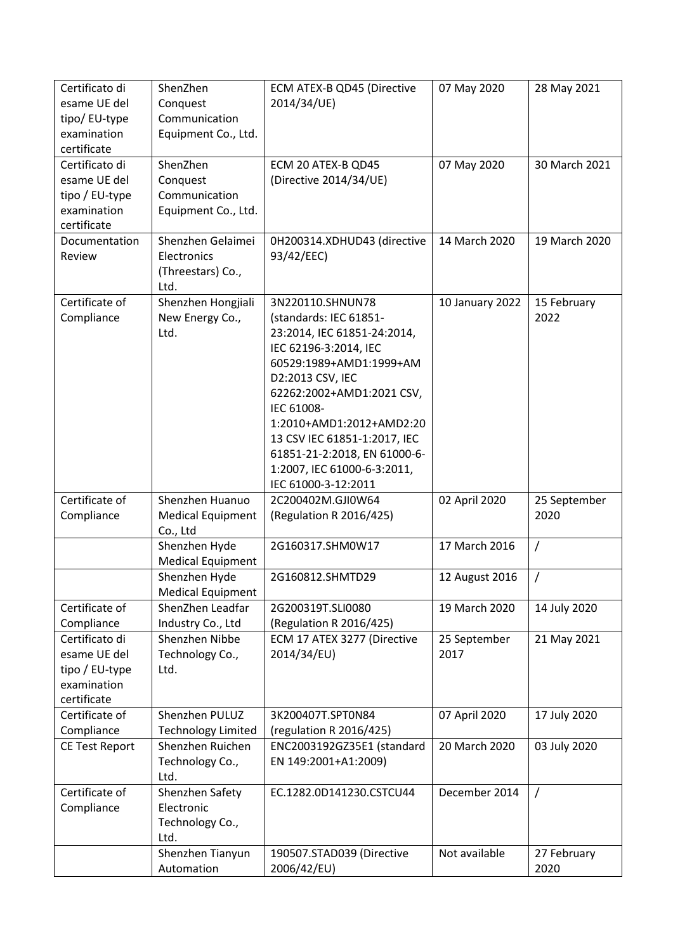| Certificato di<br>esame UE del<br>tipo/ EU-type<br>examination<br>certificate  | ShenZhen<br>Conquest<br>Communication<br>Equipment Co., Ltd.  | ECM ATEX-B QD45 (Directive<br>2014/34/UE)                                                                                                                                                                                                                                                                                                      | 07 May 2020          | 28 May 2021          |
|--------------------------------------------------------------------------------|---------------------------------------------------------------|------------------------------------------------------------------------------------------------------------------------------------------------------------------------------------------------------------------------------------------------------------------------------------------------------------------------------------------------|----------------------|----------------------|
| Certificato di<br>esame UE del<br>tipo / EU-type<br>examination<br>certificate | ShenZhen<br>Conquest<br>Communication<br>Equipment Co., Ltd.  | ECM 20 ATEX-B QD45<br>(Directive 2014/34/UE)                                                                                                                                                                                                                                                                                                   | 07 May 2020          | 30 March 2021        |
| Documentation<br>Review                                                        | Shenzhen Gelaimei<br>Electronics<br>(Threestars) Co.,<br>Ltd. | 0H200314.XDHUD43 (directive<br>93/42/EEC)                                                                                                                                                                                                                                                                                                      | 14 March 2020        | 19 March 2020        |
| Certificate of<br>Compliance                                                   | Shenzhen Hongjiali<br>New Energy Co.,<br>Ltd.                 | 3N220110.SHNUN78<br>(standards: IEC 61851-<br>23:2014, IEC 61851-24:2014,<br>IEC 62196-3:2014, IEC<br>60529:1989+AMD1:1999+AM<br>D2:2013 CSV, IEC<br>62262:2002+AMD1:2021 CSV,<br>IEC 61008-<br>1:2010+AMD1:2012+AMD2:20<br>13 CSV IEC 61851-1:2017, IEC<br>61851-21-2:2018, EN 61000-6-<br>1:2007, IEC 61000-6-3:2011,<br>IEC 61000-3-12:2011 | 10 January 2022      | 15 February<br>2022  |
| Certificate of<br>Compliance                                                   | Shenzhen Huanuo<br><b>Medical Equipment</b><br>Co., Ltd       | 2C200402M.GJI0W64<br>(Regulation R 2016/425)                                                                                                                                                                                                                                                                                                   | 02 April 2020        | 25 September<br>2020 |
|                                                                                | Shenzhen Hyde<br><b>Medical Equipment</b>                     | 2G160317.SHM0W17                                                                                                                                                                                                                                                                                                                               | 17 March 2016        | $\overline{1}$       |
|                                                                                | Shenzhen Hyde<br><b>Medical Equipment</b>                     | 2G160812.SHMTD29                                                                                                                                                                                                                                                                                                                               | 12 August 2016       | T                    |
| Certificate of<br>Compliance                                                   | ShenZhen Leadfar<br>Industry Co., Ltd                         | 2G200319T.SLI0080<br>(Regulation R 2016/425)                                                                                                                                                                                                                                                                                                   | 19 March 2020        | 14 July 2020         |
| Certificato di<br>esame UE del<br>tipo / EU-type<br>examination<br>certificate | Shenzhen Nibbe<br>Technology Co.,<br>Ltd.                     | ECM 17 ATEX 3277 (Directive<br>2014/34/EU)                                                                                                                                                                                                                                                                                                     | 25 September<br>2017 | 21 May 2021          |
| Certificate of<br>Compliance                                                   | Shenzhen PULUZ<br><b>Technology Limited</b>                   | 3K200407T.SPT0N84<br>(regulation R 2016/425)                                                                                                                                                                                                                                                                                                   | 07 April 2020        | 17 July 2020         |
| <b>CE Test Report</b>                                                          | Shenzhen Ruichen<br>Technology Co.,<br>Ltd.                   | ENC2003192GZ35E1 (standard<br>EN 149:2001+A1:2009)                                                                                                                                                                                                                                                                                             | 20 March 2020        | 03 July 2020         |
| Certificate of<br>Compliance                                                   | Shenzhen Safety<br>Electronic<br>Technology Co.,<br>Ltd.      | EC.1282.0D141230.CSTCU44                                                                                                                                                                                                                                                                                                                       | December 2014        | $\prime$             |
|                                                                                | Shenzhen Tianyun<br>Automation                                | 190507.STAD039 (Directive<br>2006/42/EU)                                                                                                                                                                                                                                                                                                       | Not available        | 27 February<br>2020  |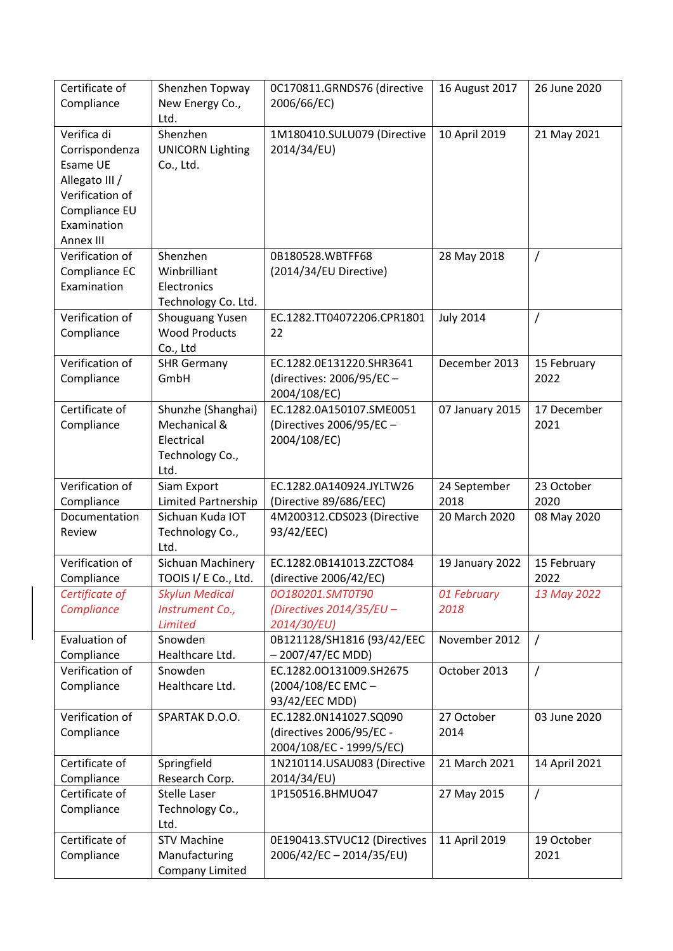| Certificate of<br>Compliance                                                                                                | Shenzhen Topway<br>New Energy Co.,                                          | 0C170811.GRNDS76 (directive<br>2006/66/EC)                                                       | 16 August 2017               | 26 June 2020        |
|-----------------------------------------------------------------------------------------------------------------------------|-----------------------------------------------------------------------------|--------------------------------------------------------------------------------------------------|------------------------------|---------------------|
| Verifica di<br>Corrispondenza<br>Esame UE<br>Allegato III /<br>Verification of<br>Compliance EU<br>Examination<br>Annex III | Ltd.<br>Shenzhen<br><b>UNICORN Lighting</b><br>Co., Ltd.                    | 1M180410.SULU079 (Directive<br>2014/34/EU)                                                       | 10 April 2019                | 21 May 2021         |
| Verification of<br>Compliance EC<br>Examination                                                                             | Shenzhen<br>Winbrilliant<br>Electronics<br>Technology Co. Ltd.              | 0B180528.WBTFF68<br>(2014/34/EU Directive)                                                       | 28 May 2018                  | /                   |
| Verification of<br>Compliance                                                                                               | <b>Shouguang Yusen</b><br><b>Wood Products</b><br>Co., Ltd                  | EC.1282.TT04072206.CPR1801<br>22                                                                 | <b>July 2014</b>             | Τ                   |
| Verification of<br>Compliance                                                                                               | <b>SHR Germany</b><br>GmbH                                                  | EC.1282.0E131220.SHR3641<br>(directives: 2006/95/EC -<br>2004/108/EC)                            | December 2013                | 15 February<br>2022 |
| Certificate of<br>Compliance                                                                                                | Shunzhe (Shanghai)<br>Mechanical &<br>Electrical<br>Technology Co.,<br>Ltd. | EC.1282.0A150107.SME0051<br>(Directives 2006/95/EC -<br>2004/108/EC)                             | 07 January 2015              | 17 December<br>2021 |
|                                                                                                                             |                                                                             |                                                                                                  |                              |                     |
| Verification of                                                                                                             | Siam Export                                                                 | EC.1282.0A140924.JYLTW26                                                                         | 24 September<br>2018         | 23 October<br>2020  |
| Compliance<br>Documentation<br>Review                                                                                       | Limited Partnership<br>Sichuan Kuda IOT<br>Technology Co.,<br>Ltd.          | (Directive 89/686/EEC)<br>4M200312.CDS023 (Directive<br>93/42/EEC)                               | 20 March 2020                | 08 May 2020         |
| Verification of<br>Compliance                                                                                               | Sichuan Machinery<br>TOOIS I/ E Co., Ltd.                                   | EC.1282.0B141013.ZZCTO84<br>(directive 2006/42/EC)                                               | 19 January 2022              | 15 February<br>2022 |
| Certificate of<br>Compliance                                                                                                | <b>Skylun Medical</b><br>Instrument Co.,<br><b>Limited</b>                  | 00180201.SMT0T90<br>(Directives 2014/35/EU -<br>2014/30/EU)                                      | 01 February<br>2018          | 13 May 2022         |
| Evaluation of<br>Compliance                                                                                                 | Snowden<br>Healthcare Ltd.                                                  | 0B121128/SH1816 (93/42/EEC<br>$-2007/47/EC MDD$                                                  | November 2012                | $\prime$            |
| Verification of<br>Compliance                                                                                               | Snowden<br>Healthcare Ltd.                                                  | EC.1282.00131009.SH2675<br>(2004/108/EC EMC-                                                     | October 2013                 | $\prime$            |
| Verification of<br>Compliance                                                                                               | SPARTAK D.O.O.                                                              | 93/42/EEC MDD)<br>EC.1282.0N141027.SQ090<br>(directives 2006/95/EC -<br>2004/108/EC - 1999/5/EC) | 27 October<br>2014           | 03 June 2020        |
| Certificate of<br>Compliance                                                                                                | Springfield<br>Research Corp.                                               | 1N210114.USAU083 (Directive<br>2014/34/EU)                                                       | 21 March 2021                | 14 April 2021       |
| Certificate of<br>Compliance<br>Certificate of                                                                              | <b>Stelle Laser</b><br>Technology Co.,<br>Ltd.<br><b>STV Machine</b>        | 1P150516.BHMUO47<br>0E190413.STVUC12 (Directives                                                 | 27 May 2015<br>11 April 2019 | $\overline{1}$      |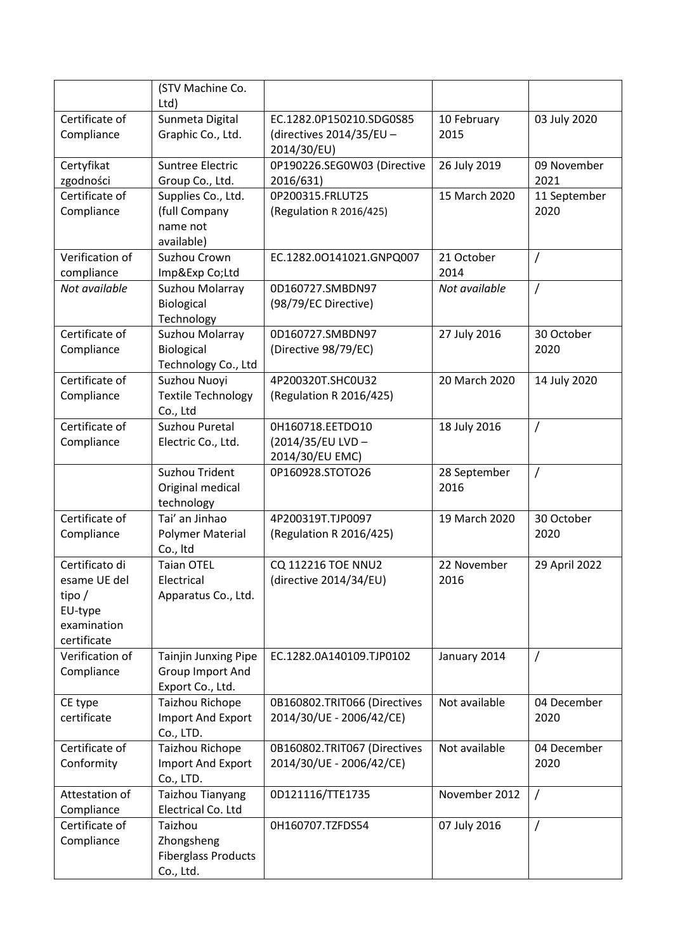|                        | (STV Machine Co.<br>Ltd)              |                                         |               |                     |
|------------------------|---------------------------------------|-----------------------------------------|---------------|---------------------|
| Certificate of         | Sunmeta Digital                       | EC.1282.0P150210.SDG0S85                | 10 February   | 03 July 2020        |
| Compliance             | Graphic Co., Ltd.                     | (directives 2014/35/EU -<br>2014/30/EU) | 2015          |                     |
| Certyfikat             | Suntree Electric                      | 0P190226.SEG0W03 (Directive             | 26 July 2019  | 09 November         |
| zgodności              | Group Co., Ltd.                       | 2016/631)                               |               | 2021                |
| Certificate of         | Supplies Co., Ltd.                    | 0P200315.FRLUT25                        | 15 March 2020 | 11 September        |
| Compliance             | (full Company                         | (Regulation R 2016/425)                 |               | 2020                |
|                        | name not<br>available)                |                                         |               |                     |
| Verification of        | Suzhou Crown                          | EC.1282.00141021.GNPQ007                | 21 October    | 7                   |
| compliance             | Imp&Exp Co;Ltd                        |                                         | 2014          |                     |
| Not available          | Suzhou Molarray                       | 0D160727.SMBDN97                        | Not available | $\prime$            |
|                        | Biological                            | (98/79/EC Directive)                    |               |                     |
|                        | Technology                            |                                         |               |                     |
| Certificate of         | Suzhou Molarray                       | 0D160727.SMBDN97                        | 27 July 2016  | 30 October          |
| Compliance             | Biological                            | (Directive 98/79/EC)                    |               | 2020                |
|                        | Technology Co., Ltd                   |                                         |               |                     |
| Certificate of         | Suzhou Nuoyi                          | 4P200320T.SHC0U32                       | 20 March 2020 | 14 July 2020        |
| Compliance             | <b>Textile Technology</b><br>Co., Ltd | (Regulation R 2016/425)                 |               |                     |
| Certificate of         | Suzhou Puretal                        | 0H160718.EETDO10                        | 18 July 2016  | 7                   |
| Compliance             | Electric Co., Ltd.                    | (2014/35/EU LVD -                       |               |                     |
|                        |                                       | 2014/30/EU EMC)                         |               |                     |
|                        | Suzhou Trident                        | 0P160928.STOTO26                        | 28 September  | $\overline{1}$      |
|                        | Original medical                      |                                         | 2016          |                     |
|                        | technology                            |                                         |               |                     |
| Certificate of         | Tai' an Jinhao                        | 4P200319T.TJP0097                       | 19 March 2020 | 30 October          |
| Compliance             | Polymer Material<br>Co., Itd          | (Regulation R 2016/425)                 |               | 2020                |
| Certificato di         | <b>Taian OTEL</b>                     | <b>CQ 112216 TOE NNU2</b>               | 22 November   | 29 April 2022       |
| esame UE del           | Electrical                            | (directive 2014/34/EU)                  | 2016          |                     |
| tipo $/$               | Apparatus Co., Ltd.                   |                                         |               |                     |
| EU-type                |                                       |                                         |               |                     |
| examination            |                                       |                                         |               |                     |
| certificate            |                                       |                                         |               |                     |
| Verification of        | Tainjin Junxing Pipe                  | EC.1282.0A140109.TJP0102                | January 2014  | $\prime$            |
| Compliance             | Group Import And                      |                                         |               |                     |
|                        | Export Co., Ltd.                      |                                         |               |                     |
| CE type<br>certificate | <b>Taizhou Richope</b>                | 0B160802.TRIT066 (Directives            | Not available | 04 December<br>2020 |
|                        | Import And Export<br>Co., LTD.        | 2014/30/UE - 2006/42/CE)                |               |                     |
| Certificate of         | <b>Taizhou Richope</b>                | 0B160802.TRIT067 (Directives            | Not available | 04 December         |
| Conformity             | Import And Export                     | 2014/30/UE - 2006/42/CE)                |               | 2020                |
|                        | Co., LTD.                             |                                         |               |                     |
| Attestation of         | Taizhou Tianyang                      | 0D121116/TTE1735                        | November 2012 | $\prime$            |
| Compliance             | Electrical Co. Ltd                    |                                         |               |                     |
| Certificate of         | Taizhou                               | 0H160707.TZFDS54                        | 07 July 2016  | $\prime$            |
| Compliance             | Zhongsheng                            |                                         |               |                     |
|                        | <b>Fiberglass Products</b>            |                                         |               |                     |
|                        | Co., Ltd.                             |                                         |               |                     |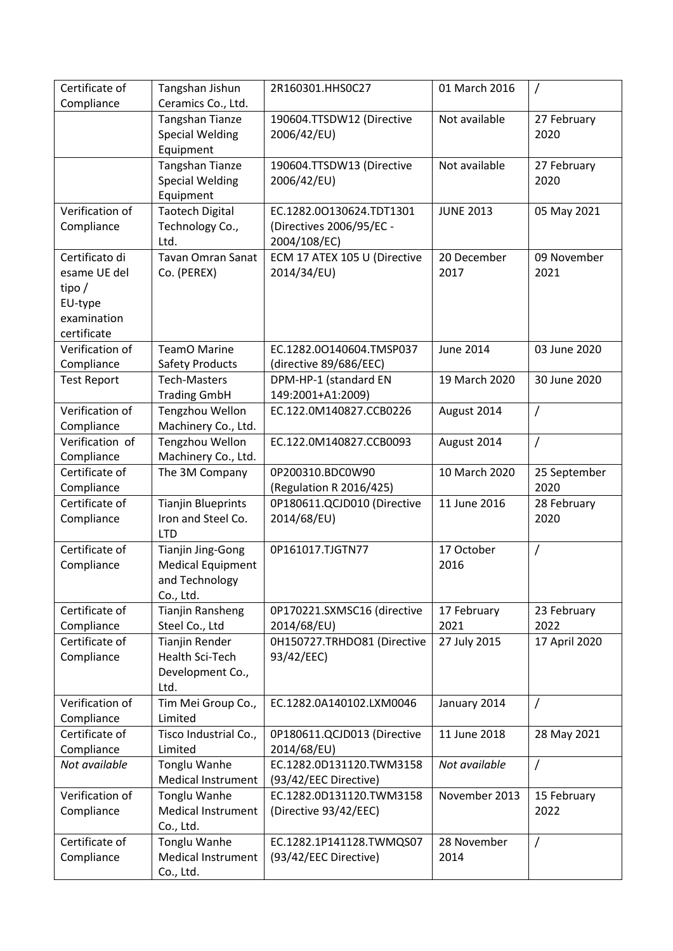| Certificate of               | Tangshan Jishun                                  | 2R160301.HHS0C27                           | 01 March 2016    |                     |
|------------------------------|--------------------------------------------------|--------------------------------------------|------------------|---------------------|
| Compliance                   | Ceramics Co., Ltd.                               |                                            |                  |                     |
|                              | <b>Tangshan Tianze</b><br><b>Special Welding</b> | 190604.TTSDW12 (Directive<br>2006/42/EU)   | Not available    | 27 February<br>2020 |
|                              | Equipment                                        |                                            |                  |                     |
|                              | <b>Tangshan Tianze</b>                           | 190604.TTSDW13 (Directive                  | Not available    | 27 February         |
|                              | <b>Special Welding</b>                           | 2006/42/EU)                                |                  | 2020                |
|                              | Equipment                                        |                                            |                  |                     |
| Verification of              | <b>Taotech Digital</b>                           | EC.1282.00130624.TDT1301                   | <b>JUNE 2013</b> | 05 May 2021         |
| Compliance                   | Technology Co.,                                  | (Directives 2006/95/EC -                   |                  |                     |
|                              | Ltd.                                             | 2004/108/EC)                               |                  |                     |
| Certificato di               | <b>Tavan Omran Sanat</b>                         | ECM 17 ATEX 105 U (Directive               | 20 December      | 09 November         |
| esame UE del                 | Co. (PEREX)                                      | 2014/34/EU)                                | 2017             | 2021                |
| tipo $/$                     |                                                  |                                            |                  |                     |
| EU-type                      |                                                  |                                            |                  |                     |
| examination                  |                                                  |                                            |                  |                     |
| certificate                  |                                                  |                                            |                  |                     |
| Verification of              | <b>TeamO Marine</b>                              | EC.1282.00140604.TMSP037                   | June 2014        | 03 June 2020        |
| Compliance                   | <b>Safety Products</b><br><b>Tech-Masters</b>    | (directive 89/686/EEC)                     | 19 March 2020    | 30 June 2020        |
| <b>Test Report</b>           | <b>Trading GmbH</b>                              | DPM-HP-1 (standard EN<br>149:2001+A1:2009) |                  |                     |
| Verification of              | Tengzhou Wellon                                  | EC.122.0M140827.CCB0226                    | August 2014      | $\overline{1}$      |
| Compliance                   | Machinery Co., Ltd.                              |                                            |                  |                     |
| Verification of              | Tengzhou Wellon                                  | EC.122.0M140827.CCB0093                    | August 2014      | $\prime$            |
| Compliance                   | Machinery Co., Ltd.                              |                                            |                  |                     |
| Certificate of               | The 3M Company                                   | 0P200310.BDC0W90                           | 10 March 2020    | 25 September        |
| Compliance                   |                                                  | (Regulation R 2016/425)                    |                  | 2020                |
| Certificate of               | <b>Tianjin Blueprints</b>                        | 0P180611.QCJD010 (Directive                | 11 June 2016     | 28 February         |
| Compliance                   | Iron and Steel Co.                               | 2014/68/EU)                                |                  | 2020                |
|                              | <b>LTD</b>                                       |                                            |                  |                     |
| Certificate of               | <b>Tianjin Jing-Gong</b>                         | 0P161017.TJGTN77                           | 17 October       | $\prime$            |
| Compliance                   | <b>Medical Equipment</b>                         |                                            | 2016             |                     |
|                              | and Technology                                   |                                            |                  |                     |
|                              | Co., Ltd.                                        |                                            |                  |                     |
| Certificate of               | <b>Tianjin Ransheng</b>                          | 0P170221.SXMSC16 (directive                | 17 February      | 23 February         |
| Compliance<br>Certificate of | Steel Co., Ltd                                   | 2014/68/EU)                                | 2021             | 2022                |
| Compliance                   | <b>Tianjin Render</b><br>Health Sci-Tech         | 0H150727.TRHDO81 (Directive<br>93/42/EEC)  | 27 July 2015     | 17 April 2020       |
|                              | Development Co.,                                 |                                            |                  |                     |
|                              | Ltd.                                             |                                            |                  |                     |
| Verification of              | Tim Mei Group Co.,                               | EC.1282.0A140102.LXM0046                   | January 2014     | $\prime$            |
| Compliance                   | Limited                                          |                                            |                  |                     |
| Certificate of               | Tisco Industrial Co.,                            | 0P180611.QCJD013 (Directive                | 11 June 2018     | 28 May 2021         |
| Compliance                   | Limited                                          | 2014/68/EU)                                |                  |                     |
| Not available                | Tonglu Wanhe                                     | EC.1282.0D131120.TWM3158                   | Not available    | $\prime$            |
|                              | <b>Medical Instrument</b>                        | (93/42/EEC Directive)                      |                  |                     |
| Verification of              | Tonglu Wanhe                                     | EC.1282.0D131120.TWM3158                   | November 2013    | 15 February         |
| Compliance                   | <b>Medical Instrument</b>                        | (Directive 93/42/EEC)                      |                  | 2022                |
|                              | Co., Ltd.                                        |                                            |                  |                     |
| Certificate of               | Tonglu Wanhe                                     | EC.1282.1P141128.TWMQS07                   | 28 November      | $\prime$            |
| Compliance                   | Medical Instrument                               | (93/42/EEC Directive)                      | 2014             |                     |
|                              | Co., Ltd.                                        |                                            |                  |                     |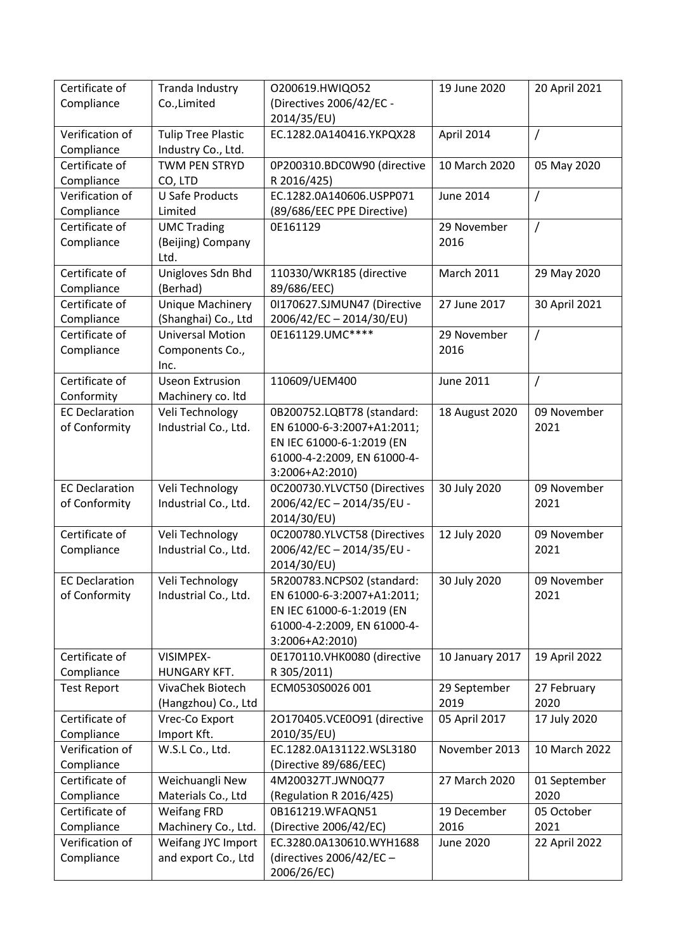| Certificate of        | Tranda Industry                                | 0200619.HWIQ052                            | 19 June 2020      | 20 April 2021       |
|-----------------------|------------------------------------------------|--------------------------------------------|-------------------|---------------------|
| Compliance            | Co., Limited                                   | (Directives 2006/42/EC -                   |                   |                     |
|                       |                                                | 2014/35/EU)                                |                   |                     |
| Verification of       | <b>Tulip Tree Plastic</b>                      | EC.1282.0A140416.YKPQX28                   | April 2014        | /                   |
| Compliance            | Industry Co., Ltd.                             |                                            |                   |                     |
| Certificate of        | <b>TWM PEN STRYD</b>                           | 0P200310.BDC0W90 (directive                | 10 March 2020     | 05 May 2020         |
| Compliance            | CO, LTD                                        | R 2016/425)                                |                   |                     |
| Verification of       | <b>U Safe Products</b>                         | EC.1282.0A140606.USPP071                   | <b>June 2014</b>  | Ι                   |
| Compliance            | Limited                                        | (89/686/EEC PPE Directive)                 |                   |                     |
| Certificate of        | <b>UMC Trading</b>                             | 0E161129                                   | 29 November       | $\overline{1}$      |
| Compliance            | (Beijing) Company                              |                                            | 2016              |                     |
|                       | Ltd.                                           |                                            |                   |                     |
| Certificate of        | Unigloves Sdn Bhd                              | 110330/WKR185 (directive                   | <b>March 2011</b> | 29 May 2020         |
| Compliance            | (Berhad)                                       | 89/686/EEC)                                |                   |                     |
| Certificate of        | <b>Unique Machinery</b>                        | 0I170627.SJMUN47 (Directive                | 27 June 2017      | 30 April 2021       |
| Compliance            | (Shanghai) Co., Ltd<br><b>Universal Motion</b> | 2006/42/EC-2014/30/EU)<br>0E161129.UMC**** |                   |                     |
| Certificate of        |                                                |                                            | 29 November       | $\sqrt{2}$          |
| Compliance            | Components Co.,<br>Inc.                        |                                            | 2016              |                     |
| Certificate of        | <b>Useon Extrusion</b>                         | 110609/UEM400                              | June 2011         | $\prime$            |
| Conformity            | Machinery co. Itd                              |                                            |                   |                     |
| <b>EC Declaration</b> | Veli Technology                                | 0B200752.LQBT78 (standard:                 | 18 August 2020    | 09 November         |
| of Conformity         | Industrial Co., Ltd.                           | EN 61000-6-3:2007+A1:2011;                 |                   | 2021                |
|                       |                                                | EN IEC 61000-6-1:2019 (EN                  |                   |                     |
|                       |                                                | 61000-4-2:2009, EN 61000-4-                |                   |                     |
|                       |                                                | 3:2006+A2:2010)                            |                   |                     |
| <b>EC Declaration</b> | Veli Technology                                | 0C200730.YLVCT50 (Directives               | 30 July 2020      | 09 November         |
| of Conformity         | Industrial Co., Ltd.                           | 2006/42/EC-2014/35/EU-                     |                   | 2021                |
|                       |                                                | 2014/30/EU)                                |                   |                     |
| Certificate of        | Veli Technology                                | 0C200780.YLVCT58 (Directives               | 12 July 2020      | 09 November         |
| Compliance            | Industrial Co., Ltd.                           | 2006/42/EC-2014/35/EU-                     |                   | 2021                |
|                       |                                                | 2014/30/EU)                                |                   |                     |
| <b>EC Declaration</b> | Veli Technology                                | 5R200783.NCPS02 (standard:                 | 30 July 2020      | 09 November         |
| of Conformity         | Industrial Co., Ltd.                           | EN 61000-6-3:2007+A1:2011;                 |                   | 2021                |
|                       |                                                | EN IEC 61000-6-1:2019 (EN                  |                   |                     |
|                       |                                                | 61000-4-2:2009, EN 61000-4-                |                   |                     |
|                       |                                                | 3:2006+A2:2010)                            |                   |                     |
| Certificate of        | VISIMPEX-                                      | 0E170110.VHK0080 (directive                | 10 January 2017   | 19 April 2022       |
| Compliance            | HUNGARY KFT.                                   | R 305/2011)                                |                   |                     |
| <b>Test Report</b>    | VivaChek Biotech                               | ECM0530S0026 001                           | 29 September      | 27 February<br>2020 |
| Certificate of        | (Hangzhou) Co., Ltd<br>Vrec-Co Export          | 20170405.VCE0O91 (directive                | 2019              |                     |
| Compliance            | Import Kft.                                    | 2010/35/EU)                                | 05 April 2017     | 17 July 2020        |
| Verification of       | W.S.L Co., Ltd.                                | EC.1282.0A131122.WSL3180                   | November 2013     | 10 March 2022       |
| Compliance            |                                                | (Directive 89/686/EEC)                     |                   |                     |
| Certificate of        | Weichuangli New                                | 4M200327T.JWN0Q77                          | 27 March 2020     | 01 September        |
| Compliance            | Materials Co., Ltd                             | (Regulation R 2016/425)                    |                   | 2020                |
| Certificate of        | <b>Weifang FRD</b>                             | 0B161219.WFAQN51                           | 19 December       | 05 October          |
| Compliance            | Machinery Co., Ltd.                            | (Directive 2006/42/EC)                     | 2016              | 2021                |
| Verification of       | Weifang JYC Import                             | EC.3280.0A130610.WYH1688                   | June 2020         | 22 April 2022       |
| Compliance            | and export Co., Ltd                            | (directives $2006/42/EC -$                 |                   |                     |
|                       |                                                | 2006/26/EC)                                |                   |                     |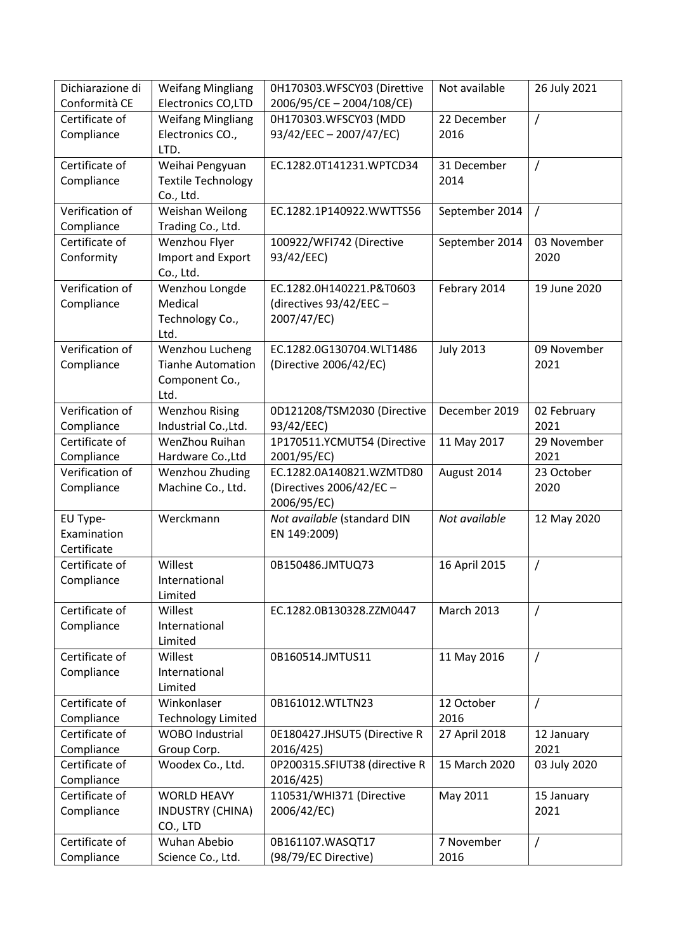| Dichiarazione di | <b>Weifang Mingliang</b>  | 0H170303.WFSCY03 (Direttive   | Not available     | 26 July 2021   |
|------------------|---------------------------|-------------------------------|-------------------|----------------|
| Conformità CE    | Electronics CO,LTD        | 2006/95/CE-2004/108/CE)       |                   |                |
| Certificate of   | <b>Weifang Mingliang</b>  | 0H170303.WFSCY03 (MDD         | 22 December       | $\overline{1}$ |
| Compliance       | Electronics CO.,          | 93/42/EEC - 2007/47/EC)       | 2016              |                |
|                  | LTD.                      |                               |                   |                |
| Certificate of   | Weihai Pengyuan           | EC.1282.0T141231.WPTCD34      | 31 December       | $\prime$       |
| Compliance       | <b>Textile Technology</b> |                               | 2014              |                |
|                  | Co., Ltd.                 |                               |                   |                |
| Verification of  | Weishan Weilong           | EC.1282.1P140922.WWTTS56      | September 2014    | $\overline{1}$ |
| Compliance       | Trading Co., Ltd.         |                               |                   |                |
| Certificate of   | Wenzhou Flyer             | 100922/WFI742 (Directive      | September 2014    | 03 November    |
| Conformity       | Import and Export         | 93/42/EEC)                    |                   | 2020           |
|                  | Co., Ltd.                 |                               |                   |                |
| Verification of  | Wenzhou Longde            | EC.1282.0H140221.P&T0603      | Febrary 2014      | 19 June 2020   |
| Compliance       | Medical                   | (directives 93/42/EEC -       |                   |                |
|                  | Technology Co.,           | 2007/47/EC)                   |                   |                |
|                  | Ltd.                      |                               |                   |                |
| Verification of  | Wenzhou Lucheng           | EC.1282.0G130704.WLT1486      | <b>July 2013</b>  | 09 November    |
| Compliance       | <b>Tianhe Automation</b>  | (Directive 2006/42/EC)        |                   | 2021           |
|                  | Component Co.,            |                               |                   |                |
|                  | Ltd.                      |                               |                   |                |
| Verification of  | <b>Wenzhou Rising</b>     | 0D121208/TSM2030 (Directive   | December 2019     | 02 February    |
| Compliance       | Industrial Co., Ltd.      | 93/42/EEC)                    |                   | 2021           |
| Certificate of   | WenZhou Ruihan            | 1P170511.YCMUT54 (Directive   | 11 May 2017       | 29 November    |
| Compliance       | Hardware Co., Ltd         | 2001/95/EC)                   |                   | 2021           |
| Verification of  | Wenzhou Zhuding           | EC.1282.0A140821.WZMTD80      | August 2014       | 23 October     |
| Compliance       | Machine Co., Ltd.         | (Directives 2006/42/EC -      |                   | 2020           |
|                  |                           | 2006/95/EC)                   |                   |                |
| EU Type-         | Werckmann                 | Not available (standard DIN   | Not available     | 12 May 2020    |
| Examination      |                           | EN 149:2009)                  |                   |                |
| Certificate      |                           |                               |                   |                |
| Certificate of   | Willest                   | 0B150486.JMTUQ73              | 16 April 2015     | $\overline{1}$ |
| Compliance       | International             |                               |                   |                |
|                  | Limited                   |                               |                   |                |
| Certificate of   | Willest                   | EC.1282.0B130328.ZZM0447      | <b>March 2013</b> | $\sqrt{ }$     |
| Compliance       | International             |                               |                   |                |
|                  | Limited                   |                               |                   |                |
| Certificate of   | Willest                   | 0B160514.JMTUS11              | 11 May 2016       | $\prime$       |
| Compliance       | International             |                               |                   |                |
|                  | Limited                   |                               |                   |                |
| Certificate of   | Winkonlaser               | 0B161012.WTLTN23              | 12 October        | $\prime$       |
| Compliance       | <b>Technology Limited</b> |                               | 2016              |                |
| Certificate of   | <b>WOBO</b> Industrial    | 0E180427.JHSUT5 (Directive R  | 27 April 2018     | 12 January     |
| Compliance       | Group Corp.               | 2016/425)                     |                   | 2021           |
| Certificate of   | Woodex Co., Ltd.          | 0P200315.SFIUT38 (directive R | 15 March 2020     | 03 July 2020   |
| Compliance       |                           | 2016/425)                     |                   |                |
| Certificate of   | <b>WORLD HEAVY</b>        | 110531/WHI371 (Directive      | May 2011          | 15 January     |
| Compliance       | INDUSTRY (CHINA)          | 2006/42/EC)                   |                   | 2021           |
|                  | CO., LTD                  |                               |                   |                |
| Certificate of   | Wuhan Abebio              | 0B161107.WASQT17              | 7 November        | $\prime$       |
| Compliance       | Science Co., Ltd.         | (98/79/EC Directive)          | 2016              |                |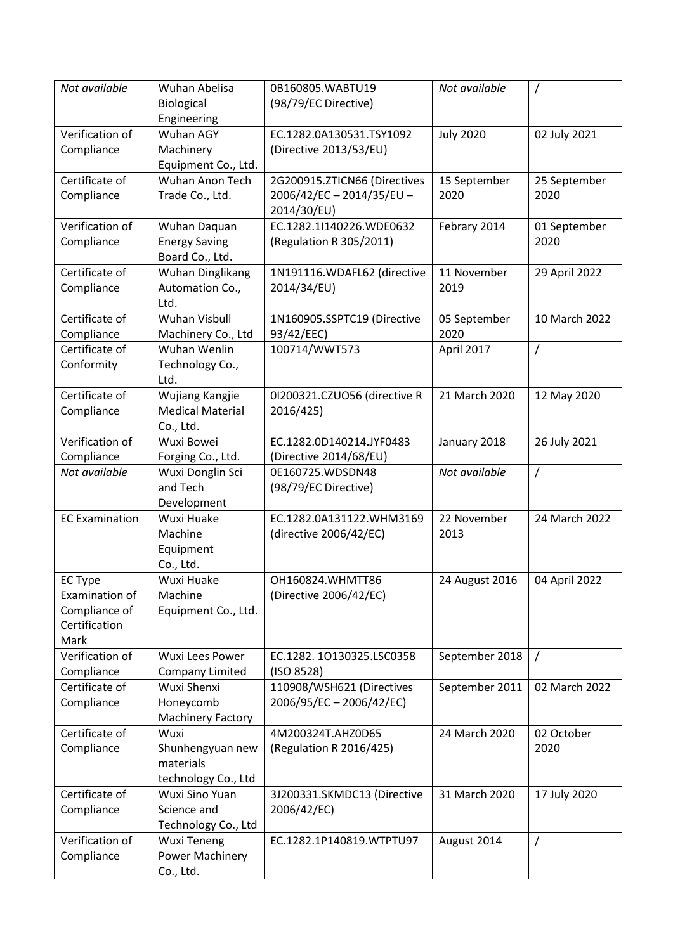| Not available         | Wuhan Abelisa            | 0B160805.WABTU19             | Not available    | $\prime$       |
|-----------------------|--------------------------|------------------------------|------------------|----------------|
|                       | Biological               | (98/79/EC Directive)         |                  |                |
|                       | Engineering              |                              |                  |                |
| Verification of       | Wuhan AGY                | EC.1282.0A130531.TSY1092     | <b>July 2020</b> | 02 July 2021   |
| Compliance            | Machinery                | (Directive 2013/53/EU)       |                  |                |
|                       | Equipment Co., Ltd.      |                              |                  |                |
| Certificate of        | Wuhan Anon Tech          | 2G200915.ZTICN66 (Directives | 15 September     | 25 September   |
| Compliance            | Trade Co., Ltd.          | 2006/42/EC-2014/35/EU-       | 2020             | 2020           |
|                       |                          | 2014/30/EU)                  |                  |                |
| Verification of       | Wuhan Daquan             | EC.1282.1I140226.WDE0632     | Febrary 2014     | 01 September   |
| Compliance            | <b>Energy Saving</b>     | (Regulation R 305/2011)      |                  | 2020           |
|                       | Board Co., Ltd.          |                              |                  |                |
| Certificate of        | <b>Wuhan Dinglikang</b>  | 1N191116.WDAFL62 (directive  | 11 November      | 29 April 2022  |
| Compliance            | Automation Co.,          | 2014/34/EU)                  | 2019             |                |
|                       | Ltd.                     |                              |                  |                |
| Certificate of        | Wuhan Visbull            | 1N160905.SSPTC19 (Directive  | 05 September     | 10 March 2022  |
| Compliance            | Machinery Co., Ltd       | 93/42/EEC)                   | 2020             |                |
| Certificate of        | Wuhan Wenlin             | 100714/WWT573                | April 2017       | $\overline{1}$ |
| Conformity            | Technology Co.,          |                              |                  |                |
|                       | Ltd.                     |                              |                  |                |
| Certificate of        | Wujiang Kangjie          | 01200321.CZUO56 (directive R | 21 March 2020    | 12 May 2020    |
| Compliance            | <b>Medical Material</b>  | 2016/425)                    |                  |                |
|                       | Co., Ltd.                |                              |                  |                |
| Verification of       | Wuxi Bowei               | EC.1282.0D140214.JYF0483     | January 2018     | 26 July 2021   |
| Compliance            | Forging Co., Ltd.        | (Directive 2014/68/EU)       |                  |                |
| Not available         | Wuxi Donglin Sci         | 0E160725.WDSDN48             | Not available    | $\overline{1}$ |
|                       | and Tech                 | (98/79/EC Directive)         |                  |                |
|                       | Development              |                              |                  |                |
| <b>EC Examination</b> | Wuxi Huake               | EC.1282.0A131122.WHM3169     | 22 November      | 24 March 2022  |
|                       | Machine                  | (directive 2006/42/EC)       | 2013             |                |
|                       | Equipment                |                              |                  |                |
|                       | Co., Ltd.                |                              |                  |                |
| <b>EC Type</b>        | Wuxi Huake               | OH160824.WHMTT86             | 24 August 2016   | 04 April 2022  |
| Examination of        | Machine                  | (Directive 2006/42/EC)       |                  |                |
| Compliance of         | Equipment Co., Ltd.      |                              |                  |                |
| Certification         |                          |                              |                  |                |
| Mark                  |                          |                              |                  |                |
| Verification of       | Wuxi Lees Power          | EC.1282.10130325.LSC0358     | September 2018   | $\sqrt{2}$     |
| Compliance            | <b>Company Limited</b>   | (ISO 8528)                   |                  |                |
| Certificate of        | Wuxi Shenxi              | 110908/WSH621 (Directives    | September 2011   | 02 March 2022  |
| Compliance            | Honeycomb                | 2006/95/EC-2006/42/EC)       |                  |                |
|                       | <b>Machinery Factory</b> |                              |                  |                |
| Certificate of        | Wuxi                     | 4M200324T.AHZ0D65            | 24 March 2020    | 02 October     |
| Compliance            | Shunhengyuan new         | (Regulation R 2016/425)      |                  | 2020           |
|                       | materials                |                              |                  |                |
|                       | technology Co., Ltd      |                              |                  |                |
| Certificate of        | Wuxi Sino Yuan           | 3J200331.SKMDC13 (Directive  | 31 March 2020    | 17 July 2020   |
| Compliance            | Science and              | 2006/42/EC)                  |                  |                |
|                       | Technology Co., Ltd      |                              |                  |                |
| Verification of       | <b>Wuxi Teneng</b>       | EC.1282.1P140819.WTPTU97     | August 2014      | $\prime$       |
| Compliance            | Power Machinery          |                              |                  |                |
|                       | Co., Ltd.                |                              |                  |                |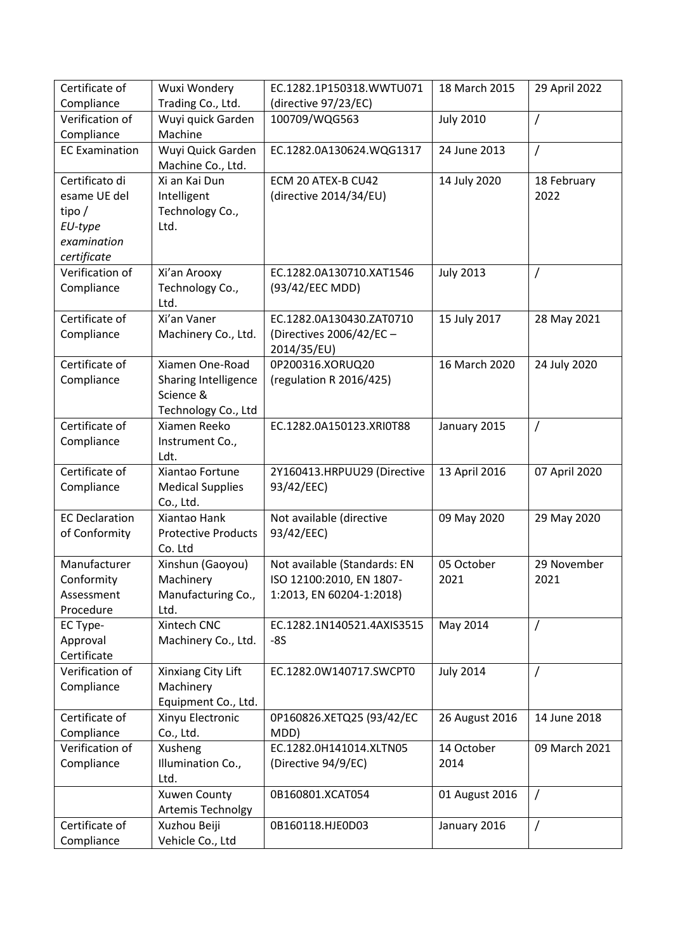| Certificate of                 | Wuxi Wondery                           | EC.1282.1P150318.WWTU071                     | 18 March 2015    | 29 April 2022       |
|--------------------------------|----------------------------------------|----------------------------------------------|------------------|---------------------|
| Compliance                     | Trading Co., Ltd.                      | (directive 97/23/EC)                         |                  |                     |
| Verification of                | Wuyi quick Garden                      | 100709/WQG563                                | <b>July 2010</b> | /                   |
| Compliance                     | Machine                                |                                              |                  |                     |
| <b>EC Examination</b>          | Wuyi Quick Garden<br>Machine Co., Ltd. | EC.1282.0A130624.WQG1317                     | 24 June 2013     | $\prime$            |
| Certificato di<br>esame UE del | Xi an Kai Dun<br>Intelligent           | ECM 20 ATEX-B CU42<br>(directive 2014/34/EU) | 14 July 2020     | 18 February<br>2022 |
| tipo $/$                       | Technology Co.,                        |                                              |                  |                     |
| EU-type                        | Ltd.                                   |                                              |                  |                     |
| examination                    |                                        |                                              |                  |                     |
| certificate                    |                                        |                                              |                  |                     |
| Verification of                | Xi'an Arooxy                           | EC.1282.0A130710.XAT1546                     | <b>July 2013</b> | $\prime$            |
| Compliance                     | Technology Co.,                        | (93/42/EEC MDD)                              |                  |                     |
|                                | Ltd.                                   |                                              |                  |                     |
| Certificate of                 | Xi'an Vaner                            | EC.1282.0A130430.ZAT0710                     | 15 July 2017     | 28 May 2021         |
| Compliance                     | Machinery Co., Ltd.                    | (Directives 2006/42/EC -                     |                  |                     |
|                                |                                        | 2014/35/EU)                                  |                  |                     |
| Certificate of                 | Xiamen One-Road                        | 0P200316.XORUQ20                             | 16 March 2020    | 24 July 2020        |
| Compliance                     | Sharing Intelligence                   | (regulation R 2016/425)                      |                  |                     |
|                                | Science &                              |                                              |                  |                     |
|                                | Technology Co., Ltd                    |                                              |                  |                     |
| Certificate of                 | Xiamen Reeko                           | EC.1282.0A150123.XRI0T88                     | January 2015     | /                   |
| Compliance                     | Instrument Co.,                        |                                              |                  |                     |
|                                | Ldt.                                   |                                              |                  |                     |
| Certificate of                 | Xiantao Fortune                        | 2Y160413.HRPUU29 (Directive                  | 13 April 2016    | 07 April 2020       |
| Compliance                     | <b>Medical Supplies</b>                | 93/42/EEC)                                   |                  |                     |
|                                | Co., Ltd.                              |                                              |                  |                     |
| <b>EC Declaration</b>          | Xiantao Hank                           | Not available (directive                     | 09 May 2020      | 29 May 2020         |
| of Conformity                  | <b>Protective Products</b>             | 93/42/EEC)                                   |                  |                     |
|                                | Co. Ltd                                |                                              |                  |                     |
| Manufacturer                   | Xinshun (Gaoyou)                       | Not available (Standards: EN                 | 05 October       | 29 November         |
| Conformity                     | Machinery                              | ISO 12100:2010, EN 1807-                     | 2021             | 2021                |
| Assessment                     | Manufacturing Co.,                     | 1:2013, EN 60204-1:2018)                     |                  |                     |
| Procedure                      | Ltd.                                   |                                              |                  |                     |
| EC Type-                       | Xintech CNC                            | EC.1282.1N140521.4AXIS3515                   | May 2014         | $\prime$            |
| Approval<br>Certificate        | Machinery Co., Ltd.                    | $-8S$                                        |                  |                     |
| Verification of                | Xinxiang City Lift                     | EC.1282.0W140717.SWCPT0                      | <b>July 2014</b> | $\prime$            |
| Compliance                     | Machinery                              |                                              |                  |                     |
|                                | Equipment Co., Ltd.                    |                                              |                  |                     |
| Certificate of                 | Xinyu Electronic                       | 0P160826.XETQ25 (93/42/EC                    | 26 August 2016   | 14 June 2018        |
| Compliance                     | Co., Ltd.                              | MDD)                                         |                  |                     |
| Verification of                | Xusheng                                | EC.1282.0H141014.XLTN05                      | 14 October       | 09 March 2021       |
| Compliance                     | Illumination Co.,                      | (Directive 94/9/EC)                          | 2014             |                     |
|                                | Ltd.                                   |                                              |                  |                     |
|                                | <b>Xuwen County</b>                    | 0B160801.XCAT054                             | 01 August 2016   | $\prime$            |
|                                | Artemis Technolgy                      |                                              |                  |                     |
| Certificate of                 | Xuzhou Beiji                           | 0B160118.HJE0D03                             | January 2016     | /                   |
| Compliance                     | Vehicle Co., Ltd                       |                                              |                  |                     |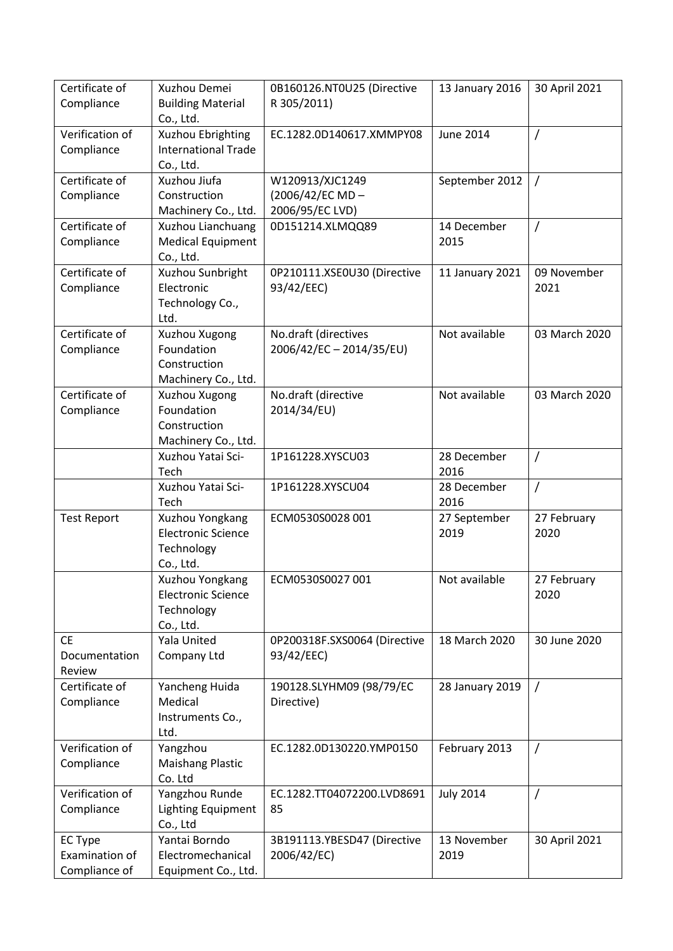| Certificate of                | Xuzhou Demei                                    | 0B160126.NT0U25 (Directive   | 13 January 2016  | 30 April 2021 |
|-------------------------------|-------------------------------------------------|------------------------------|------------------|---------------|
| Compliance                    | <b>Building Material</b><br>Co., Ltd.           | R 305/2011)                  |                  |               |
| Verification of<br>Compliance | Xuzhou Ebrighting<br><b>International Trade</b> | EC.1282.0D140617.XMMPY08     | <b>June 2014</b> | $\prime$      |
|                               | Co., Ltd.                                       |                              |                  |               |
| Certificate of                | Xuzhou Jiufa                                    | W120913/XJC1249              | September 2012   | $\prime$      |
| Compliance                    | Construction                                    | (2006/42/EC MD-              |                  |               |
|                               | Machinery Co., Ltd.                             | 2006/95/EC LVD)              |                  |               |
| Certificate of                | Xuzhou Lianchuang                               | 0D151214.XLMQQ89             | 14 December      | $\prime$      |
| Compliance                    | <b>Medical Equipment</b>                        |                              | 2015             |               |
|                               | Co., Ltd.                                       |                              |                  |               |
| Certificate of                | Xuzhou Sunbright                                | 0P210111.XSE0U30 (Directive  | 11 January 2021  | 09 November   |
| Compliance                    | Electronic                                      | 93/42/EEC)                   |                  | 2021          |
|                               | Technology Co.,                                 |                              |                  |               |
|                               | Ltd.                                            |                              |                  |               |
| Certificate of                | Xuzhou Xugong                                   | No.draft (directives         | Not available    | 03 March 2020 |
| Compliance                    | Foundation                                      | 2006/42/EC-2014/35/EU)       |                  |               |
|                               | Construction                                    |                              |                  |               |
|                               | Machinery Co., Ltd.                             |                              |                  |               |
| Certificate of                | Xuzhou Xugong                                   | No.draft (directive          | Not available    | 03 March 2020 |
| Compliance                    | Foundation                                      | 2014/34/EU)                  |                  |               |
|                               | Construction                                    |                              |                  |               |
|                               | Machinery Co., Ltd.                             |                              |                  |               |
|                               | Xuzhou Yatai Sci-                               | 1P161228.XYSCU03             | 28 December      | $\prime$      |
|                               | Tech                                            |                              | 2016             |               |
|                               | Xuzhou Yatai Sci-                               | 1P161228.XYSCU04             | 28 December      | $\prime$      |
|                               | Tech                                            |                              | 2016             |               |
| <b>Test Report</b>            | Xuzhou Yongkang                                 | ECM0530S0028 001             | 27 September     | 27 February   |
|                               | <b>Electronic Science</b>                       |                              | 2019             | 2020          |
|                               | Technology<br>Co., Ltd.                         |                              |                  |               |
|                               | Xuzhou Yongkang                                 | ECM0530S0027 001             | Not available    | 27 February   |
|                               | <b>Electronic Science</b>                       |                              |                  | 2020          |
|                               | Technology                                      |                              |                  |               |
|                               | Co., Ltd.                                       |                              |                  |               |
| <b>CE</b>                     | Yala United                                     | 0P200318F.SXS0064 (Directive | 18 March 2020    | 30 June 2020  |
| Documentation                 | Company Ltd                                     | 93/42/EEC)                   |                  |               |
| Review                        |                                                 |                              |                  |               |
| Certificate of                | Yancheng Huida                                  | 190128.SLYHM09 (98/79/EC     | 28 January 2019  | $\prime$      |
| Compliance                    | Medical                                         | Directive)                   |                  |               |
|                               | Instruments Co.,                                |                              |                  |               |
|                               | Ltd.                                            |                              |                  |               |
| Verification of               | Yangzhou                                        | EC.1282.0D130220.YMP0150     | February 2013    | $\sqrt{ }$    |
| Compliance                    | <b>Maishang Plastic</b>                         |                              |                  |               |
|                               | Co. Ltd                                         |                              |                  |               |
| Verification of               | Yangzhou Runde                                  | EC.1282.TT04072200.LVD8691   | <b>July 2014</b> | $\prime$      |
| Compliance                    | <b>Lighting Equipment</b>                       | 85                           |                  |               |
|                               | Co., Ltd                                        |                              |                  |               |
| <b>EC Type</b>                | Yantai Borndo                                   | 3B191113.YBESD47 (Directive  | 13 November      | 30 April 2021 |
| Examination of                | Electromechanical                               | 2006/42/EC)                  | 2019             |               |
| Compliance of                 | Equipment Co., Ltd.                             |                              |                  |               |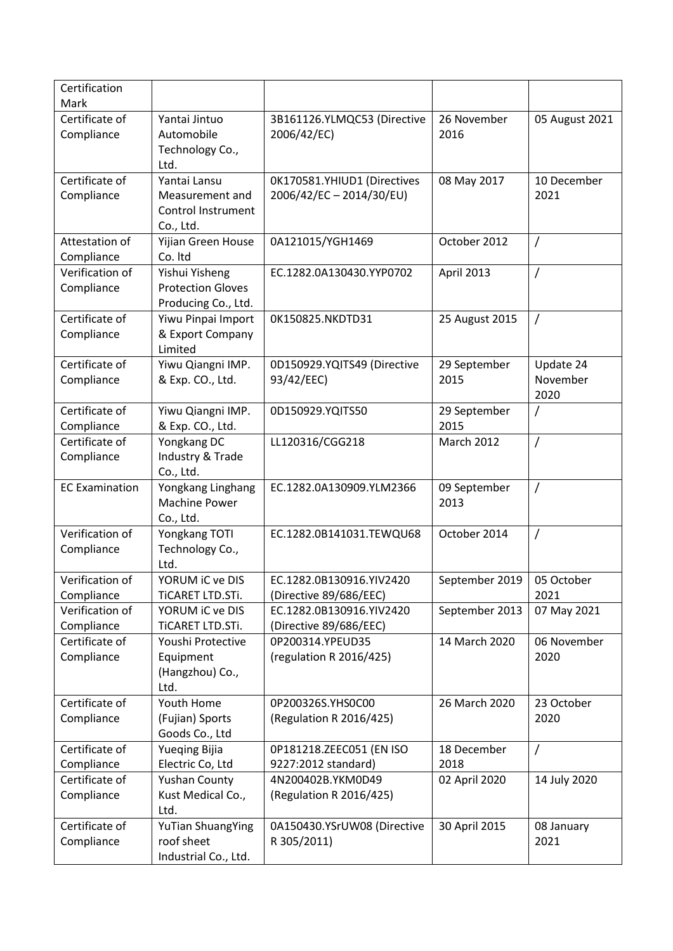| Certification<br>Mark         |                                     |                                                    |                |                |
|-------------------------------|-------------------------------------|----------------------------------------------------|----------------|----------------|
| Certificate of                | Yantai Jintuo                       | 3B161126.YLMQC53 (Directive                        | 26 November    | 05 August 2021 |
| Compliance                    | Automobile                          | 2006/42/EC)                                        | 2016           |                |
|                               | Technology Co.,                     |                                                    |                |                |
|                               | Ltd.                                |                                                    |                |                |
| Certificate of                | Yantai Lansu                        | OK170581.YHIUD1 (Directives                        | 08 May 2017    | 10 December    |
| Compliance                    | Measurement and                     | 2006/42/EC-2014/30/EU)                             |                | 2021           |
|                               | Control Instrument                  |                                                    |                |                |
|                               | Co., Ltd.                           |                                                    |                |                |
| Attestation of                | Yijian Green House                  | 0A121015/YGH1469                                   | October 2012   | $\prime$       |
| Compliance                    | Co. Itd                             |                                                    |                |                |
| Verification of               | Yishui Yisheng                      | EC.1282.0A130430.YYP0702                           | April 2013     | Τ              |
| Compliance                    | <b>Protection Gloves</b>            |                                                    |                |                |
|                               | Producing Co., Ltd.                 |                                                    |                |                |
| Certificate of                | Yiwu Pinpai Import                  | 0K150825.NKDTD31                                   | 25 August 2015 | $\prime$       |
| Compliance                    | & Export Company<br>Limited         |                                                    |                |                |
| Certificate of                | Yiwu Qiangni IMP.                   | 0D150929.YQITS49 (Directive                        | 29 September   | Update 24      |
| Compliance                    | & Exp. CO., Ltd.                    | 93/42/EEC)                                         | 2015           | November       |
|                               |                                     |                                                    |                | 2020           |
| Certificate of                | Yiwu Qiangni IMP.                   | 0D150929.YQITS50                                   | 29 September   |                |
| Compliance                    | & Exp. CO., Ltd.                    |                                                    | 2015           |                |
| Certificate of                | Yongkang DC                         | LL120316/CGG218                                    | March 2012     | $\prime$       |
| Compliance                    | Industry & Trade                    |                                                    |                |                |
|                               | Co., Ltd.                           |                                                    |                |                |
| <b>EC Examination</b>         | Yongkang Linghang                   | EC.1282.0A130909.YLM2366                           | 09 September   | Ι              |
|                               | <b>Machine Power</b>                |                                                    | 2013           |                |
|                               | Co., Ltd.                           |                                                    |                |                |
| Verification of               | Yongkang TOTI                       | EC.1282.0B141031.TEWQU68                           | October 2014   | $\prime$       |
| Compliance                    | Technology Co.,                     |                                                    |                |                |
|                               | Ltd.                                |                                                    |                |                |
| Verification of               | YORUM iC ve DIS                     | EC.1282.0B130916.YIV2420                           | September 2019 | 05 October     |
| Compliance<br>Verification of | TICARET LTD.STI.<br>YORUM iC ve DIS | (Directive 89/686/EEC)<br>EC.1282.0B130916.YIV2420 |                | 2021           |
| Compliance                    | TICARET LTD.STI.                    | (Directive 89/686/EEC)                             | September 2013 | 07 May 2021    |
| Certificate of                | Youshi Protective                   | 0P200314.YPEUD35                                   | 14 March 2020  | 06 November    |
| Compliance                    | Equipment                           | (regulation R 2016/425)                            |                | 2020           |
|                               | (Hangzhou) Co.,                     |                                                    |                |                |
|                               | Ltd.                                |                                                    |                |                |
| Certificate of                | Youth Home                          | 0P200326S.YHS0C00                                  | 26 March 2020  | 23 October     |
| Compliance                    | (Fujian) Sports                     | (Regulation R 2016/425)                            |                | 2020           |
|                               | Goods Co., Ltd                      |                                                    |                |                |
| Certificate of                | <b>Yueqing Bijia</b>                | 0P181218.ZEEC051 (EN ISO                           | 18 December    | $\prime$       |
| Compliance                    | Electric Co, Ltd                    | 9227:2012 standard)                                | 2018           |                |
| Certificate of                | <b>Yushan County</b>                | 4N200402B.YKM0D49                                  | 02 April 2020  | 14 July 2020   |
| Compliance                    | Kust Medical Co.,                   | (Regulation R 2016/425)                            |                |                |
|                               | Ltd.                                |                                                    |                |                |
| Certificate of                | <b>YuTian ShuangYing</b>            | 0A150430.YSrUW08 (Directive                        | 30 April 2015  | 08 January     |
| Compliance                    | roof sheet                          | R 305/2011)                                        |                | 2021           |
|                               | Industrial Co., Ltd.                |                                                    |                |                |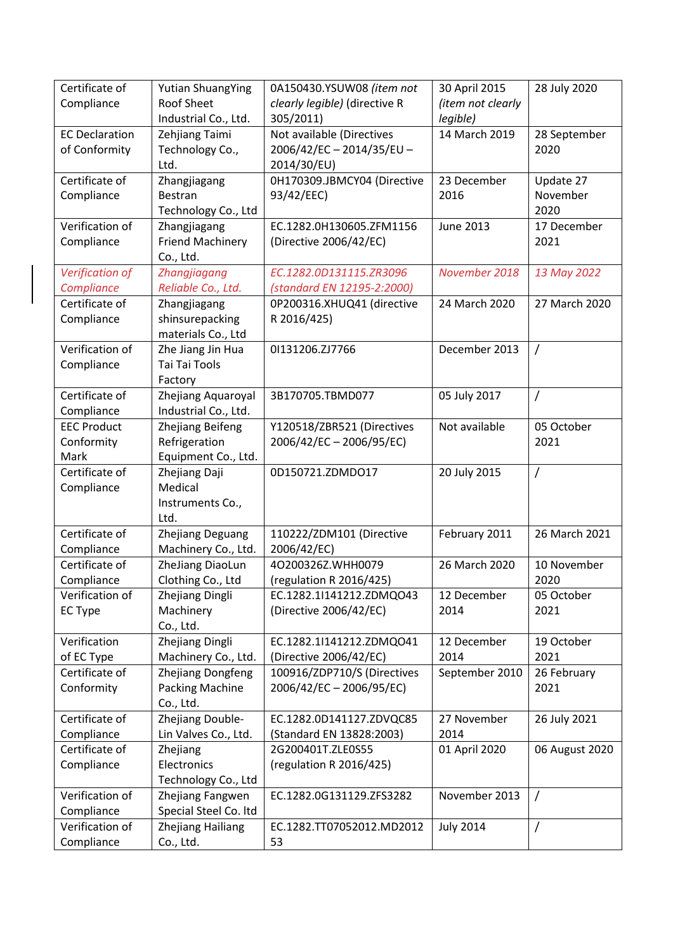| Certificate of                | <b>Yutian ShuangYing</b>       | 0A150430.YSUW08 (item not       | 30 April 2015     | 28 July 2020   |
|-------------------------------|--------------------------------|---------------------------------|-------------------|----------------|
| Compliance                    | Roof Sheet                     | clearly legible) (directive R   | (item not clearly |                |
|                               | Industrial Co., Ltd.           | 305/2011)                       | legible)          |                |
| <b>EC Declaration</b>         | Zehjiang Taimi                 | Not available (Directives       | 14 March 2019     | 28 September   |
| of Conformity                 | Technology Co.,                | 2006/42/EC-2014/35/EU-          |                   | 2020           |
|                               | Ltd.                           | 2014/30/EU)                     |                   |                |
| Certificate of                | Zhangjiagang                   | 0H170309.JBMCY04 (Directive     | 23 December       | Update 27      |
| Compliance                    | <b>Bestran</b>                 | 93/42/EEC)                      | 2016              | November       |
|                               | Technology Co., Ltd            |                                 |                   | 2020           |
| Verification of               | Zhangjiagang                   | EC.1282.0H130605.ZFM1156        | June 2013         | 17 December    |
| Compliance                    | <b>Friend Machinery</b>        | (Directive 2006/42/EC)          |                   | 2021           |
|                               | Co., Ltd.                      |                                 |                   |                |
| Verification of               | Zhangjiagang                   | EC.1282.0D131115.ZR3096         | November 2018     | 13 May 2022    |
| Compliance                    | Reliable Co., Ltd.             | (standard EN 12195-2:2000)      |                   |                |
| Certificate of                | Zhangjiagang                   | 0P200316.XHUQ41 (directive      | 24 March 2020     | 27 March 2020  |
| Compliance                    | shinsurepacking                | R 2016/425)                     |                   |                |
|                               | materials Co., Ltd             |                                 |                   |                |
| Verification of               | Zhe Jiang Jin Hua              | 01131206.ZJ7766                 | December 2013     | $\prime$       |
| Compliance                    | Tai Tai Tools                  |                                 |                   |                |
|                               | Factory                        |                                 |                   |                |
| Certificate of                | Zhejiang Aquaroyal             | 3B170705.TBMD077                | 05 July 2017      | $\prime$       |
| Compliance                    | Industrial Co., Ltd.           |                                 |                   |                |
| <b>EEC Product</b>            | <b>Zhejiang Beifeng</b>        | Y120518/ZBR521 (Directives      | Not available     | 05 October     |
| Conformity                    | Refrigeration                  | 2006/42/EC-2006/95/EC)          |                   | 2021           |
| Mark                          | Equipment Co., Ltd.            |                                 |                   |                |
| Certificate of                | Zhejiang Daji                  | 0D150721.ZDMDO17                | 20 July 2015      | $\prime$       |
| Compliance                    | Medical                        |                                 |                   |                |
|                               | Instruments Co.,               |                                 |                   |                |
|                               | Ltd.                           |                                 |                   |                |
| Certificate of                | Zhejiang Deguang               | 110222/ZDM101 (Directive        | February 2011     | 26 March 2021  |
| Compliance                    | Machinery Co., Ltd.            | 2006/42/EC)                     |                   |                |
| Certificate of                | ZheJiang DiaoLun               | 4O200326Z.WHH0079               | 26 March 2020     | 10 November    |
| Compliance                    | Clothing Co., Ltd              | (regulation R 2016/425)         |                   | 2020           |
| Verification of               | Zhejiang Dingli                | EC.1282.1I141212.ZDMQO43        | 12 December       | 05 October     |
| <b>EC Type</b>                |                                |                                 |                   |                |
|                               | Machinery                      | (Directive 2006/42/EC)          | 2014              | 2021           |
|                               | Co., Ltd.                      |                                 |                   |                |
| Verification                  | Zhejiang Dingli                | EC.1282.1I141212.ZDMQO41        | 12 December       | 19 October     |
| of EC Type                    | Machinery Co., Ltd.            | (Directive 2006/42/EC)          | 2014              | 2021           |
| Certificate of                | Zhejiang Dongfeng              | 100916/ZDP710/S (Directives     | September 2010    | 26 February    |
| Conformity                    | <b>Packing Machine</b>         | 2006/42/EC-2006/95/EC)          |                   | 2021           |
|                               | Co., Ltd.                      |                                 |                   |                |
| Certificate of                | Zhejiang Double-               | EC.1282.0D141127.ZDVQC85        | 27 November       | 26 July 2021   |
| Compliance                    | Lin Valves Co., Ltd.           | (Standard EN 13828:2003)        | 2014              |                |
| Certificate of                | Zhejiang                       | 2G200401T.ZLE0S55               | 01 April 2020     | 06 August 2020 |
| Compliance                    | Electronics                    | (regulation R 2016/425)         |                   |                |
|                               | Technology Co., Ltd            |                                 |                   |                |
| Verification of               | Zhejiang Fangwen               | EC.1282.0G131129.ZFS3282        | November 2013     | $\prime$       |
| Compliance                    | Special Steel Co. Itd          |                                 |                   |                |
| Verification of<br>Compliance | Zhejiang Hailiang<br>Co., Ltd. | EC.1282.TT07052012.MD2012<br>53 | <b>July 2014</b>  | $\prime$       |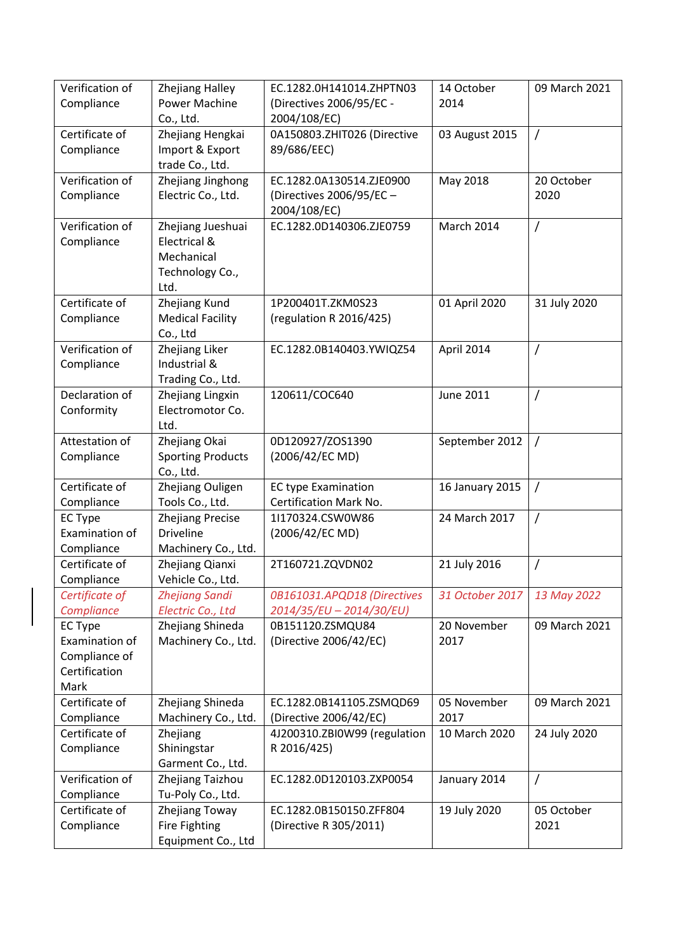| Verification of                | <b>Zhejiang Halley</b>   | EC.1282.0H141014.ZHPTN03                 | 14 October      | 09 March 2021  |
|--------------------------------|--------------------------|------------------------------------------|-----------------|----------------|
| Compliance                     | Power Machine            | (Directives 2006/95/EC -                 | 2014            |                |
|                                | Co., Ltd.                | 2004/108/EC)                             |                 |                |
| Certificate of                 | Zhejiang Hengkai         | 0A150803.ZHIT026 (Directive              | 03 August 2015  | /              |
| Compliance                     | Import & Export          | 89/686/EEC)                              |                 |                |
|                                | trade Co., Ltd.          |                                          |                 |                |
| Verification of                | Zhejiang Jinghong        | EC.1282.0A130514.ZJE0900                 | May 2018        | 20 October     |
| Compliance                     | Electric Co., Ltd.       | (Directives 2006/95/EC -<br>2004/108/EC) |                 | 2020           |
| Verification of                | Zhejiang Jueshuai        | EC.1282.0D140306.ZJE0759                 | March 2014      |                |
| Compliance                     | Electrical &             |                                          |                 | Τ              |
|                                | Mechanical               |                                          |                 |                |
|                                | Technology Co.,          |                                          |                 |                |
|                                | Ltd.                     |                                          |                 |                |
| Certificate of                 | Zhejiang Kund            | 1P200401T.ZKM0S23                        | 01 April 2020   | 31 July 2020   |
| Compliance                     | <b>Medical Facility</b>  | (regulation R 2016/425)                  |                 |                |
|                                | Co., Ltd                 |                                          |                 |                |
| Verification of                | Zhejiang Liker           | EC.1282.0B140403.YWIQZ54                 | April 2014      | /              |
| Compliance                     | Industrial &             |                                          |                 |                |
|                                | Trading Co., Ltd.        |                                          |                 |                |
| Declaration of                 | Zhejiang Lingxin         | 120611/COC640                            | June 2011       | T              |
| Conformity                     | Electromotor Co.         |                                          |                 |                |
|                                | Ltd.                     |                                          |                 |                |
| Attestation of                 | Zhejiang Okai            | 0D120927/ZOS1390                         | September 2012  | $\sqrt{2}$     |
| Compliance                     | <b>Sporting Products</b> | (2006/42/EC MD)                          |                 |                |
|                                | Co., Ltd.                |                                          |                 |                |
| Certificate of                 | Zhejiang Ouligen         | <b>EC type Examination</b>               | 16 January 2015 | $\overline{1}$ |
| Compliance                     | Tools Co., Ltd.          | Certification Mark No.                   |                 |                |
| <b>EC Type</b>                 | <b>Zhejiang Precise</b>  | 1l170324.CSW0W86                         | 24 March 2017   | $\overline{1}$ |
| Examination of                 | <b>Driveline</b>         | (2006/42/EC MD)                          |                 |                |
| Compliance                     | Machinery Co., Ltd.      |                                          |                 |                |
| Certificate of                 | Zhejiang Qianxi          | 2T160721.ZQVDN02                         | 21 July 2016    | T              |
| Compliance                     | Vehicle Co., Ltd.        |                                          |                 |                |
| Certificate of                 | <b>Zhejiang Sandi</b>    | 0B161031.APQD18 (Directives              | 31 October 2017 | 13 May 2022    |
| Compliance                     | Electric Co., Ltd        | 2014/35/EU - 2014/30/EU)                 |                 |                |
| <b>EC Type</b>                 | Zhejiang Shineda         | 0B151120.ZSMQU84                         | 20 November     | 09 March 2021  |
| Examination of                 | Machinery Co., Ltd.      | (Directive 2006/42/EC)                   | 2017            |                |
| Compliance of<br>Certification |                          |                                          |                 |                |
| Mark                           |                          |                                          |                 |                |
| Certificate of                 | Zhejiang Shineda         | EC.1282.0B141105.ZSMQD69                 | 05 November     | 09 March 2021  |
| Compliance                     | Machinery Co., Ltd.      | (Directive 2006/42/EC)                   | 2017            |                |
| Certificate of                 | Zhejiang                 | 4J200310.ZBI0W99 (regulation             | 10 March 2020   | 24 July 2020   |
| Compliance                     | Shiningstar              | R 2016/425)                              |                 |                |
|                                | Garment Co., Ltd.        |                                          |                 |                |
| Verification of                | Zhejiang Taizhou         | EC.1282.0D120103.ZXP0054                 | January 2014    | /              |
| Compliance                     | Tu-Poly Co., Ltd.        |                                          |                 |                |
| Certificate of                 | Zhejiang Toway           | EC.1282.0B150150.ZFF804                  | 19 July 2020    | 05 October     |
| Compliance                     | <b>Fire Fighting</b>     | (Directive R 305/2011)                   |                 | 2021           |
|                                | Equipment Co., Ltd       |                                          |                 |                |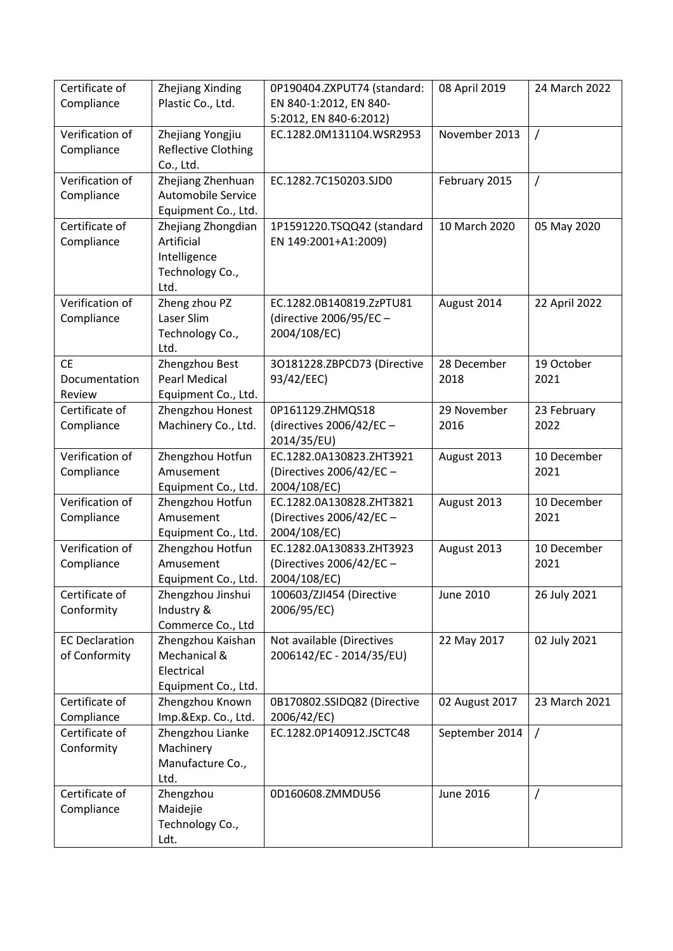| Certificate of        | Zhejiang Xinding                  | 0P190404.ZXPUT74 (standard: | 08 April 2019  | 24 March 2022 |
|-----------------------|-----------------------------------|-----------------------------|----------------|---------------|
| Compliance            | Plastic Co., Ltd.                 | EN 840-1:2012, EN 840-      |                |               |
|                       |                                   | 5:2012, EN 840-6:2012)      |                |               |
| Verification of       | Zhejiang Yongjiu                  | EC.1282.0M131104.WSR2953    | November 2013  | $\prime$      |
| Compliance            | Reflective Clothing               |                             |                |               |
|                       | Co., Ltd.                         |                             |                |               |
| Verification of       | Zhejiang Zhenhuan                 | EC.1282.7C150203.SJD0       | February 2015  | $\prime$      |
| Compliance            | Automobile Service                |                             |                |               |
|                       | Equipment Co., Ltd.               |                             |                |               |
| Certificate of        | Zhejiang Zhongdian<br>Artificial  | 1P1591220.TSQQ42 (standard  | 10 March 2020  | 05 May 2020   |
| Compliance            | Intelligence                      | EN 149:2001+A1:2009)        |                |               |
|                       | Technology Co.,                   |                             |                |               |
|                       | Ltd.                              |                             |                |               |
| Verification of       | Zheng zhou PZ                     | EC.1282.0B140819.ZzPTU81    | August 2014    | 22 April 2022 |
| Compliance            | Laser Slim                        | (directive 2006/95/EC -     |                |               |
|                       | Technology Co.,                   | 2004/108/EC)                |                |               |
|                       | Ltd.                              |                             |                |               |
| <b>CE</b>             | Zhengzhou Best                    | 30181228.ZBPCD73 (Directive | 28 December    | 19 October    |
| Documentation         | <b>Pearl Medical</b>              | 93/42/EEC)                  | 2018           | 2021          |
| Review                | Equipment Co., Ltd.               |                             |                |               |
| Certificate of        | Zhengzhou Honest                  | 0P161129.ZHMQS18            | 29 November    | 23 February   |
| Compliance            | Machinery Co., Ltd.               | (directives 2006/42/EC-     | 2016           | 2022          |
|                       |                                   | 2014/35/EU)                 |                |               |
| Verification of       | Zhengzhou Hotfun                  | EC.1282.0A130823.ZHT3921    | August 2013    | 10 December   |
| Compliance            | Amusement                         | (Directives 2006/42/EC -    |                | 2021          |
|                       | Equipment Co., Ltd.               | 2004/108/EC)                |                |               |
| Verification of       | Zhengzhou Hotfun                  | EC.1282.0A130828.ZHT3821    | August 2013    | 10 December   |
| Compliance            | Amusement                         | (Directives 2006/42/EC -    |                | 2021          |
|                       | Equipment Co., Ltd.               | 2004/108/EC)                |                |               |
| Verification of       | Zhengzhou Hotfun                  | EC.1282.0A130833.ZHT3923    | August 2013    | 10 December   |
| Compliance            | Amusement                         | (Directives 2006/42/EC -    |                | 2021          |
|                       | Equipment Co., Ltd.               | 2004/108/EC)                |                |               |
| Certificate of        | Zhengzhou Jinshui                 | 100603/ZJI454 (Directive    | June 2010      | 26 July 2021  |
| Conformity            | Industry &                        | 2006/95/EC)                 |                |               |
|                       | Commerce Co., Ltd                 |                             |                |               |
| <b>EC Declaration</b> | Zhengzhou Kaishan<br>Mechanical & | Not available (Directives   | 22 May 2017    | 02 July 2021  |
| of Conformity         | Electrical                        | 2006142/EC - 2014/35/EU)    |                |               |
|                       | Equipment Co., Ltd.               |                             |                |               |
| Certificate of        | Zhengzhou Known                   | 0B170802.SSIDQ82 (Directive | 02 August 2017 | 23 March 2021 |
| Compliance            | Imp.&Exp. Co., Ltd.               | 2006/42/EC)                 |                |               |
| Certificate of        | Zhengzhou Lianke                  | EC.1282.0P140912.JSCTC48    | September 2014 | $\sqrt{ }$    |
| Conformity            | Machinery                         |                             |                |               |
|                       | Manufacture Co.,                  |                             |                |               |
|                       | Ltd.                              |                             |                |               |
| Certificate of        | Zhengzhou                         | 0D160608.ZMMDU56            | June 2016      | $\prime$      |
| Compliance            | Maidejie                          |                             |                |               |
|                       | Technology Co.,                   |                             |                |               |
|                       | Ldt.                              |                             |                |               |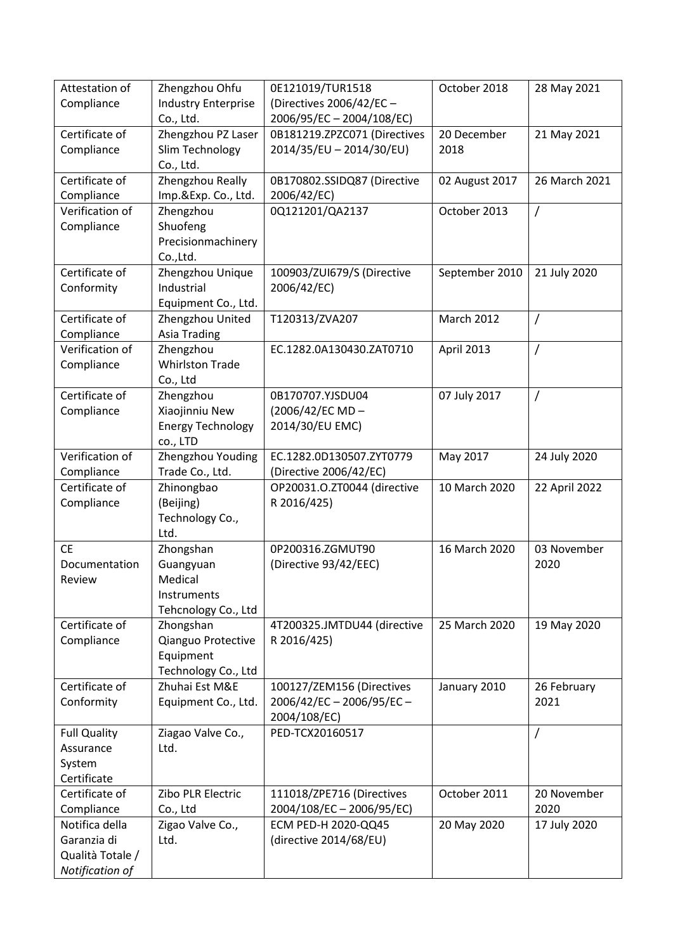| Attestation of                   | Zhengzhou Ohfu             | 0E121019/TUR1518                | October 2018      | 28 May 2021    |
|----------------------------------|----------------------------|---------------------------------|-------------------|----------------|
| Compliance                       | <b>Industry Enterprise</b> | (Directives 2006/42/EC -        |                   |                |
|                                  | Co., Ltd.                  | 2006/95/EC-2004/108/EC)         |                   |                |
| Certificate of                   | Zhengzhou PZ Laser         | 0B181219.ZPZC071 (Directives    | 20 December       | 21 May 2021    |
| Compliance                       | Slim Technology            | 2014/35/EU - 2014/30/EU)        | 2018              |                |
|                                  | Co., Ltd.                  |                                 |                   |                |
| Certificate of                   | Zhengzhou Really           | 0B170802.SSIDQ87 (Directive     | 02 August 2017    | 26 March 2021  |
| Compliance                       | Imp.&Exp. Co., Ltd.        | 2006/42/EC)                     |                   |                |
| Verification of                  | Zhengzhou                  | 0Q121201/QA2137                 | October 2013      | $\prime$       |
| Compliance                       | Shuofeng                   |                                 |                   |                |
|                                  | Precisionmachinery         |                                 |                   |                |
|                                  | Co.,Ltd.                   |                                 |                   |                |
| Certificate of                   | Zhengzhou Unique           | 100903/ZUI679/S (Directive      | September 2010    | 21 July 2020   |
| Conformity                       | Industrial                 | 2006/42/EC)                     |                   |                |
|                                  | Equipment Co., Ltd.        |                                 |                   |                |
| Certificate of                   | Zhengzhou United           | T120313/ZVA207                  | <b>March 2012</b> | 7              |
| Compliance                       | <b>Asia Trading</b>        |                                 |                   |                |
| Verification of                  | Zhengzhou                  | EC.1282.0A130430.ZAT0710        | April 2013        | $\overline{1}$ |
| Compliance                       | <b>Whirlston Trade</b>     |                                 |                   |                |
|                                  | Co., Ltd                   |                                 |                   |                |
| Certificate of                   | Zhengzhou                  | 0B170707.YJSDU04                | 07 July 2017      | $\prime$       |
| Compliance                       | Xiaojinniu New             | (2006/42/EC MD-                 |                   |                |
|                                  | <b>Energy Technology</b>   | 2014/30/EU EMC)                 |                   |                |
|                                  | co., LTD                   |                                 |                   |                |
| Verification of                  | Zhengzhou Youding          | EC.1282.0D130507.ZYT0779        | May 2017          | 24 July 2020   |
| Compliance                       | Trade Co., Ltd.            | (Directive 2006/42/EC)          |                   |                |
| Certificate of                   | Zhinongbao                 | OP20031.O.ZT0044 (directive     | 10 March 2020     | 22 April 2022  |
| Compliance                       | (Beijing)                  | R 2016/425)                     |                   |                |
|                                  | Technology Co.,            |                                 |                   |                |
|                                  | Ltd.                       |                                 |                   |                |
| <b>CE</b>                        | Zhongshan                  | 0P200316.ZGMUT90                | 16 March 2020     | 03 November    |
| Documentation                    | Guangyuan                  | (Directive 93/42/EEC)           |                   | 2020           |
| Review                           | Medical                    |                                 |                   |                |
|                                  | Instruments                |                                 |                   |                |
|                                  | Tehcnology Co., Ltd        |                                 |                   |                |
| Certificate of                   | Zhongshan                  | 4T200325.JMTDU44 (directive     | 25 March 2020     | 19 May 2020    |
| Compliance                       | Qianguo Protective         | R 2016/425)                     |                   |                |
|                                  | Equipment                  |                                 |                   |                |
|                                  | Technology Co., Ltd        |                                 |                   |                |
| Certificate of                   | Zhuhai Est M&E             | 100127/ZEM156 (Directives       | January 2010      | 26 February    |
| Conformity                       | Equipment Co., Ltd.        | 2006/42/EC-2006/95/EC-          |                   | 2021           |
|                                  |                            | 2004/108/EC)<br>PED-TCX20160517 |                   |                |
| <b>Full Quality</b><br>Assurance | Ziagao Valve Co.,<br>Ltd.  |                                 |                   | $\prime$       |
| System                           |                            |                                 |                   |                |
| Certificate                      |                            |                                 |                   |                |
| Certificate of                   | Zibo PLR Electric          | 111018/ZPE716 (Directives       | October 2011      | 20 November    |
| Compliance                       | Co., Ltd                   | 2004/108/EC-2006/95/EC)         |                   | 2020           |
| Notifica della                   | Zigao Valve Co.,           | ECM PED-H 2020-QQ45             | 20 May 2020       | 17 July 2020   |
| Garanzia di                      | Ltd.                       | (directive 2014/68/EU)          |                   |                |
| Qualità Totale /                 |                            |                                 |                   |                |
|                                  |                            |                                 |                   |                |
| Notification of                  |                            |                                 |                   |                |